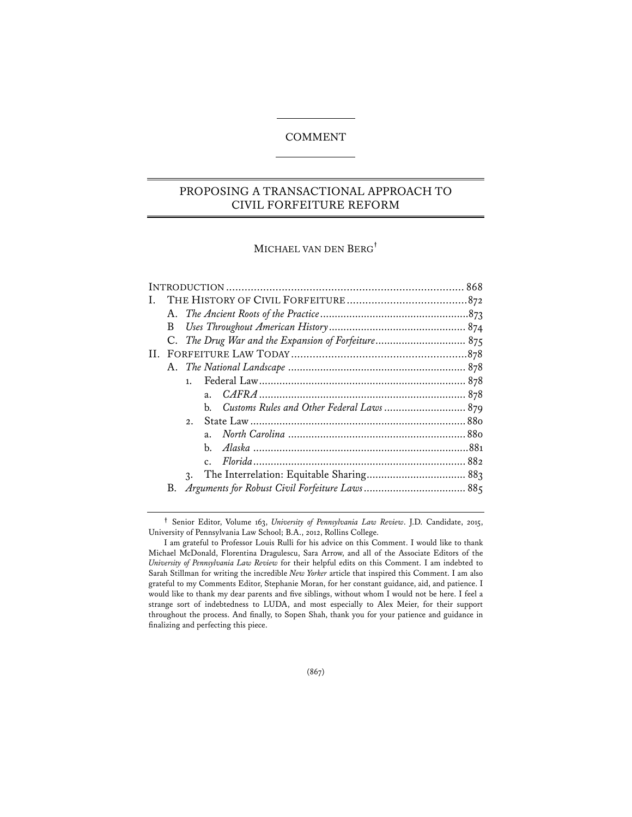# COMMENT

# PROPOSING A TRANSACTIONAL APPROACH TO CIVIL FORFEITURE REFORM

MICHAEL VAN DEN BERG**†**

| B  |                 |                                              |    |  |
|----|-----------------|----------------------------------------------|----|--|
|    |                 |                                              |    |  |
|    |                 |                                              |    |  |
|    |                 |                                              |    |  |
|    | 1 <sub>1</sub>  |                                              |    |  |
|    |                 | a.                                           |    |  |
|    |                 | b. Customs Rules and Other Federal Laws  879 |    |  |
|    |                 |                                              |    |  |
|    |                 | a <sub>z</sub>                               |    |  |
|    |                 | b.                                           |    |  |
|    |                 | $\mathbf{c}$ .                               |    |  |
|    | $\mathcal{R}$ . |                                              |    |  |
| В. |                 |                                              |    |  |
|    |                 |                                              | 2. |  |

**†** Senior Editor, Volume 163, *University of Pennsylvania Law Review*. J.D. Candidate, 2015, University of Pennsylvania Law School; B.A., 2012, Rollins College.

I am grateful to Professor Louis Rulli for his advice on this Comment. I would like to thank Michael McDonald, Florentina Dragulescu, Sara Arrow, and all of the Associate Editors of the *University of Pennsylvania Law Review* for their helpful edits on this Comment. I am indebted to Sarah Stillman for writing the incredible *New Yorker* article that inspired this Comment. I am also grateful to my Comments Editor, Stephanie Moran, for her constant guidance, aid, and patience. I would like to thank my dear parents and five siblings, without whom I would not be here. I feel a strange sort of indebtedness to LUDA, and most especially to Alex Meier, for their support throughout the process. And finally, to Sopen Shah, thank you for your patience and guidance in finalizing and perfecting this piece.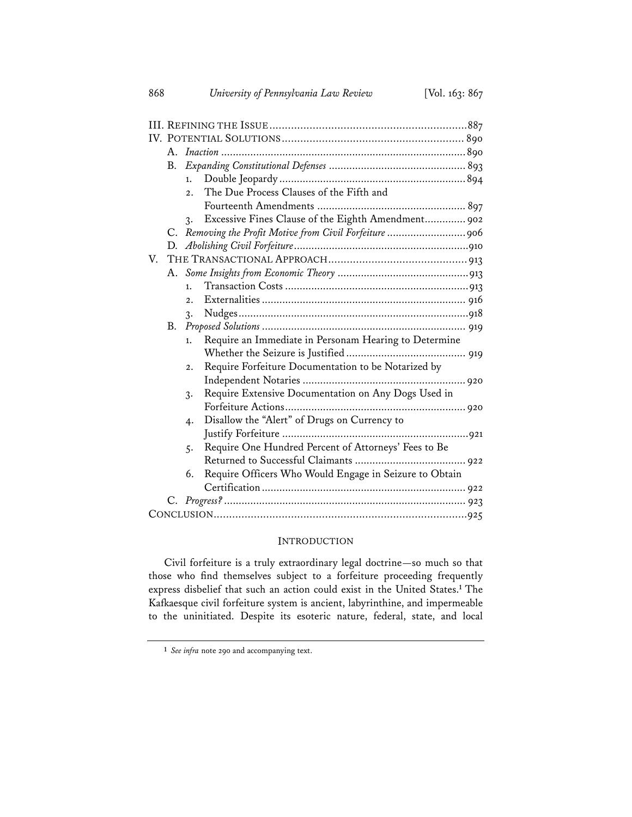|    |           | 1.                                                                      |  |  |
|----|-----------|-------------------------------------------------------------------------|--|--|
|    |           | The Due Process Clauses of the Fifth and<br>2.1                         |  |  |
|    |           |                                                                         |  |  |
|    |           | Excessive Fines Clause of the Eighth Amendment 902<br>$\mathcal{R}$ .   |  |  |
|    |           | C. Removing the Profit Motive from Civil Forfeiture 906                 |  |  |
|    |           |                                                                         |  |  |
| V. |           |                                                                         |  |  |
|    |           |                                                                         |  |  |
|    |           | 1 <sub>1</sub>                                                          |  |  |
|    |           | 2.                                                                      |  |  |
|    |           | $\mathcal{R}$ .                                                         |  |  |
|    | <b>B.</b> |                                                                         |  |  |
|    |           | Require an Immediate in Personam Hearing to Determine<br>1.             |  |  |
|    |           |                                                                         |  |  |
|    |           | Require Forfeiture Documentation to be Notarized by<br>$\overline{2}$ . |  |  |
|    |           |                                                                         |  |  |
|    |           | Require Extensive Documentation on Any Dogs Used in<br>$\mathbf{3}$     |  |  |
|    |           |                                                                         |  |  |
|    |           | Disallow the "Alert" of Drugs on Currency to<br>4.                      |  |  |
|    |           |                                                                         |  |  |
|    |           | Require One Hundred Percent of Attorneys' Fees to Be<br>5.              |  |  |
|    |           |                                                                         |  |  |
|    |           | Require Officers Who Would Engage in Seizure to Obtain<br>6.            |  |  |
|    |           |                                                                         |  |  |
|    |           |                                                                         |  |  |
|    |           |                                                                         |  |  |

### **INTRODUCTION**

Civil forfeiture is a truly extraordinary legal doctrine—so much so that those who find themselves subject to a forfeiture proceeding frequently express disbelief that such an action could exist in the United States.**<sup>1</sup>** The Kafkaesque civil forfeiture system is ancient, labyrinthine, and impermeable to the uninitiated. Despite its esoteric nature, federal, state, and local

**<sup>1</sup>** *See infra* note 290 and accompanying text.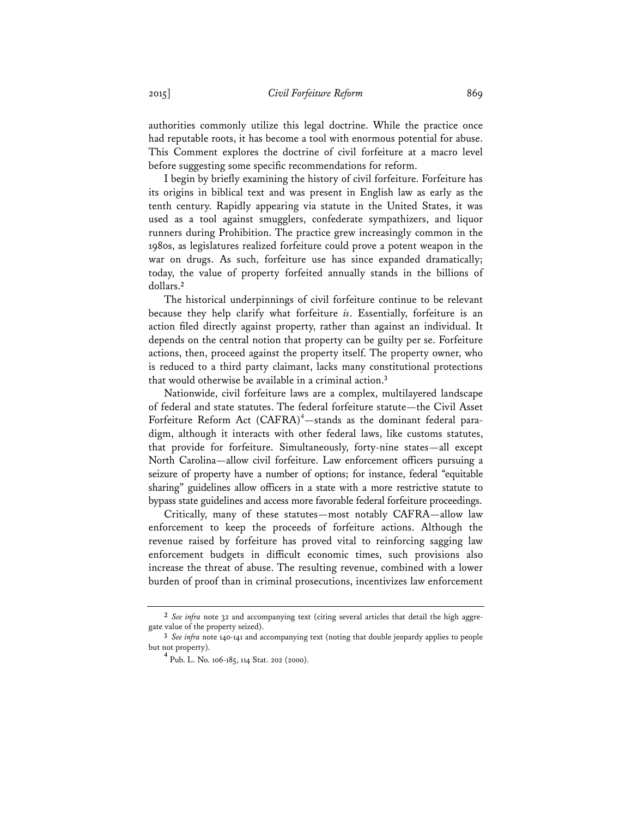authorities commonly utilize this legal doctrine. While the practice once had reputable roots, it has become a tool with enormous potential for abuse. This Comment explores the doctrine of civil forfeiture at a macro level before suggesting some specific recommendations for reform.

I begin by briefly examining the history of civil forfeiture. Forfeiture has its origins in biblical text and was present in English law as early as the tenth century. Rapidly appearing via statute in the United States, it was used as a tool against smugglers, confederate sympathizers, and liquor runners during Prohibition. The practice grew increasingly common in the 1980s, as legislatures realized forfeiture could prove a potent weapon in the war on drugs. As such, forfeiture use has since expanded dramatically; today, the value of property forfeited annually stands in the billions of dollars.**<sup>2</sup>**

The historical underpinnings of civil forfeiture continue to be relevant because they help clarify what forfeiture *is*. Essentially, forfeiture is an action filed directly against property, rather than against an individual. It depends on the central notion that property can be guilty per se. Forfeiture actions, then, proceed against the property itself. The property owner, who is reduced to a third party claimant, lacks many constitutional protections that would otherwise be available in a criminal action.**<sup>3</sup>**

Nationwide, civil forfeiture laws are a complex, multilayered landscape of federal and state statutes. The federal forfeiture statute—the Civil Asset Forfeiture Reform Act (CAFRA)<sup>4</sup>-stands as the dominant federal paradigm, although it interacts with other federal laws, like customs statutes, that provide for forfeiture. Simultaneously, forty-nine states—all except North Carolina—allow civil forfeiture. Law enforcement officers pursuing a seizure of property have a number of options; for instance, federal "equitable sharing" guidelines allow officers in a state with a more restrictive statute to bypass state guidelines and access more favorable federal forfeiture proceedings.

Critically, many of these statutes—most notably CAFRA—allow law enforcement to keep the proceeds of forfeiture actions. Although the revenue raised by forfeiture has proved vital to reinforcing sagging law enforcement budgets in difficult economic times, such provisions also increase the threat of abuse. The resulting revenue, combined with a lower burden of proof than in criminal prosecutions, incentivizes law enforcement

**<sup>2</sup>** *See infra* note 32 and accompanying text (citing several articles that detail the high aggregate value of the property seized).

**<sup>3</sup>** *See infra* note 140-141 and accompanying text (noting that double jeopardy applies to people but not property). **<sup>4</sup>**

<sup>&</sup>lt;sup>4</sup> Pub. L. No. 106-185, 114 Stat. 202 (2000).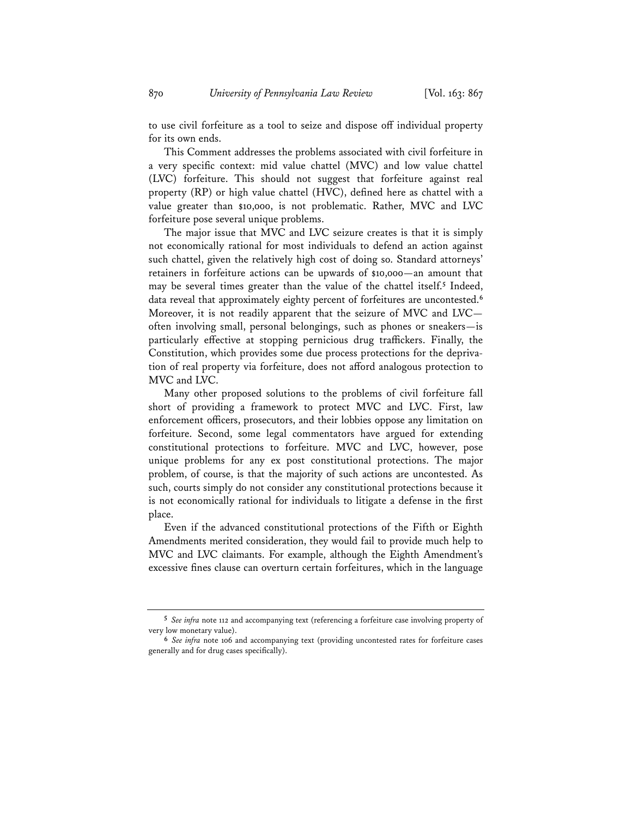to use civil forfeiture as a tool to seize and dispose off individual property for its own ends.

This Comment addresses the problems associated with civil forfeiture in a very specific context: mid value chattel (MVC) and low value chattel (LVC) forfeiture. This should not suggest that forfeiture against real property (RP) or high value chattel (HVC), defined here as chattel with a value greater than \$10,000, is not problematic. Rather, MVC and LVC forfeiture pose several unique problems.

The major issue that MVC and LVC seizure creates is that it is simply not economically rational for most individuals to defend an action against such chattel, given the relatively high cost of doing so. Standard attorneys' retainers in forfeiture actions can be upwards of \$10,000—an amount that may be several times greater than the value of the chattel itself.**<sup>5</sup>** Indeed, data reveal that approximately eighty percent of forfeitures are uncontested.**<sup>6</sup>** Moreover, it is not readily apparent that the seizure of MVC and LVC often involving small, personal belongings, such as phones or sneakers—is particularly effective at stopping pernicious drug traffickers. Finally, the Constitution, which provides some due process protections for the deprivation of real property via forfeiture, does not afford analogous protection to MVC and LVC.

Many other proposed solutions to the problems of civil forfeiture fall short of providing a framework to protect MVC and LVC. First, law enforcement officers, prosecutors, and their lobbies oppose any limitation on forfeiture. Second, some legal commentators have argued for extending constitutional protections to forfeiture. MVC and LVC, however, pose unique problems for any ex post constitutional protections. The major problem, of course, is that the majority of such actions are uncontested. As such, courts simply do not consider any constitutional protections because it is not economically rational for individuals to litigate a defense in the first place.

Even if the advanced constitutional protections of the Fifth or Eighth Amendments merited consideration, they would fail to provide much help to MVC and LVC claimants. For example, although the Eighth Amendment's excessive fines clause can overturn certain forfeitures, which in the language

**<sup>5</sup>** *See infra* note 112 and accompanying text (referencing a forfeiture case involving property of very low monetary value).

**<sup>6</sup>** *See infra* note 106 and accompanying text (providing uncontested rates for forfeiture cases generally and for drug cases specifically).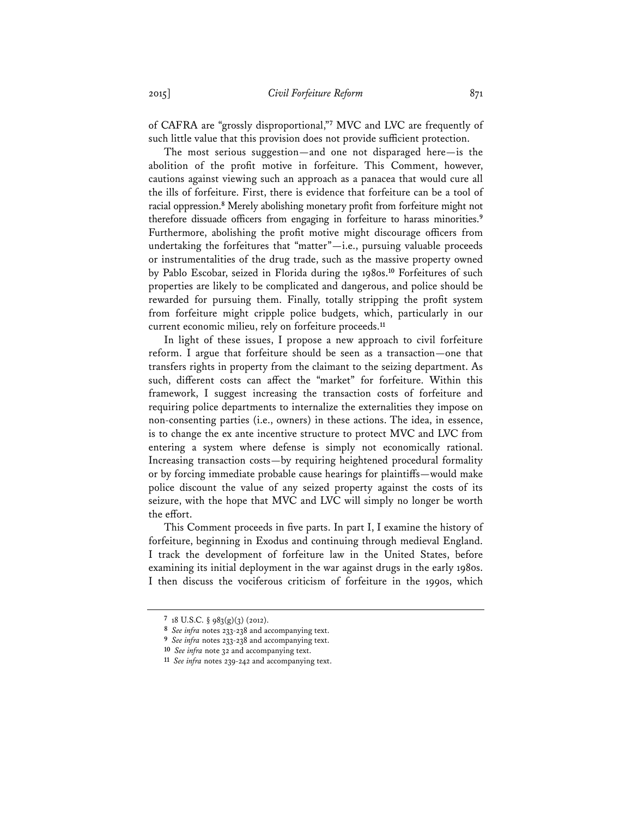of CAFRA are "grossly disproportional,"**<sup>7</sup>** MVC and LVC are frequently of such little value that this provision does not provide sufficient protection.

The most serious suggestion—and one not disparaged here—is the abolition of the profit motive in forfeiture. This Comment, however, cautions against viewing such an approach as a panacea that would cure all the ills of forfeiture. First, there is evidence that forfeiture can be a tool of racial oppression.**<sup>8</sup>** Merely abolishing monetary profit from forfeiture might not therefore dissuade officers from engaging in forfeiture to harass minorities.**<sup>9</sup>** Furthermore, abolishing the profit motive might discourage officers from undertaking the forfeitures that "matter"—i.e., pursuing valuable proceeds or instrumentalities of the drug trade, such as the massive property owned by Pablo Escobar, seized in Florida during the 1980s.**<sup>10</sup>** Forfeitures of such properties are likely to be complicated and dangerous, and police should be rewarded for pursuing them. Finally, totally stripping the profit system from forfeiture might cripple police budgets, which, particularly in our current economic milieu, rely on forfeiture proceeds.**<sup>11</sup>**

In light of these issues, I propose a new approach to civil forfeiture reform. I argue that forfeiture should be seen as a transaction—one that transfers rights in property from the claimant to the seizing department. As such, different costs can affect the "market" for forfeiture. Within this framework, I suggest increasing the transaction costs of forfeiture and requiring police departments to internalize the externalities they impose on non-consenting parties (i.e., owners) in these actions. The idea, in essence, is to change the ex ante incentive structure to protect MVC and LVC from entering a system where defense is simply not economically rational. Increasing transaction costs—by requiring heightened procedural formality or by forcing immediate probable cause hearings for plaintiffs—would make police discount the value of any seized property against the costs of its seizure, with the hope that MVC and LVC will simply no longer be worth the effort.

This Comment proceeds in five parts. In part I, I examine the history of forfeiture, beginning in Exodus and continuing through medieval England. I track the development of forfeiture law in the United States, before examining its initial deployment in the war against drugs in the early 1980s. I then discuss the vociferous criticism of forfeiture in the 1990s, which

**<sup>7</sup>** 18 U.S.C. § 983(g)(3) (2012).

**<sup>8</sup>** *See infra* notes 233-238 and accompanying text.

**<sup>9</sup>** *See infra* notes 233-238 and accompanying text.

**<sup>10</sup>** *See infra* note 32 and accompanying text. **<sup>11</sup>** *See infra* notes 239-242 and accompanying text.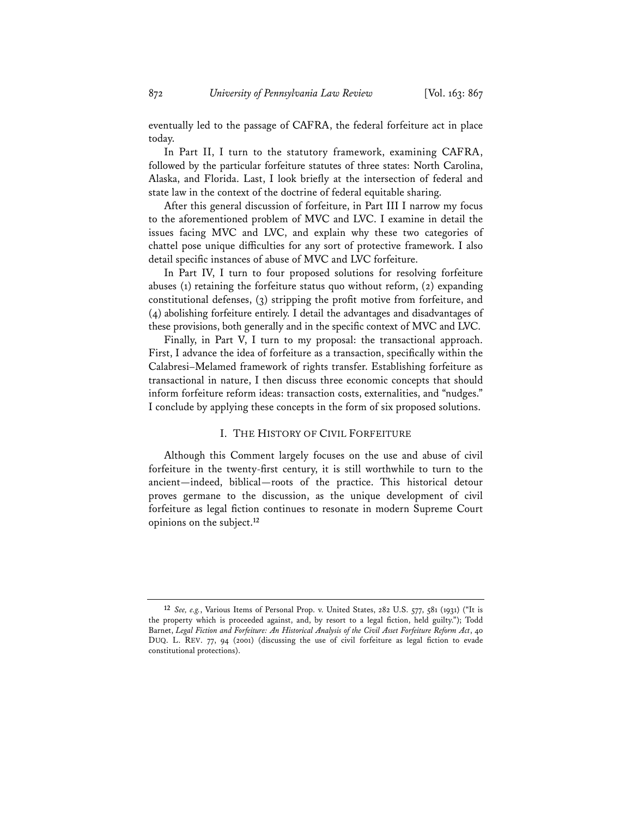eventually led to the passage of CAFRA, the federal forfeiture act in place today.

In Part II, I turn to the statutory framework, examining CAFRA, followed by the particular forfeiture statutes of three states: North Carolina, Alaska, and Florida. Last, I look briefly at the intersection of federal and state law in the context of the doctrine of federal equitable sharing.

After this general discussion of forfeiture, in Part III I narrow my focus to the aforementioned problem of MVC and LVC. I examine in detail the issues facing MVC and LVC, and explain why these two categories of chattel pose unique difficulties for any sort of protective framework. I also detail specific instances of abuse of MVC and LVC forfeiture.

In Part IV, I turn to four proposed solutions for resolving forfeiture abuses (1) retaining the forfeiture status quo without reform, (2) expanding constitutional defenses, (3) stripping the profit motive from forfeiture, and (4) abolishing forfeiture entirely. I detail the advantages and disadvantages of these provisions, both generally and in the specific context of MVC and LVC.

Finally, in Part V, I turn to my proposal: the transactional approach. First, I advance the idea of forfeiture as a transaction, specifically within the Calabresi–Melamed framework of rights transfer. Establishing forfeiture as transactional in nature, I then discuss three economic concepts that should inform forfeiture reform ideas: transaction costs, externalities, and "nudges." I conclude by applying these concepts in the form of six proposed solutions.

### I. THE HISTORY OF CIVIL FORFEITURE

Although this Comment largely focuses on the use and abuse of civil forfeiture in the twenty-first century, it is still worthwhile to turn to the ancient—indeed, biblical—roots of the practice. This historical detour proves germane to the discussion, as the unique development of civil forfeiture as legal fiction continues to resonate in modern Supreme Court opinions on the subject.**<sup>12</sup>**

**<sup>12</sup>** *See, e.g.*, Various Items of Personal Prop. v. United States, 282 U.S. 577, 581 (1931) ("It is the property which is proceeded against, and, by resort to a legal fiction, held guilty."); Todd Barnet, *Legal Fiction and Forfeiture: An Historical Analysis of the Civil Asset Forfeiture Reform Act*, 40 DUQ. L. REV. 77, 94 (2001) (discussing the use of civil forfeiture as legal fiction to evade constitutional protections).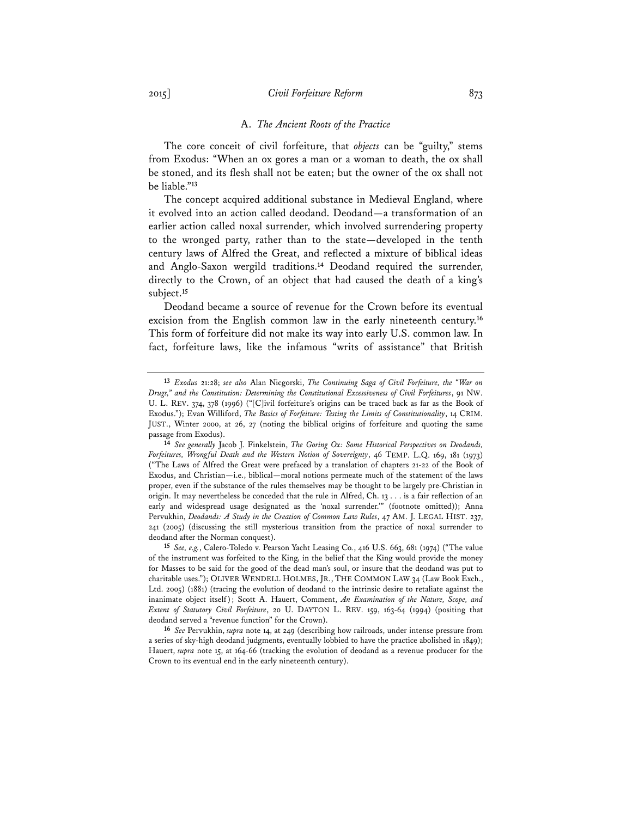#### A. *The Ancient Roots of the Practice*

The core conceit of civil forfeiture, that *objects* can be "guilty," stems from Exodus: "When an ox gores a man or a woman to death, the ox shall be stoned, and its flesh shall not be eaten; but the owner of the ox shall not be liable."**<sup>13</sup>**

The concept acquired additional substance in Medieval England, where it evolved into an action called deodand. Deodand—a transformation of an earlier action called noxal surrender*,* which involved surrendering property to the wronged party, rather than to the state—developed in the tenth century laws of Alfred the Great, and reflected a mixture of biblical ideas and Anglo-Saxon wergild traditions.**<sup>14</sup>** Deodand required the surrender, directly to the Crown, of an object that had caused the death of a king's subject.**<sup>15</sup>**

Deodand became a source of revenue for the Crown before its eventual excision from the English common law in the early nineteenth century.**<sup>16</sup>** This form of forfeiture did not make its way into early U.S. common law. In fact, forfeiture laws, like the infamous "writs of assistance" that British

**<sup>13</sup>** *Exodus* 21:28; *see also* Alan Nicgorski, *The Continuing Saga of Civil Forfeiture, the* "*War on Drugs," and the Constitution: Determining the Constitutional Excessiveness of Civil Forfeitures*, 91 NW. U. L. REV. 374, 378 (1996) ("[C]ivil forfeiture's origins can be traced back as far as the Book of Exodus."); Evan Williford, *The Basics of Forfeiture: Testing the Limits of Constitutionality*, 14 CRIM. JUST., Winter 2000, at 26, 27 (noting the biblical origins of forfeiture and quoting the same

passage from Exodus). **<sup>14</sup>** *See generally* Jacob J. Finkelstein, *The Goring Ox: Some Historical Perspectives on Deodands, Forfeitures, Wrongful Death and the Western Notion of Sovereignty*, 46 TEMP. L.Q. 169, 181 (1973) ("The Laws of Alfred the Great were prefaced by a translation of chapters 21-22 of the Book of Exodus, and Christian—i.e., biblical—moral notions permeate much of the statement of the laws proper, even if the substance of the rules themselves may be thought to be largely pre-Christian in origin. It may nevertheless be conceded that the rule in Alfred, Ch. 13 . . . is a fair reflection of an early and widespread usage designated as the 'noxal surrender.'" (footnote omitted)); Anna Pervukhin, *Deodands: A Study in the Creation of Common Law Rules*, 47 AM. J. LEGAL HIST. 237, 241 (2005) (discussing the still mysterious transition from the practice of noxal surrender to deodand after the Norman conquest).

**<sup>15</sup>** *See, e.g.*, Calero-Toledo v. Pearson Yacht Leasing Co*.*, 416 U.S. 663, 681 (1974) ("The value of the instrument was forfeited to the King, in the belief that the King would provide the money for Masses to be said for the good of the dead man's soul, or insure that the deodand was put to charitable uses."); OLIVER WENDELL HOLMES, JR., THE COMMON LAW 34 (Law Book Exch., Ltd. 2005) (1881) (tracing the evolution of deodand to the intrinsic desire to retaliate against the inanimate object itself); Scott A. Hauert, Comment, *An Examination of the Nature, Scope, and Extent of Statutory Civil Forfeiture*, 20 U. DAYTON L. REV. 159, 163-64 (1994) (positing that deodand served a "revenue function" for the Crown).

**<sup>16</sup>** *See* Pervukhin, *supra* note 14, at 249 (describing how railroads, under intense pressure from a series of sky-high deodand judgments, eventually lobbied to have the practice abolished in 1849); Hauert, *supra* note 15, at 164-66 (tracking the evolution of deodand as a revenue producer for the Crown to its eventual end in the early nineteenth century).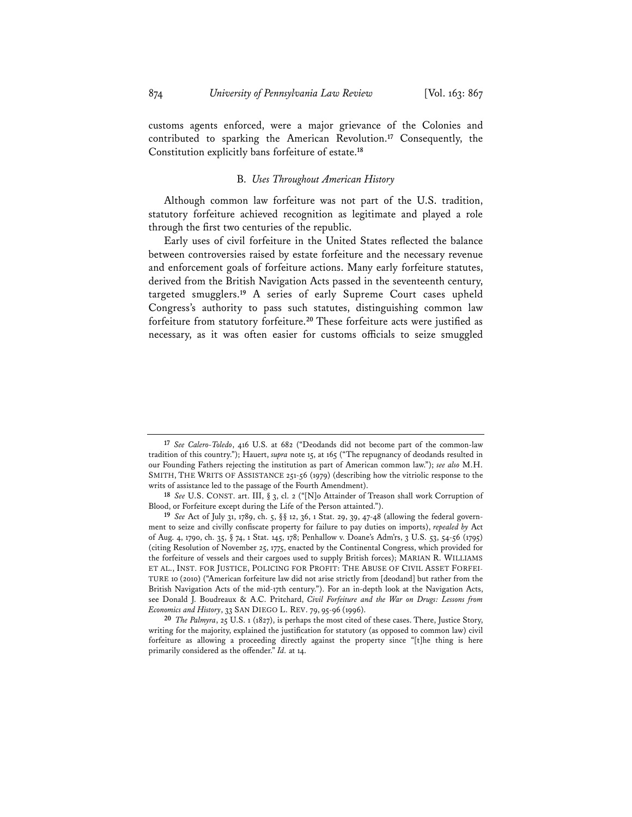customs agents enforced, were a major grievance of the Colonies and contributed to sparking the American Revolution.**<sup>17</sup>** Consequently, the Constitution explicitly bans forfeiture of estate.**<sup>18</sup>**

### B. *Uses Throughout American History*

Although common law forfeiture was not part of the U.S. tradition, statutory forfeiture achieved recognition as legitimate and played a role through the first two centuries of the republic.

Early uses of civil forfeiture in the United States reflected the balance between controversies raised by estate forfeiture and the necessary revenue and enforcement goals of forfeiture actions. Many early forfeiture statutes, derived from the British Navigation Acts passed in the seventeenth century, targeted smugglers.**<sup>19</sup>** A series of early Supreme Court cases upheld Congress's authority to pass such statutes, distinguishing common law forfeiture from statutory forfeiture.**<sup>20</sup>** These forfeiture acts were justified as necessary, as it was often easier for customs officials to seize smuggled

**<sup>17</sup>** *See Calero-Toledo*, 416 U.S. at 682 ("Deodands did not become part of the common-law tradition of this country."); Hauert, *supra* note 15, at 165 ("The repugnancy of deodands resulted in our Founding Fathers rejecting the institution as part of American common law."); *see also* M.H. SMITH, THE WRITS OF ASSISTANCE 251-56 (1979) (describing how the vitriolic response to the writs of assistance led to the passage of the Fourth Amendment).

**<sup>18</sup>** *See* U.S. CONST. art. III, § 3, cl. 2 ("[N]o Attainder of Treason shall work Corruption of Blood, or Forfeiture except during the Life of the Person attainted.").

**<sup>19</sup>** *See* Act of July 31, 1789, ch. 5, §§ 12, 36, 1 Stat. 29, 39, 47-48 (allowing the federal government to seize and civilly confiscate property for failure to pay duties on imports), *repealed by* Act of Aug. 4, 1790, ch. 35, § 74, 1 Stat. 145, 178; Penhallow v. Doane's Adm'rs, 3 U.S. 53, 54-56 (1795) (citing Resolution of November 25, 1775, enacted by the Continental Congress, which provided for the forfeiture of vessels and their cargoes used to supply British forces); MARIAN R. WILLIAMS ET AL., INST. FOR JUSTICE, POLICING FOR PROFIT: THE ABUSE OF CIVIL ASSET FORFEI-TURE 10 (2010) ("American forfeiture law did not arise strictly from [deodand] but rather from the British Navigation Acts of the mid-17th century."). For an in-depth look at the Navigation Acts, see Donald J. Boudreaux & A.C. Pritchard, *Civil Forfeiture and the War on Drugs: Lessons from Economics and History*, 33 SAN DIEGO L. REV. 79, 95-96 (1996).

**<sup>20</sup>** *The Palmyra*, 25 U.S. 1 (1827), is perhaps the most cited of these cases. There, Justice Story, writing for the majority, explained the justification for statutory (as opposed to common law) civil forfeiture as allowing a proceeding directly against the property since "[t]he thing is here primarily considered as the offender." *Id.* at 14.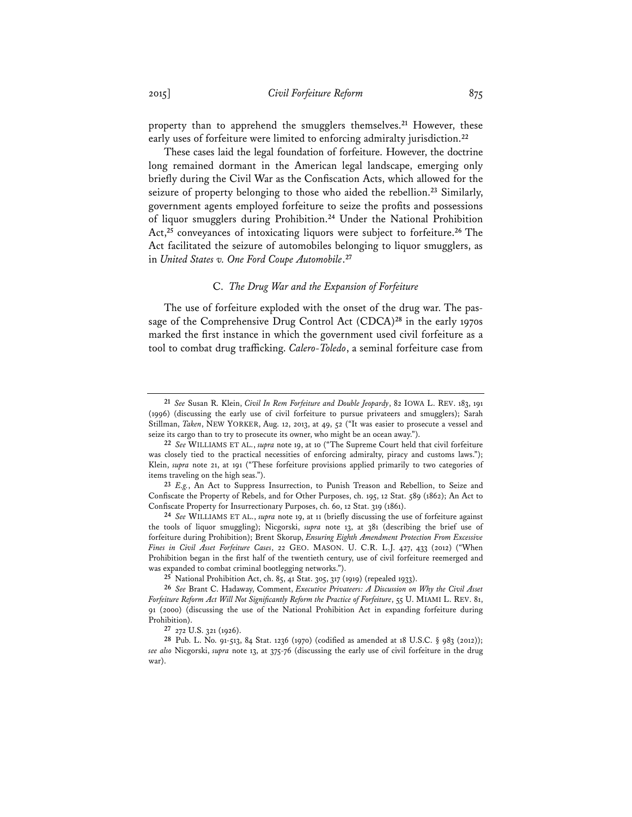property than to apprehend the smugglers themselves.**<sup>21</sup>** However, these early uses of forfeiture were limited to enforcing admiralty jurisdiction.**<sup>22</sup>**

These cases laid the legal foundation of forfeiture. However, the doctrine long remained dormant in the American legal landscape, emerging only briefly during the Civil War as the Confiscation Acts, which allowed for the seizure of property belonging to those who aided the rebellion.**<sup>23</sup>** Similarly, government agents employed forfeiture to seize the profits and possessions of liquor smugglers during Prohibition.**<sup>24</sup>** Under the National Prohibition Act,**<sup>25</sup>** conveyances of intoxicating liquors were subject to forfeiture.**<sup>26</sup>** The Act facilitated the seizure of automobiles belonging to liquor smugglers, as in *United States v. One Ford Coupe Automobile*. **27**

#### C. *The Drug War and the Expansion of Forfeiture*

The use of forfeiture exploded with the onset of the drug war. The passage of the Comprehensive Drug Control Act (CDCA)**<sup>28</sup>** in the early 1970s marked the first instance in which the government used civil forfeiture as a tool to combat drug trafficking. *Calero-Toledo*, a seminal forfeiture case from

**<sup>21</sup>** *See* Susan R. Klein, *Civil In Rem Forfeiture and Double Jeopardy*, 82 IOWA L. REV. 183, 191 (1996) (discussing the early use of civil forfeiture to pursue privateers and smugglers); Sarah Stillman, *Taken*, NEW YORKER, Aug. 12, 2013, at 49, 52 ("It was easier to prosecute a vessel and seize its cargo than to try to prosecute its owner, who might be an ocean away.").

**<sup>22</sup>** *See* WILLIAMS ET AL., *supra* note 19, at 10 ("The Supreme Court held that civil forfeiture was closely tied to the practical necessities of enforcing admiralty, piracy and customs laws."); Klein, *supra* note 21, at 191 ("These forfeiture provisions applied primarily to two categories of items traveling on the high seas.").

**<sup>23</sup>** *E.g.*, An Act to Suppress Insurrection, to Punish Treason and Rebellion, to Seize and Confiscate the Property of Rebels, and for Other Purposes, ch. 195, 12 Stat. 589 (1862); An Act to Confiscate Property for Insurrectionary Purposes, ch. 60, 12 Stat. 319 (1861).

**<sup>24</sup>** *See* WILLIAMS ET AL., *supra* note 19, at 11 (briefly discussing the use of forfeiture against the tools of liquor smuggling); Nicgorski, *supra* note 13, at 381 (describing the brief use of forfeiture during Prohibition); Brent Skorup, *Ensuring Eighth Amendment Protection From Excessive Fines in Civil Asset Forfeiture Cases*, 22 GEO. MASON. U. C.R. L.J. 427, 433 (2012) ("When Prohibition began in the first half of the twentieth century, use of civil forfeiture reemerged and was expanded to combat criminal bootlegging networks.").

**<sup>25</sup>** National Prohibition Act, ch. 85, 41 Stat. 305, 317 (1919) (repealed 1933).

**<sup>26</sup>** *See* Brant C. Hadaway, Comment, *Executive Privateers: A Discussion on Why the Civil Asset Forfeiture Reform Act Will Not Significantly Reform the Practice of Forfeiture*, 55 U. MIAMI L. REV. 81, 91 (2000) (discussing the use of the National Prohibition Act in expanding forfeiture during Prohibition).

**<sup>27</sup>** 272 U.S. 321 (1926).

**<sup>28</sup>** Pub. L. No. 91-513, 84 Stat. 1236 (1970) (codified as amended at 18 U.S.C. § 983 (2012)); *see also* Nicgorski, *supra* note 13, at 375-76 (discussing the early use of civil forfeiture in the drug war).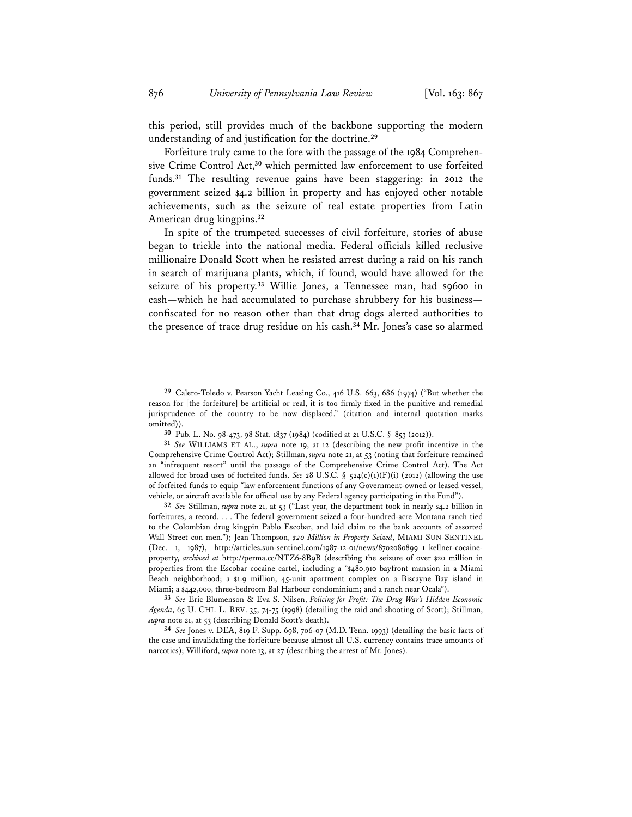this period, still provides much of the backbone supporting the modern understanding of and justification for the doctrine.**<sup>29</sup>**

Forfeiture truly came to the fore with the passage of the 1984 Comprehensive Crime Control Act,**<sup>30</sup>** which permitted law enforcement to use forfeited funds.**<sup>31</sup>** The resulting revenue gains have been staggering: in 2012 the government seized \$4.2 billion in property and has enjoyed other notable achievements, such as the seizure of real estate properties from Latin American drug kingpins.**<sup>32</sup>**

In spite of the trumpeted successes of civil forfeiture, stories of abuse began to trickle into the national media. Federal officials killed reclusive millionaire Donald Scott when he resisted arrest during a raid on his ranch in search of marijuana plants, which, if found, would have allowed for the seizure of his property.**<sup>33</sup>** Willie Jones, a Tennessee man, had \$9600 in cash—which he had accumulated to purchase shrubbery for his business confiscated for no reason other than that drug dogs alerted authorities to the presence of trace drug residue on his cash.**<sup>34</sup>** Mr. Jones's case so alarmed

**<sup>29</sup>** Calero-Toledo v. Pearson Yacht Leasing Co., 416 U.S. 663, 686 (1974) ("But whether the reason for [the forfeiture] be artificial or real, it is too firmly fixed in the punitive and remedial jurisprudence of the country to be now displaced." (citation and internal quotation marks omitted)).

**<sup>30</sup>** Pub. L. No. 98-473, 98 Stat. 1837 (1984) (codified at 21 U.S.C. § 853 (2012)).

**<sup>31</sup>** *See* WILLIAMS ET AL., *supra* note 19, at 12 (describing the new profit incentive in the Comprehensive Crime Control Act); Stillman, *supra* note 21, at 53 (noting that forfeiture remained an "infrequent resort" until the passage of the Comprehensive Crime Control Act). The Act allowed for broad uses of forfeited funds. *See* 28 U.S.C. § 524(c)(1)(F)(i) (2012) (allowing the use of forfeited funds to equip "law enforcement functions of any Government-owned or leased vessel, vehicle, or aircraft available for official use by any Federal agency participating in the Fund").

**<sup>32</sup>** *See* Stillman, *supra* note 21, at 53 ("Last year, the department took in nearly \$4.2 billion in forfeitures, a record. . . . The federal government seized a four-hundred-acre Montana ranch tied to the Colombian drug kingpin Pablo Escobar, and laid claim to the bank accounts of assorted Wall Street con men."); Jean Thompson, *\$20 Million in Property Seized*, MIAMI SUN-SENTINEL (Dec. 1, 1987), http://articles.sun-sentinel.com/1987-12-01/news/8702080899\_1\_kellner-cocaineproperty, *archived at* http://perma.cc/NTZ6-8B9B (describing the seizure of over \$20 million in properties from the Escobar cocaine cartel, including a "\$480,910 bayfront mansion in a Miami Beach neighborhood; a \$1.9 million, 45-unit apartment complex on a Biscayne Bay island in Miami; a \$442,000, three-bedroom Bal Harbour condominium; and a ranch near Ocala").

**<sup>33</sup>** *See* Eric Blumenson & Eva S. Nilsen, *Policing for Profit: The Drug War's Hidden Economic Agenda*, 65 U. CHI. L. REV. 35, 74-75 (1998) (detailing the raid and shooting of Scott); Stillman, *supra* note 21, at 53 (describing Donald Scott's death).

**<sup>34</sup>** *See* Jones v. DEA, 819 F. Supp. 698, 706-07 (M.D. Tenn. 1993) (detailing the basic facts of the case and invalidating the forfeiture because almost all U.S. currency contains trace amounts of narcotics); Williford, *supra* note 13, at 27 (describing the arrest of Mr. Jones).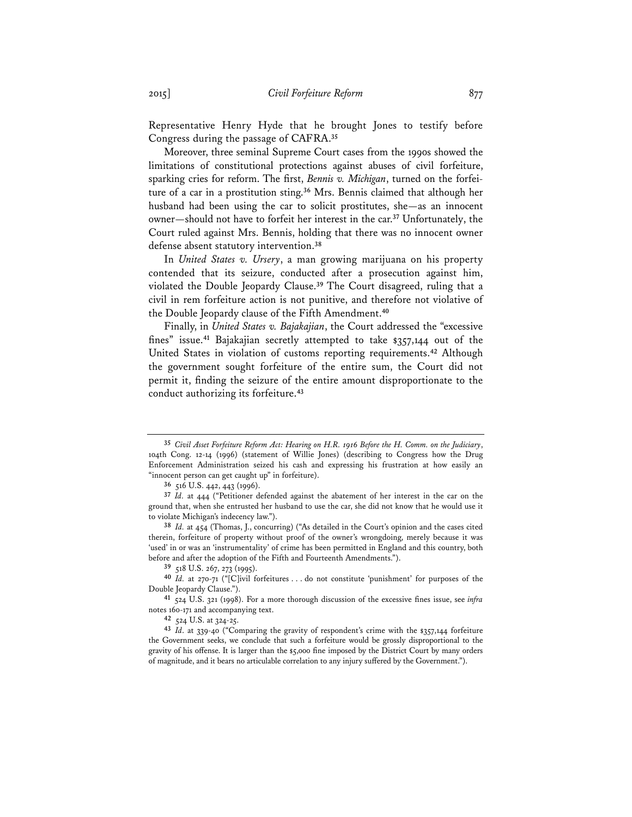Representative Henry Hyde that he brought Jones to testify before Congress during the passage of CAFRA.**<sup>35</sup>**

Moreover, three seminal Supreme Court cases from the 1990s showed the limitations of constitutional protections against abuses of civil forfeiture, sparking cries for reform. The first, *Bennis v. Michigan*, turned on the forfeiture of a car in a prostitution sting.**<sup>36</sup>** Mrs. Bennis claimed that although her husband had been using the car to solicit prostitutes, she—as an innocent owner—should not have to forfeit her interest in the car.**<sup>37</sup>** Unfortunately, the Court ruled against Mrs. Bennis, holding that there was no innocent owner defense absent statutory intervention.**<sup>38</sup>**

In *United States v. Ursery*, a man growing marijuana on his property contended that its seizure, conducted after a prosecution against him, violated the Double Jeopardy Clause.**<sup>39</sup>** The Court disagreed, ruling that a civil in rem forfeiture action is not punitive, and therefore not violative of the Double Jeopardy clause of the Fifth Amendment.**<sup>40</sup>**

Finally, in *United States v. Bajakajian*, the Court addressed the "excessive fines" issue.**<sup>41</sup>** Bajakajian secretly attempted to take \$357,144 out of the United States in violation of customs reporting requirements.**<sup>42</sup>** Although the government sought forfeiture of the entire sum, the Court did not permit it, finding the seizure of the entire amount disproportionate to the conduct authorizing its forfeiture.**<sup>43</sup>**

**<sup>39</sup>** 518 U.S. 267, 273 (1995).

**<sup>40</sup>** *Id.* at 270-71 ("[C]ivil forfeitures . . . do not constitute 'punishment' for purposes of the

Double Jeopardy Clause."). **41** 524 U.S. 321 (1998). For a more thorough discussion of the excessive fines issue, see *infra* notes 160-171 and accompanying text.

**<sup>42</sup>** 524 U.S. at 324-25.

**<sup>43</sup>** *Id*. at 339-40 ("Comparing the gravity of respondent's crime with the \$357,144 forfeiture the Government seeks, we conclude that such a forfeiture would be grossly disproportional to the gravity of his offense. It is larger than the \$5,000 fine imposed by the District Court by many orders of magnitude, and it bears no articulable correlation to any injury suffered by the Government.").

**<sup>35</sup>** *Civil Asset Forfeiture Reform Act: Hearing on H.R. 1916 Before the H. Comm. on the Judiciary*, 104th Cong. 12-14 (1996) (statement of Willie Jones) (describing to Congress how the Drug Enforcement Administration seized his cash and expressing his frustration at how easily an "innocent person can get caught up" in forfeiture).

**<sup>36</sup>** 516 U.S. 442, 443 (1996).

**<sup>37</sup>** *Id.* at 444 ("Petitioner defended against the abatement of her interest in the car on the ground that, when she entrusted her husband to use the car, she did not know that he would use it to violate Michigan's indecency law.").

**<sup>38</sup>** *Id.* at 454 (Thomas, J., concurring) ("As detailed in the Court's opinion and the cases cited therein, forfeiture of property without proof of the owner's wrongdoing, merely because it was 'used' in or was an 'instrumentality' of crime has been permitted in England and this country, both before and after the adoption of the Fifth and Fourteenth Amendments.").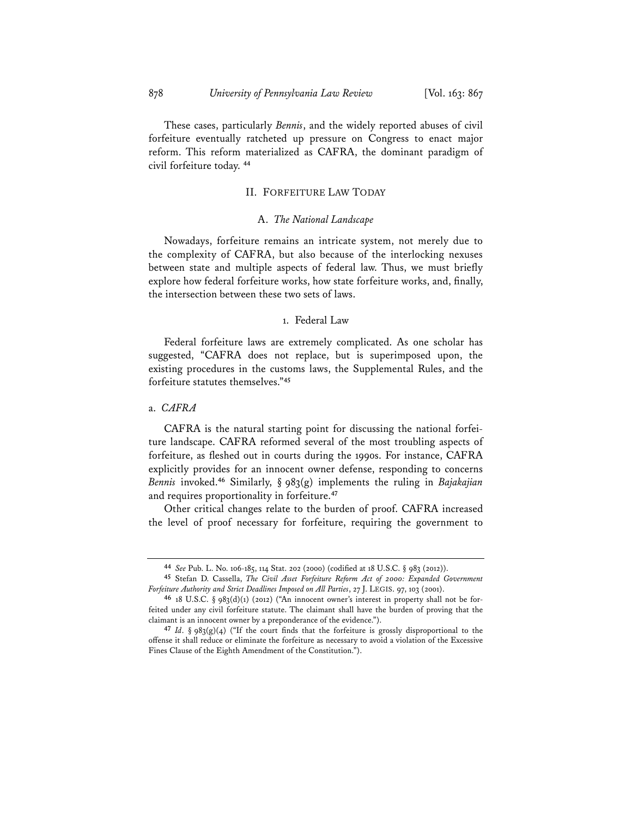These cases, particularly *Bennis*, and the widely reported abuses of civil forfeiture eventually ratcheted up pressure on Congress to enact major reform. This reform materialized as CAFRA, the dominant paradigm of civil forfeiture today. **<sup>44</sup>**

#### II. FORFEITURE LAW TODAY

#### A. *The National Landscape*

Nowadays, forfeiture remains an intricate system, not merely due to the complexity of CAFRA, but also because of the interlocking nexuses between state and multiple aspects of federal law. Thus, we must briefly explore how federal forfeiture works, how state forfeiture works, and, finally, the intersection between these two sets of laws.

### 1. Federal Law

Federal forfeiture laws are extremely complicated. As one scholar has suggested, "CAFRA does not replace, but is superimposed upon, the existing procedures in the customs laws, the Supplemental Rules, and the forfeiture statutes themselves."**<sup>45</sup>**

#### a. *CAFRA*

CAFRA is the natural starting point for discussing the national forfeiture landscape. CAFRA reformed several of the most troubling aspects of forfeiture, as fleshed out in courts during the 1990s. For instance, CAFRA explicitly provides for an innocent owner defense, responding to concerns *Bennis* invoked.**<sup>46</sup>** Similarly, § 983(g) implements the ruling in *Bajakajian*  and requires proportionality in forfeiture.**<sup>47</sup>**

Other critical changes relate to the burden of proof. CAFRA increased the level of proof necessary for forfeiture, requiring the government to

**<sup>44</sup>** *See* Pub. L. No. 106-185, 114 Stat. 202 (2000) (codified at 18 U.S.C. § 983 (2012)).

**<sup>45</sup>** Stefan D. Cassella, *The Civil Asset Forfeiture Reform Act of 2000: Expanded Government Forfeiture Authority and Strict Deadlines Imposed on All Parties*, 27 J. LEGIS. 97, 103 (2001).

**<sup>46</sup>** 18 U.S.C. § 983(d)(1) (2012) ("An innocent owner's interest in property shall not be forfeited under any civil forfeiture statute. The claimant shall have the burden of proving that the claimant is an innocent owner by a preponderance of the evidence.").

**<sup>47</sup>** *Id*. § 983(g)(4) ("If the court finds that the forfeiture is grossly disproportional to the offense it shall reduce or eliminate the forfeiture as necessary to avoid a violation of the Excessive Fines Clause of the Eighth Amendment of the Constitution.").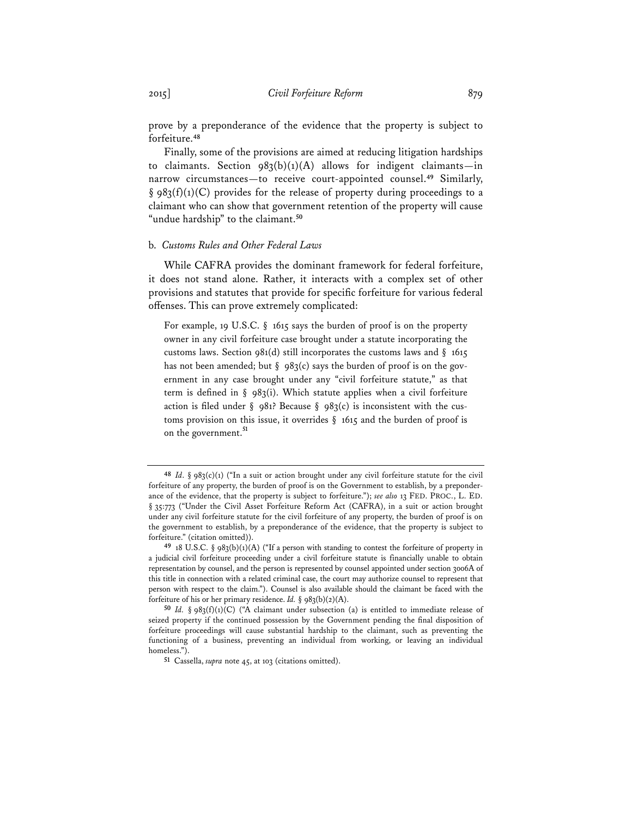prove by a preponderance of the evidence that the property is subject to forfeiture.**<sup>48</sup>**

Finally, some of the provisions are aimed at reducing litigation hardships to claimants. Section  $983(b)(1)(A)$  allows for indigent claimants—in narrow circumstances—to receive court-appointed counsel.**<sup>49</sup>** Similarly,  $\S 983(f)(1)(C)$  provides for the release of property during proceedings to a claimant who can show that government retention of the property will cause "undue hardship" to the claimant.**<sup>50</sup>**

#### b. *Customs Rules and Other Federal Laws*

While CAFRA provides the dominant framework for federal forfeiture, it does not stand alone. Rather, it interacts with a complex set of other provisions and statutes that provide for specific forfeiture for various federal offenses. This can prove extremely complicated:

For example, 19 U.S.C. § 1615 says the burden of proof is on the property owner in any civil forfeiture case brought under a statute incorporating the customs laws. Section 981(d) still incorporates the customs laws and  $\S$  1615 has not been amended; but  $\S$  983(c) says the burden of proof is on the government in any case brought under any "civil forfeiture statute," as that term is defined in § 983(i). Which statute applies when a civil forfeiture action is filed under § 981? Because § 983(c) is inconsistent with the customs provision on this issue, it overrides  $\S$  1615 and the burden of proof is on the government.**<sup>51</sup>**

**<sup>48</sup>** *Id*. § 983(c)(1) ("In a suit or action brought under any civil forfeiture statute for the civil forfeiture of any property, the burden of proof is on the Government to establish, by a preponderance of the evidence, that the property is subject to forfeiture."); *see also* 13 FED. PROC., L. ED. § 35:773 ("Under the Civil Asset Forfeiture Reform Act (CAFRA), in a suit or action brought under any civil forfeiture statute for the civil forfeiture of any property, the burden of proof is on the government to establish, by a preponderance of the evidence, that the property is subject to forfeiture." (citation omitted)).

**<sup>49</sup>** 18 U.S.C. § 983(b)(1)(A) ("If a person with standing to contest the forfeiture of property in a judicial civil forfeiture proceeding under a civil forfeiture statute is financially unable to obtain representation by counsel, and the person is represented by counsel appointed under section 3006A of this title in connection with a related criminal case, the court may authorize counsel to represent that person with respect to the claim."). Counsel is also available should the claimant be faced with the forfeiture of his or her primary residence. *Id.*  $\S$  983(b)(2)(A).

<sup>50</sup> *Id.* §  $983(f)(1)(C)$  ("A claimant under subsection (a) is entitled to immediate release of seized property if the continued possession by the Government pending the final disposition of forfeiture proceedings will cause substantial hardship to the claimant, such as preventing the functioning of a business, preventing an individual from working, or leaving an individual homeless.").

**<sup>51</sup>** Cassella, *supra* note 45, at 103 (citations omitted).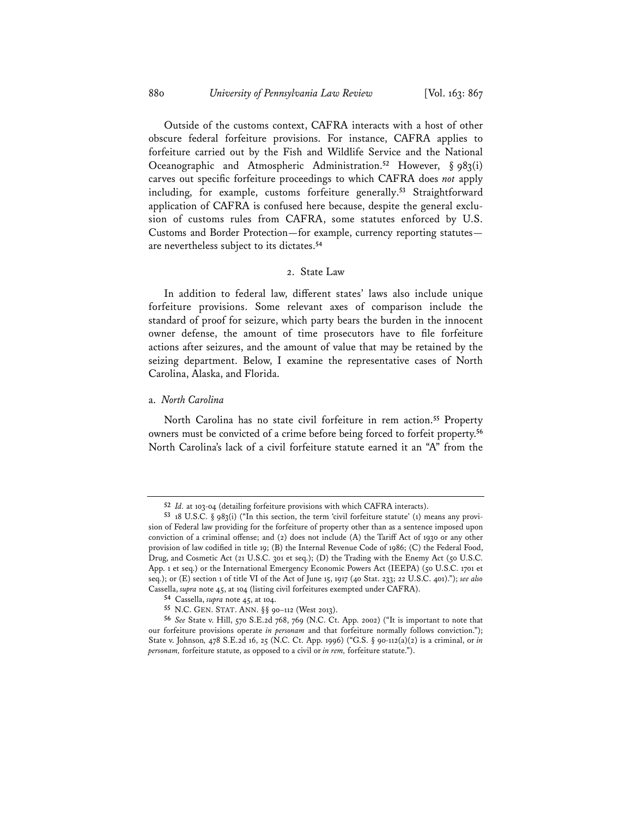Outside of the customs context, CAFRA interacts with a host of other obscure federal forfeiture provisions. For instance, CAFRA applies to forfeiture carried out by the Fish and Wildlife Service and the National Oceanographic and Atmospheric Administration.**<sup>52</sup>** However, § 983(i) carves out specific forfeiture proceedings to which CAFRA does *not* apply including, for example, customs forfeiture generally.**<sup>53</sup>** Straightforward application of CAFRA is confused here because, despite the general exclusion of customs rules from CAFRA, some statutes enforced by U.S. Customs and Border Protection—for example, currency reporting statutes are nevertheless subject to its dictates.**<sup>54</sup>**

### 2. State Law

In addition to federal law, different states' laws also include unique forfeiture provisions. Some relevant axes of comparison include the standard of proof for seizure, which party bears the burden in the innocent owner defense, the amount of time prosecutors have to file forfeiture actions after seizures, and the amount of value that may be retained by the seizing department. Below, I examine the representative cases of North Carolina, Alaska, and Florida.

#### a. *North Carolina*

North Carolina has no state civil forfeiture in rem action.**<sup>55</sup>** Property owners must be convicted of a crime before being forced to forfeit property.**<sup>56</sup>** North Carolina's lack of a civil forfeiture statute earned it an "A" from the

**<sup>52</sup>** *Id.* at 103-04 (detailing forfeiture provisions with which CAFRA interacts).

**<sup>53</sup>** 18 U.S.C. § 983(i) ("In this section, the term 'civil forfeiture statute' (1) means any provision of Federal law providing for the forfeiture of property other than as a sentence imposed upon conviction of a criminal offense; and (2) does not include (A) the Tariff Act of 1930 or any other provision of law codified in title 19; (B) the Internal Revenue Code of 1986; (C) the Federal Food, Drug, and Cosmetic Act (21 U.S.C. 301 et seq.); (D) the Trading with the Enemy Act (50 U.S.C. App. 1 et seq.) or the International Emergency Economic Powers Act (IEEPA) (50 U.S.C. 1701 et seq.); or (E) section 1 of title VI of the Act of June 15, 1917 (40 Stat. 233; 22 U.S.C. 401)."); *see also* Cassella, *supra* note 45, at 104 (listing civil forfeitures exempted under CAFRA).

**<sup>54</sup>** Cassella, *supra* note 45, at 104.

**<sup>55</sup>** N.C. GEN. STAT. ANN. §§ 90–112 (West 2013).

**<sup>56</sup>** *See* State v. Hill, 570 S.E.2d 768, 769 (N.C. Ct. App. 2002) ("It is important to note that our forfeiture provisions operate *in personam* and that forfeiture normally follows conviction."); State v. Johnson*,* 478 S.E.2d 16, 25 (N.C. Ct. App. 1996) ("G.S. § 90-112(a)(2) is a criminal, or *in personam,* forfeiture statute, as opposed to a civil or *in rem,* forfeiture statute.").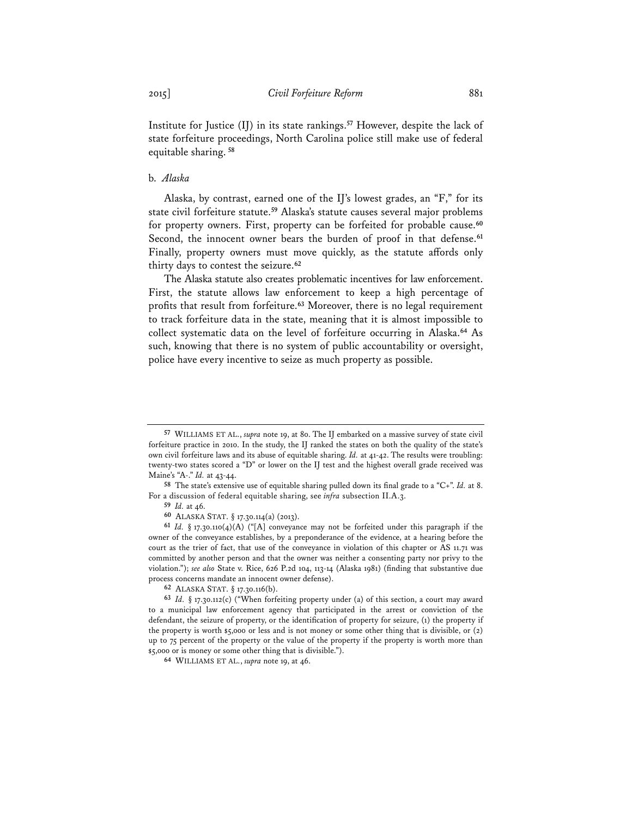Institute for Justice (IJ) in its state rankings.**<sup>57</sup>** However, despite the lack of state forfeiture proceedings, North Carolina police still make use of federal equitable sharing.**<sup>58</sup>**

### b. *Alaska*

Alaska, by contrast, earned one of the IJ's lowest grades, an "F," for its state civil forfeiture statute.**<sup>59</sup>** Alaska's statute causes several major problems for property owners. First, property can be forfeited for probable cause.**<sup>60</sup>** Second, the innocent owner bears the burden of proof in that defense.**<sup>61</sup>** Finally, property owners must move quickly, as the statute affords only thirty days to contest the seizure.**<sup>62</sup>**

The Alaska statute also creates problematic incentives for law enforcement. First, the statute allows law enforcement to keep a high percentage of profits that result from forfeiture.**<sup>63</sup>** Moreover, there is no legal requirement to track forfeiture data in the state, meaning that it is almost impossible to collect systematic data on the level of forfeiture occurring in Alaska.**<sup>64</sup>** As such, knowing that there is no system of public accountability or oversight, police have every incentive to seize as much property as possible.

**<sup>64</sup>** WILLIAMS ET AL., *supra* note 19, at 46.

**<sup>57</sup>** WILLIAMS ET AL., *supra* note 19, at 80. The IJ embarked on a massive survey of state civil forfeiture practice in 2010. In the study, the IJ ranked the states on both the quality of the state's own civil forfeiture laws and its abuse of equitable sharing. *Id.* at 41-42. The results were troubling: twenty-two states scored a "D" or lower on the IJ test and the highest overall grade received was Maine's "A-." *Id.* at 43-44.

**<sup>58</sup>** The state's extensive use of equitable sharing pulled down its final grade to a "C+". *Id.* at 8. For a discussion of federal equitable sharing, see *infra* subsection II.A.3.

**<sup>59</sup>** *Id.* at 46.

**<sup>60</sup>** ALASKA STAT. § 17.30.114(a) (2013).

**<sup>61</sup>** *Id.* § 17.30.110(4)(A) ("[A] conveyance may not be forfeited under this paragraph if the owner of the conveyance establishes, by a preponderance of the evidence, at a hearing before the court as the trier of fact, that use of the conveyance in violation of this chapter or AS 11.71 was committed by another person and that the owner was neither a consenting party nor privy to the violation."); *see also* State v. Rice, 626 P.2d 104, 113-14 (Alaska 1981) (finding that substantive due process concerns mandate an innocent owner defense).

**<sup>62</sup>** ALASKA STAT. § 17.30.116(b).

**<sup>63</sup>** *Id.* § 17.30.112(c) ("When forfeiting property under (a) of this section, a court may award to a municipal law enforcement agency that participated in the arrest or conviction of the defendant, the seizure of property, or the identification of property for seizure, (1) the property if the property is worth \$5,000 or less and is not money or some other thing that is divisible, or (2) up to 75 percent of the property or the value of the property if the property is worth more than \$5,000 or is money or some other thing that is divisible.").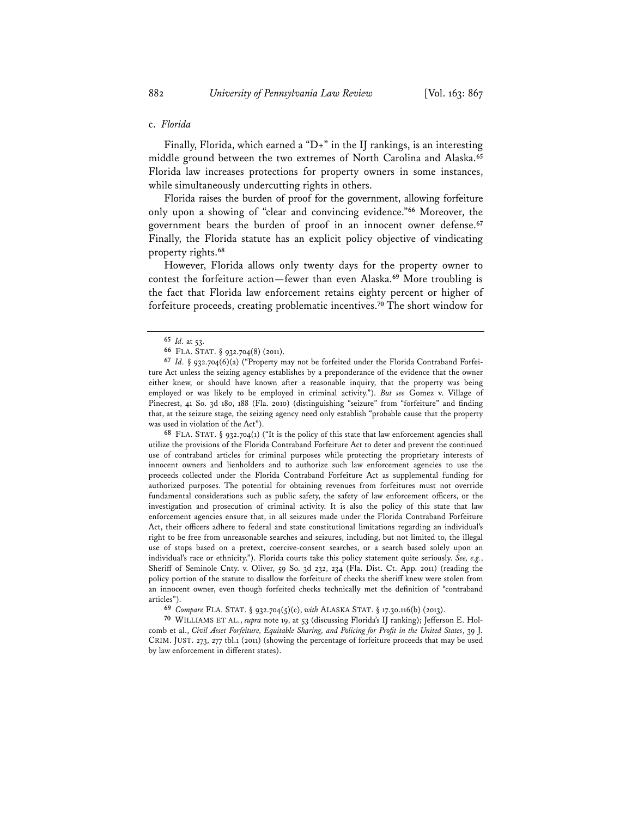### c. *Florida*

Finally, Florida, which earned a "D+" in the IJ rankings, is an interesting middle ground between the two extremes of North Carolina and Alaska.**<sup>65</sup>** Florida law increases protections for property owners in some instances, while simultaneously undercutting rights in others.

Florida raises the burden of proof for the government, allowing forfeiture only upon a showing of "clear and convincing evidence."**<sup>66</sup>** Moreover, the government bears the burden of proof in an innocent owner defense.**<sup>67</sup>** Finally, the Florida statute has an explicit policy objective of vindicating property rights.**<sup>68</sup>**

However, Florida allows only twenty days for the property owner to contest the forfeiture action—fewer than even Alaska.**<sup>69</sup>** More troubling is the fact that Florida law enforcement retains eighty percent or higher of forfeiture proceeds, creating problematic incentives.**<sup>70</sup>** The short window for

**<sup>68</sup>** FLA. STAT. § 932.704(1) ("It is the policy of this state that law enforcement agencies shall utilize the provisions of the Florida Contraband Forfeiture Act to deter and prevent the continued use of contraband articles for criminal purposes while protecting the proprietary interests of innocent owners and lienholders and to authorize such law enforcement agencies to use the proceeds collected under the Florida Contraband Forfeiture Act as supplemental funding for authorized purposes. The potential for obtaining revenues from forfeitures must not override fundamental considerations such as public safety, the safety of law enforcement officers, or the investigation and prosecution of criminal activity. It is also the policy of this state that law enforcement agencies ensure that, in all seizures made under the Florida Contraband Forfeiture Act, their officers adhere to federal and state constitutional limitations regarding an individual's right to be free from unreasonable searches and seizures, including, but not limited to, the illegal use of stops based on a pretext, coercive-consent searches, or a search based solely upon an individual's race or ethnicity."). Florida courts take this policy statement quite seriously. *See, e.g.*, Sheriff of Seminole Cnty. v. Oliver, 59 So. 3d 232, 234 (Fla. Dist. Ct. App. 2011) (reading the policy portion of the statute to disallow the forfeiture of checks the sheriff knew were stolen from an innocent owner, even though forfeited checks technically met the definition of "contraband articles").

**<sup>69</sup>** *Compare* FLA. STAT. § 932.704(5)(c), *with* ALASKA STAT. § 17.30.116(b) (2013).

**<sup>70</sup>** WILLIAMS ET AL., *supra* note 19, at 53 (discussing Florida's IJ ranking); Jefferson E. Holcomb et al., *Civil Asset Forfeiture, Equitable Sharing, and Policing for Profit in the United States*, 39 J. CRIM. JUST. 273, 277 tbl.1 (2011) (showing the percentage of forfeiture proceeds that may be used by law enforcement in different states).

**<sup>65</sup>** *Id.* at 53.

**<sup>66</sup>** FLA. STAT. § 932.704(8) (2011).

**<sup>67</sup>** *Id.* § 932.704(6)(a) ("Property may not be forfeited under the Florida Contraband Forfeiture Act unless the seizing agency establishes by a preponderance of the evidence that the owner either knew, or should have known after a reasonable inquiry, that the property was being employed or was likely to be employed in criminal activity."). *But see* Gomez v. Village of Pinecrest, 41 So. 3d 180, 188 (Fla. 2010) (distinguishing "seizure" from "forfeiture" and finding that, at the seizure stage, the seizing agency need only establish "probable cause that the property was used in violation of the Act").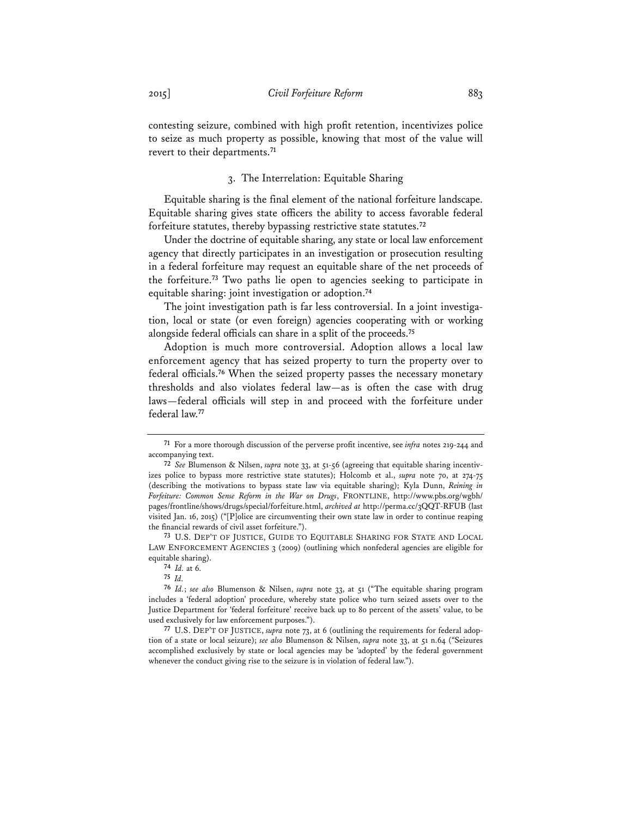contesting seizure, combined with high profit retention, incentivizes police to seize as much property as possible, knowing that most of the value will revert to their departments.**<sup>71</sup>**

#### 3. The Interrelation: Equitable Sharing

Equitable sharing is the final element of the national forfeiture landscape. Equitable sharing gives state officers the ability to access favorable federal forfeiture statutes, thereby bypassing restrictive state statutes.**<sup>72</sup>**

Under the doctrine of equitable sharing, any state or local law enforcement agency that directly participates in an investigation or prosecution resulting in a federal forfeiture may request an equitable share of the net proceeds of the forfeiture.**<sup>73</sup>** Two paths lie open to agencies seeking to participate in equitable sharing: joint investigation or adoption.**<sup>74</sup>**

The joint investigation path is far less controversial. In a joint investigation, local or state (or even foreign) agencies cooperating with or working alongside federal officials can share in a split of the proceeds.**<sup>75</sup>**

Adoption is much more controversial. Adoption allows a local law enforcement agency that has seized property to turn the property over to federal officials.**<sup>76</sup>** When the seized property passes the necessary monetary thresholds and also violates federal law—as is often the case with drug laws—federal officials will step in and proceed with the forfeiture under federal law.**<sup>77</sup>**

**<sup>73</sup>** U.S. DEP'T OF JUSTICE, GUIDE TO EQUITABLE SHARING FOR STATE AND LOCAL LAW ENFORCEMENT AGENCIES 3 (2009) (outlining which nonfederal agencies are eligible for equitable sharing).

**<sup>71</sup>** For a more thorough discussion of the perverse profit incentive, see *infra* notes 219-244 and accompanying text.

**<sup>72</sup>** *See* Blumenson & Nilsen, *supra* note 33, at 51-56 (agreeing that equitable sharing incentivizes police to bypass more restrictive state statutes); Holcomb et al., *supra* note 70, at 274-75 (describing the motivations to bypass state law via equitable sharing); Kyla Dunn, *Reining in Forfeiture: Common Sense Reform in the War on Drugs*, FRONTLINE, http://www.pbs.org/wgbh/ pages/frontline/shows/drugs/special/forfeiture.html, *archived at* http://perma.cc/3QQT-RFUB (last visited Jan. 16, 2015) ("[P]olice are circumventing their own state law in order to continue reaping the financial rewards of civil asset forfeiture.").

**<sup>74</sup>** *Id.* at 6.

**<sup>75</sup>** *Id.* **<sup>76</sup>** *Id.*; *see also* Blumenson & Nilsen, *supra* note 33, at 51 ("The equitable sharing program includes a 'federal adoption' procedure, whereby state police who turn seized assets over to the Justice Department for 'federal forfeiture' receive back up to 80 percent of the assets' value, to be used exclusively for law enforcement purposes.").

**<sup>77</sup>** U.S. DEP'T OF JUSTICE, *supra* note 73, at 6 (outlining the requirements for federal adoption of a state or local seizure); *see also* Blumenson & Nilsen, *supra* note 33, at 51 n.64 ("Seizures accomplished exclusively by state or local agencies may be 'adopted' by the federal government whenever the conduct giving rise to the seizure is in violation of federal law.").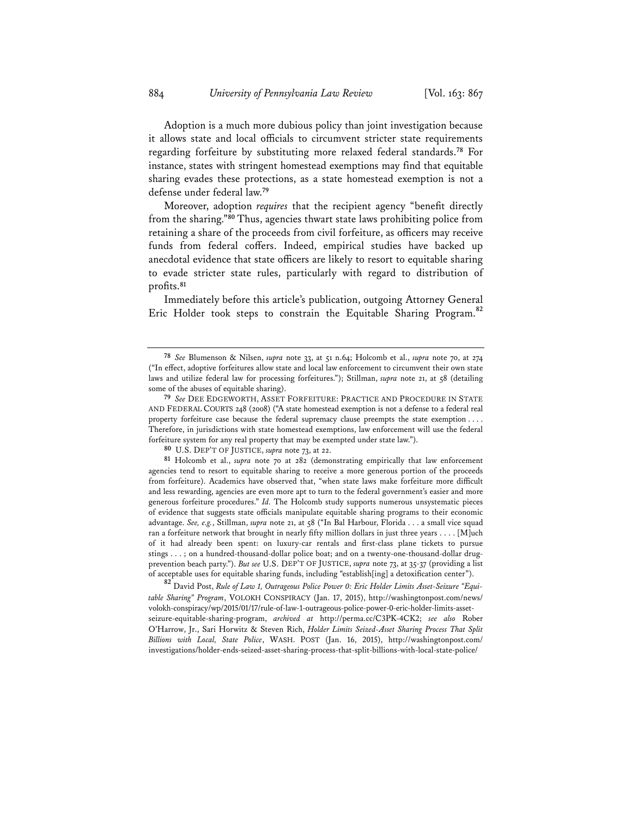Adoption is a much more dubious policy than joint investigation because it allows state and local officials to circumvent stricter state requirements regarding forfeiture by substituting more relaxed federal standards.**<sup>78</sup>** For instance, states with stringent homestead exemptions may find that equitable sharing evades these protections, as a state homestead exemption is not a defense under federal law.**<sup>79</sup>**

Moreover, adoption *requires* that the recipient agency "benefit directly from the sharing."**<sup>80</sup>** Thus, agencies thwart state laws prohibiting police from retaining a share of the proceeds from civil forfeiture, as officers may receive funds from federal coffers. Indeed, empirical studies have backed up anecdotal evidence that state officers are likely to resort to equitable sharing to evade stricter state rules, particularly with regard to distribution of profits.**<sup>81</sup>**

Immediately before this article's publication, outgoing Attorney General Eric Holder took steps to constrain the Equitable Sharing Program.**<sup>82</sup>**

**<sup>82</sup>** David Post, *Rule of Law 1, Outrageous Police Power 0: Eric Holder Limits Asset-Seizure "Equitable Sharing" Program*, VOLOKH CONSPIRACY (Jan. 17, 2015), http://washingtonpost.com/news/ volokh-conspiracy/wp/2015/01/17/rule-of-law-1-outrageous-police-power-0-eric-holder-limits-assetseizure-equitable-sharing-program, *archived at* http://perma.cc/C3PK-4CK2; *see also* Rober O'Harrow, Jr., Sari Horwitz & Steven Rich, *Holder Limits Seized-Asset Sharing Process That Split Billions with Local, State Police*, WASH. POST (Jan. 16, 2015), http://washingtonpost.com/ investigations/holder-ends-seized-asset-sharing-process-that-split-billions-with-local-state-police/

**<sup>78</sup>** *See* Blumenson & Nilsen, *supra* note 33, at 51 n.64; Holcomb et al., *supra* note 70, at 274 ("In effect, adoptive forfeitures allow state and local law enforcement to circumvent their own state laws and utilize federal law for processing forfeitures."); Stillman, *supra* note 21, at 58 (detailing some of the abuses of equitable sharing).

**<sup>79</sup>** *See* DEE EDGEWORTH, ASSET FORFEITURE: PRACTICE AND PROCEDURE IN STATE AND FEDERAL COURTS 248 (2008) ("A state homestead exemption is not a defense to a federal real property forfeiture case because the federal supremacy clause preempts the state exemption . . . . Therefore, in jurisdictions with state homestead exemptions, law enforcement will use the federal forfeiture system for any real property that may be exempted under state law.").

**<sup>80</sup>** U.S. DEP'T OF JUSTICE, *supra* note 73, at 22.

**<sup>81</sup>** Holcomb et al., *supra* note 70 at 282 (demonstrating empirically that law enforcement agencies tend to resort to equitable sharing to receive a more generous portion of the proceeds from forfeiture). Academics have observed that, "when state laws make forfeiture more difficult and less rewarding, agencies are even more apt to turn to the federal government's easier and more generous forfeiture procedures." *Id.* The Holcomb study supports numerous unsystematic pieces of evidence that suggests state officials manipulate equitable sharing programs to their economic advantage. *See, e.g.*, Stillman, *supra* note 21, at 58 ("In Bal Harbour, Florida . . . a small vice squad ran a forfeiture network that brought in nearly fifty million dollars in just three years . . . . [M]uch of it had already been spent: on luxury-car rentals and first-class plane tickets to pursue stings . . . ; on a hundred-thousand-dollar police boat; and on a twenty-one-thousand-dollar drugprevention beach party."). *But see* U.S. DEP'T OF JUSTICE, *supra* note 73, at 35-37 (providing a list of acceptable uses for equitable sharing funds, including "establish[ing] a detoxification center").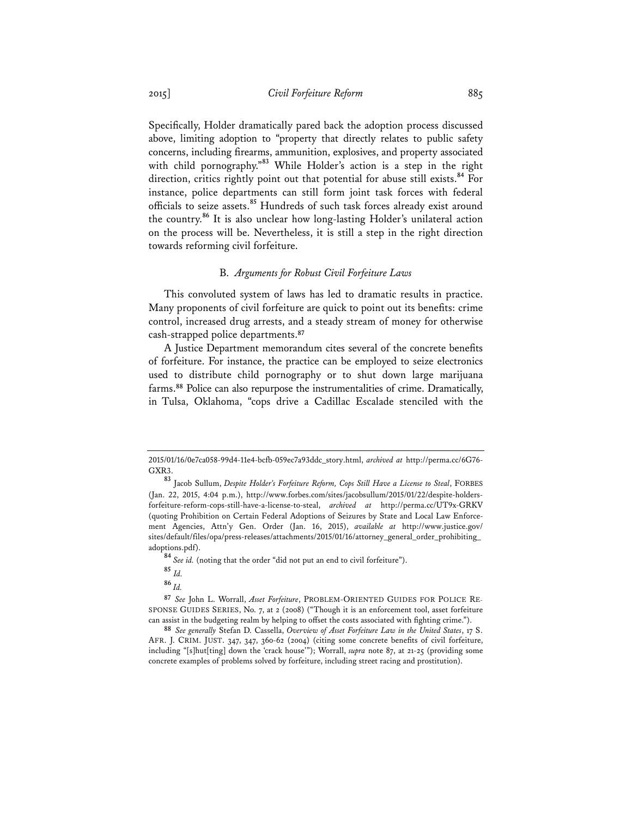Specifically, Holder dramatically pared back the adoption process discussed above, limiting adoption to "property that directly relates to public safety concerns, including firearms, ammunition, explosives, and property associated with child pornography."**<sup>83</sup>** While Holder's action is a step in the right direction, critics rightly point out that potential for abuse still exists.**<sup>84</sup>** For instance, police departments can still form joint task forces with federal officials to seize assets.**<sup>85</sup>** Hundreds of such task forces already exist around the country.**<sup>86</sup>** It is also unclear how long-lasting Holder's unilateral action on the process will be. Nevertheless, it is still a step in the right direction towards reforming civil forfeiture.

## B. *Arguments for Robust Civil Forfeiture Laws*

This convoluted system of laws has led to dramatic results in practice. Many proponents of civil forfeiture are quick to point out its benefits: crime control, increased drug arrests, and a steady stream of money for otherwise cash-strapped police departments.**<sup>87</sup>**

A Justice Department memorandum cites several of the concrete benefits of forfeiture. For instance, the practice can be employed to seize electronics used to distribute child pornography or to shut down large marijuana farms.**<sup>88</sup>** Police can also repurpose the instrumentalities of crime. Dramatically, in Tulsa, Oklahoma, "cops drive a Cadillac Escalade stenciled with the

**<sup>84</sup>** *See id.* (noting that the order "did not put an end to civil forfeiture").

**<sup>86</sup>** *Id.*

<sup>2015/01/16/0</sup>e7ca058-99d4-11e4-bcfb-059ec7a93ddc\_story.html, *archived at* http://perma.cc/6G76- GXR3.

**<sup>83</sup>** Jacob Sullum, *Despite Holder's Forfeiture Reform, Cops Still Have a License to Steal*, FORBES (Jan. 22, 2015, 4:04 p.m.), http://www.forbes.com/sites/jacobsullum/2015/01/22/despite-holdersforfeiture-reform-cops-still-have-a-license-to-steal, *archived at* http://perma.cc/UT9x-GRKV (quoting Prohibition on Certain Federal Adoptions of Seizures by State and Local Law Enforcement Agencies, Attn'y Gen. Order (Jan. 16, 2015), *available at* http://www.justice.gov/ sites/default/files/opa/press-releases/attachments/2015/01/16/attorney\_general\_order\_prohibiting\_ adoptions.pdf).

**<sup>85</sup>** *Id.* 

**<sup>87</sup>** *See* John L. Worrall, *Asset Forfeiture*, PROBLEM-ORIENTED GUIDES FOR POLICE RE-SPONSE GUIDES SERIES, No. 7, at 2 (2008) ("Though it is an enforcement tool, asset forfeiture can assist in the budgeting realm by helping to offset the costs associated with fighting crime.").

**<sup>88</sup>** *See generally* Stefan D. Cassella, *Overview of Asset Forfeiture Law in the United States*, 17 S. AFR. J. CRIM. JUST. 347, 347, 360-62 (2004) (citing some concrete benefits of civil forfeiture, including "[s]hut[ting] down the 'crack house'"); Worrall, *supra* note 87, at 21-25 (providing some concrete examples of problems solved by forfeiture, including street racing and prostitution).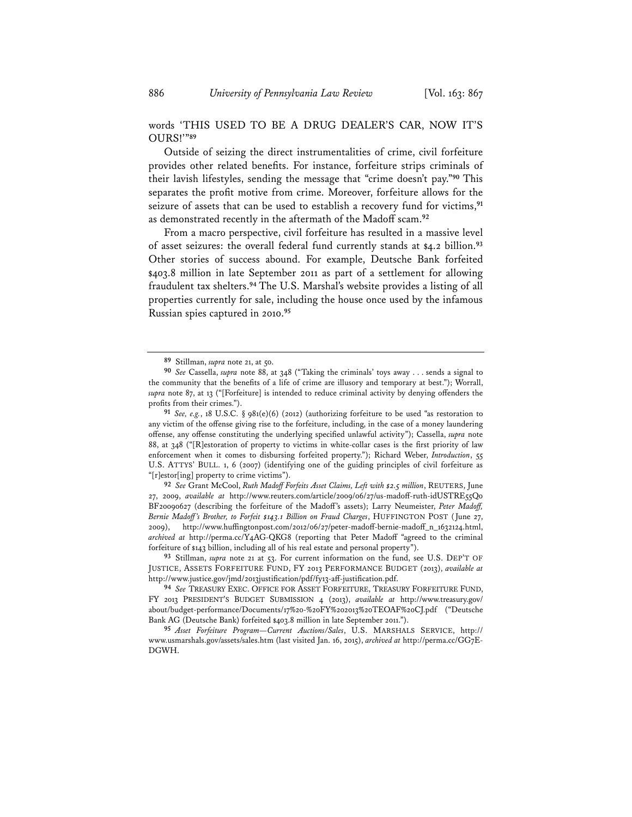words 'THIS USED TO BE A DRUG DEALER'S CAR, NOW IT'S OURS!'"**<sup>89</sup>**

Outside of seizing the direct instrumentalities of crime, civil forfeiture provides other related benefits. For instance, forfeiture strips criminals of their lavish lifestyles, sending the message that "crime doesn't pay."**<sup>90</sup>** This separates the profit motive from crime. Moreover, forfeiture allows for the seizure of assets that can be used to establish a recovery fund for victims,**<sup>91</sup>** as demonstrated recently in the aftermath of the Madoff scam.**<sup>92</sup>**

From a macro perspective, civil forfeiture has resulted in a massive level of asset seizures: the overall federal fund currently stands at \$4.2 billion.**<sup>93</sup>** Other stories of success abound. For example, Deutsche Bank forfeited \$403.8 million in late September 2011 as part of a settlement for allowing fraudulent tax shelters.**<sup>94</sup>** The U.S. Marshal's website provides a listing of all properties currently for sale, including the house once used by the infamous Russian spies captured in 2010.**<sup>95</sup>**

**<sup>93</sup>** Stillman, *supra* note 21 at 53. For current information on the fund, see U.S. DEP'T OF JUSTICE, ASSETS FORFEITURE FUND, FY 2013 PERFORMANCE BUDGET (2013), *available at* http://www.justice.gov/jmd/2013justification/pdf/fy13-aff-justification.pdf.

**<sup>94</sup>** *See* TREASURY EXEC. OFFICE FOR ASSET FORFEITURE, TREASURY FORFEITURE FUND, FY 2013 PRESIDENT'S BUDGET SUBMISSION 4 (2013), *available at* http://www.treasury.gov/ about/budget-performance/Documents/17%20-%20FY%202013%20TEOAF%20CJ.pdf ("Deutsche Bank AG (Deutsche Bank) forfeited \$403.8 million in late September 2011.").

**<sup>95</sup>** *Asset Forfeiture Program—Current Auctions/Sales*, U.S. MARSHALS SERVICE, http:// www.usmarshals.gov/assets/sales.htm (last visited Jan. 16, 2015), *archived at* http://perma.cc/GG7E-DGWH.

**<sup>89</sup>** Stillman, *supra* note 21, at 50.

**<sup>90</sup>** *See* Cassella, *supra* note 88, at 348 ("Taking the criminals' toys away . . . sends a signal to the community that the benefits of a life of crime are illusory and temporary at best."); Worrall, *supra* note 87, at 13 ("[Forfeiture] is intended to reduce criminal activity by denying offenders the profits from their crimes.").

**<sup>91</sup>** *See, e.g.*, 18 U.S.C. § 981(e)(6) (2012) (authorizing forfeiture to be used "as restoration to any victim of the offense giving rise to the forfeiture, including, in the case of a money laundering offense, any offense constituting the underlying specified unlawful activity"); Cassella, *supra* note 88, at 348 ("[R]estoration of property to victims in white-collar cases is the first priority of law enforcement when it comes to disbursing forfeited property."); Richard Weber, *Introduction*, 55 U.S. ATTYS' BULL. 1, 6 (2007) (identifying one of the guiding principles of civil forfeiture as "[r]estor[ing] property to crime victims").

**<sup>92</sup>** *See* Grant McCool, *Ruth Madoff Forfeits Asset Claims, Left with \$2.5 million*, REUTERS, June 27, 2009, *available at* http://www.reuters.com/article/2009/06/27/us-madoff-ruth-idUSTRE55Q0 BF20090627 (describing the forfeiture of the Madoff's assets); Larry Neumeister, *Peter Madoff, Bernie Madoff 's Brother, to Forfeit \$143.1 Billion on Fraud Charges*, HUFFINGTON POST (June 27, 2009), http://www.huffingtonpost.com/2012/06/27/peter-madoff-bernie-madoff\_n\_1632124.html, *archived at* http://perma.cc/Y4AG-QKG8 (reporting that Peter Madoff "agreed to the criminal forfeiture of \$143 billion, including all of his real estate and personal property").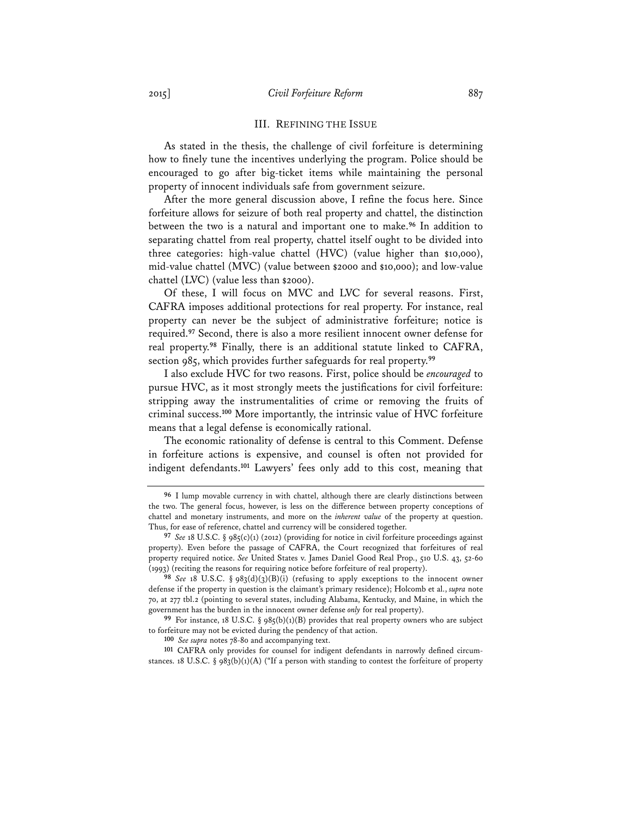#### III. REFINING THE ISSUE

As stated in the thesis, the challenge of civil forfeiture is determining how to finely tune the incentives underlying the program. Police should be encouraged to go after big-ticket items while maintaining the personal property of innocent individuals safe from government seizure.

After the more general discussion above, I refine the focus here. Since forfeiture allows for seizure of both real property and chattel, the distinction between the two is a natural and important one to make.**<sup>96</sup>** In addition to separating chattel from real property, chattel itself ought to be divided into three categories: high-value chattel (HVC) (value higher than \$10,000), mid-value chattel (MVC) (value between \$2000 and \$10,000); and low-value chattel (LVC) (value less than \$2000).

Of these, I will focus on MVC and LVC for several reasons. First, CAFRA imposes additional protections for real property. For instance, real property can never be the subject of administrative forfeiture; notice is required.**<sup>97</sup>** Second, there is also a more resilient innocent owner defense for real property.**<sup>98</sup>** Finally, there is an additional statute linked to CAFRA, section 985, which provides further safeguards for real property.**<sup>99</sup>**

I also exclude HVC for two reasons. First, police should be *encouraged* to pursue HVC, as it most strongly meets the justifications for civil forfeiture: stripping away the instrumentalities of crime or removing the fruits of criminal success.**<sup>100</sup>** More importantly, the intrinsic value of HVC forfeiture means that a legal defense is economically rational.

The economic rationality of defense is central to this Comment. Defense in forfeiture actions is expensive, and counsel is often not provided for indigent defendants.**<sup>101</sup>** Lawyers' fees only add to this cost, meaning that

**<sup>96</sup>** I lump movable currency in with chattel, although there are clearly distinctions between the two. The general focus, however, is less on the difference between property conceptions of chattel and monetary instruments, and more on the *inherent value* of the property at question. Thus, for ease of reference, chattel and currency will be considered together.

**<sup>97</sup>** *See* 18 U.S.C. § 985(c)(1) (2012) (providing for notice in civil forfeiture proceedings against property). Even before the passage of CAFRA, the Court recognized that forfeitures of real property required notice. *See* United States v. James Daniel Good Real Prop., 510 U.S. 43, 52-60 (1993) (reciting the reasons for requiring notice before forfeiture of real property).

**<sup>98</sup>** *See* 18 U.S.C. § 983(d)(3)(B)(i) (refusing to apply exceptions to the innocent owner defense if the property in question is the claimant's primary residence); Holcomb et al., *supra* note 70, at 277 tbl.2 (pointing to several states, including Alabama, Kentucky, and Maine, in which the government has the burden in the innocent owner defense *only* for real property).

**<sup>99</sup>** For instance, 18 U.S.C. § 985(b)(1)(B) provides that real property owners who are subject to forfeiture may not be evicted during the pendency of that action.

**<sup>100</sup>** *See supra* notes 78-80 and accompanying text.

**<sup>101</sup>** CAFRA only provides for counsel for indigent defendants in narrowly defined circumstances. 18 U.S.C. §  $983(b)(1)(A)$  ("If a person with standing to contest the forfeiture of property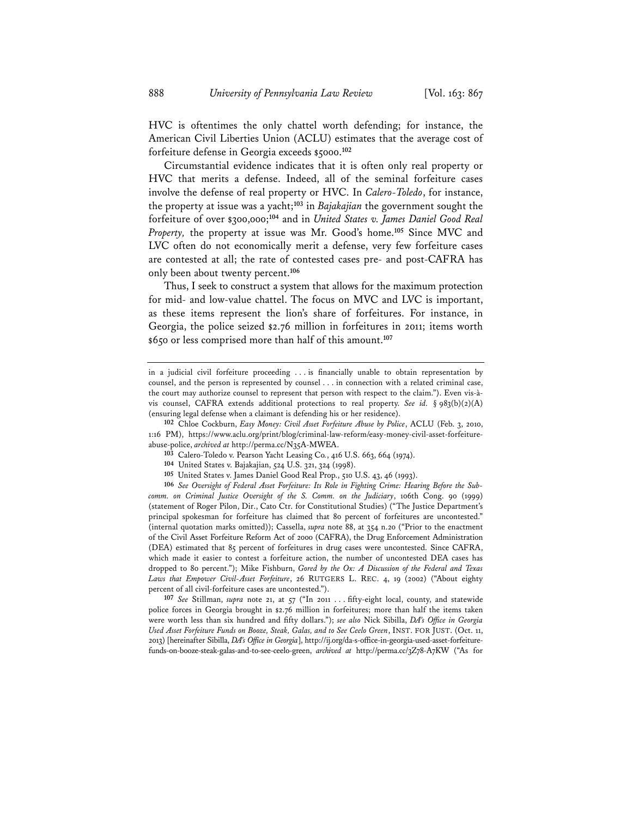HVC is oftentimes the only chattel worth defending; for instance, the American Civil Liberties Union (ACLU) estimates that the average cost of forfeiture defense in Georgia exceeds \$5000.**<sup>102</sup>**

Circumstantial evidence indicates that it is often only real property or HVC that merits a defense. Indeed, all of the seminal forfeiture cases involve the defense of real property or HVC. In *Calero-Toledo*, for instance, the property at issue was a yacht;**<sup>103</sup>** in *Bajakajian* the government sought the forfeiture of over \$300,000;**<sup>104</sup>** and in *United States v. James Daniel Good Real Property,* the property at issue was Mr. Good's home.**<sup>105</sup>** Since MVC and LVC often do not economically merit a defense, very few forfeiture cases are contested at all; the rate of contested cases pre- and post-CAFRA has only been about twenty percent.**<sup>106</sup>**

Thus, I seek to construct a system that allows for the maximum protection for mid- and low-value chattel. The focus on MVC and LVC is important, as these items represent the lion's share of forfeitures. For instance, in Georgia, the police seized \$2.76 million in forfeitures in 2011; items worth \$650 or less comprised more than half of this amount.**<sup>107</sup>**

in a judicial civil forfeiture proceeding . . . is financially unable to obtain representation by counsel, and the person is represented by counsel . . . in connection with a related criminal case, the court may authorize counsel to represent that person with respect to the claim."). Even vis-àvis counsel, CAFRA extends additional protections to real property. *See id.* § 983(b)(2)(A) (ensuring legal defense when a claimant is defending his or her residence).

**<sup>102</sup>** Chloe Cockburn, *Easy Money: Civil Asset Forfeiture Abuse by Police*, ACLU (Feb. 3, 2010, 1:16 PM), https://www.aclu.org/print/blog/criminal-law-reform/easy-money-civil-asset-forfeitureabuse-police, *archived at* http://perma.cc/N35A-MWEA.

**<sup>103</sup>** Calero-Toledo v. Pearson Yacht Leasing Co*.*, 416 U.S. 663, 664 (1974).

**<sup>104</sup>** United States v. Bajakajian, 524 U.S. 321, 324 (1998).

**<sup>105</sup>** United States v. James Daniel Good Real Prop., 510 U.S. 43, 46 (1993).

**<sup>106</sup>** *See Oversight of Federal Asset Forfeiture: Its Role in Fighting Crime: Hearing Before the Subcomm. on Criminal Justice Oversight of the S. Comm. on the Judiciary*, 106th Cong. 90 (1999) (statement of Roger Pilon, Dir., Cato Ctr. for Constitutional Studies) ("The Justice Department's principal spokesman for forfeiture has claimed that 80 percent of forfeitures are uncontested." (internal quotation marks omitted)); Cassella, *supra* note 88, at 354 n.20 ("Prior to the enactment of the Civil Asset Forfeiture Reform Act of 2000 (CAFRA), the Drug Enforcement Administration (DEA) estimated that 85 percent of forfeitures in drug cases were uncontested. Since CAFRA, which made it easier to contest a forfeiture action, the number of uncontested DEA cases has dropped to 80 percent."); Mike Fishburn, *Gored by the Ox: A Discussion of the Federal and Texas Laws that Empower Civil-Asset Forfeiture*, 26 RUTGERS L. REC. 4, 19 (2002) ("About eighty percent of all civil-forfeiture cases are uncontested.").

**<sup>107</sup>** *See* Stillman, *supra* note 21, at 57 ("In 2011 . . . fifty-eight local, county, and statewide police forces in Georgia brought in \$2.76 million in forfeitures; more than half the items taken were worth less than six hundred and fifty dollars."); *see also* Nick Sibilla, *DA's Office in Georgia Used Asset Forfeiture Funds on Booze, Steak, Galas, and to See Ceelo Green*, INST. FOR JUST. (Oct. 11, 2013) [hereinafter Sibilla, *DA's Office in Georgia*], http://ij.org/da-s-office-in-georgia-used-asset-forfeiturefunds-on-booze-steak-galas-and-to-see-ceelo-green, *archived at* http://perma.cc/3Z78-A7KW ("As for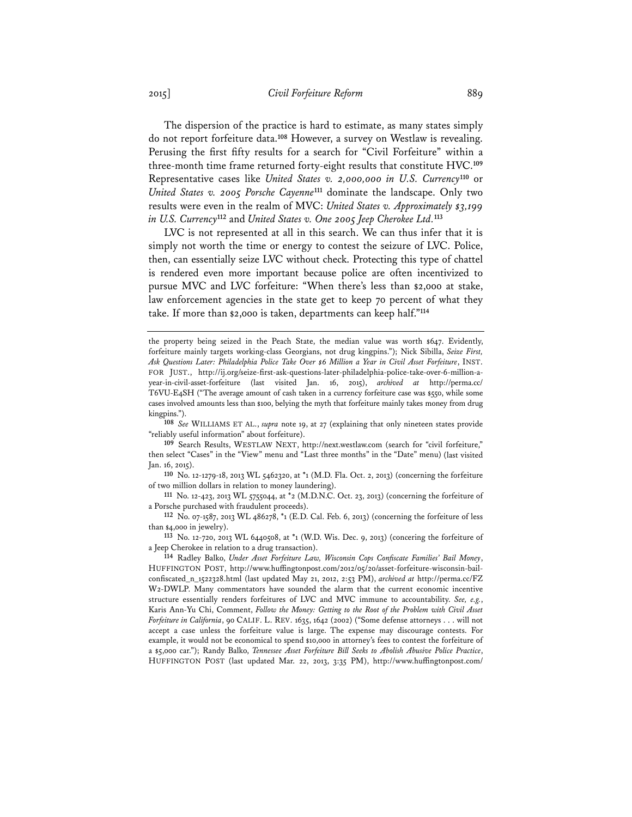The dispersion of the practice is hard to estimate, as many states simply do not report forfeiture data.**<sup>108</sup>** However, a survey on Westlaw is revealing. Perusing the first fifty results for a search for "Civil Forfeiture" within a three-month time frame returned forty-eight results that constitute HVC.**<sup>109</sup>** Representative cases like *United States v. 2,000,000 in U.S. Currency***<sup>110</sup>** or *United States v. 2005 Porsche Cayenne***<sup>111</sup>** dominate the landscape. Only two results were even in the realm of MVC: *United States v. Approximately \$3,199 in U.S. Currency***<sup>112</sup>** and *United States v. One 2005 Jeep Cherokee Ltd.***<sup>113</sup>**

LVC is not represented at all in this search. We can thus infer that it is simply not worth the time or energy to contest the seizure of LVC. Police, then, can essentially seize LVC without check. Protecting this type of chattel is rendered even more important because police are often incentivized to pursue MVC and LVC forfeiture: "When there's less than \$2,000 at stake, law enforcement agencies in the state get to keep 70 percent of what they take. If more than \$2,000 is taken, departments can keep half."**<sup>114</sup>**

**<sup>108</sup>** *See* WILLIAMS ET AL., *supra* note 19, at 27 (explaining that only nineteen states provide "reliably useful information" about forfeiture).

a Porsche purchased with fraudulent proceeds).

**<sup>112</sup>** No. 07-1587, 2013 WL 486278, \*1 (E.D. Cal. Feb. 6, 2013) (concerning the forfeiture of less than \$4,000 in jewelry).

**<sup>113</sup>** No. 12-720, 2013 WL 6440508, at \*1 (W.D. Wis. Dec. 9, 2013) (concering the forfeiture of a Jeep Cherokee in relation to a drug transaction). **114** Radley Balko, *Under Asset Forfeiture Law, Wisconsin Cops Confiscate Families' Bail Money*,

HUFFINGTON POST, http://www.huffingtonpost.com/2012/05/20/asset-forfeiture-wisconsin-bailconfiscated\_n\_1522328.html (last updated May 21, 2012, 2:53 PM), *archived at* http://perma.cc/FZ W2-DWLP. Many commentators have sounded the alarm that the current economic incentive structure essentially renders forfeitures of LVC and MVC immune to accountability. *See, e.g.*, Karis Ann-Yu Chi, Comment, *Follow the Money: Getting to the Root of the Problem with Civil Asset Forfeiture in California*, 90 CALIF. L. REV. 1635, 1642 (2002) ("Some defense attorneys . . . will not accept a case unless the forfeiture value is large. The expense may discourage contests. For example, it would not be economical to spend \$10,000 in attorney's fees to contest the forfeiture of a \$5,000 car."); Randy Balko, *Tennessee Asset Forfeiture Bill Seeks to Abolish Abusive Police Practice*, HUFFINGTON POST (last updated Mar. 22, 2013, 3:35 PM), http://www.huffingtonpost.com/

the property being seized in the Peach State, the median value was worth \$647. Evidently, forfeiture mainly targets working-class Georgians, not drug kingpins."); Nick Sibilla, *Seize First, Ask Questions Later: Philadelphia Police Take Over \$6 Million a Year in Civil Asset Forfeiture*, INST. FOR JUST., http://ij.org/seize-first-ask-questions-later-philadelphia-police-take-over-6-million-ayear-in-civil-asset-forfeiture (last visited Jan. 16, 2015), *archived at* http://perma.cc/ T6VU-E4SH ("The average amount of cash taken in a currency forfeiture case was \$550, while some cases involved amounts less than \$100, belying the myth that forfeiture mainly takes money from drug kingpins.").

**<sup>109</sup>** Search Results, WESTLAW NEXT, http://next.westlaw.com (search for "civil forfeiture," then select "Cases" in the "View" menu and "Last three months" in the "Date" menu) (last visited Jan. 16, 2015).

**<sup>110</sup>** No. 12-1279-18, 2013 WL 5462320, at \*1 (M.D. Fla. Oct. 2, 2013) (concerning the forfeiture of two million dollars in relation to money laundering). **111** No. 12-423, 2013 WL 5755044, at \*2 (M.D.N.C. Oct. 23, 2013) (concerning the forfeiture of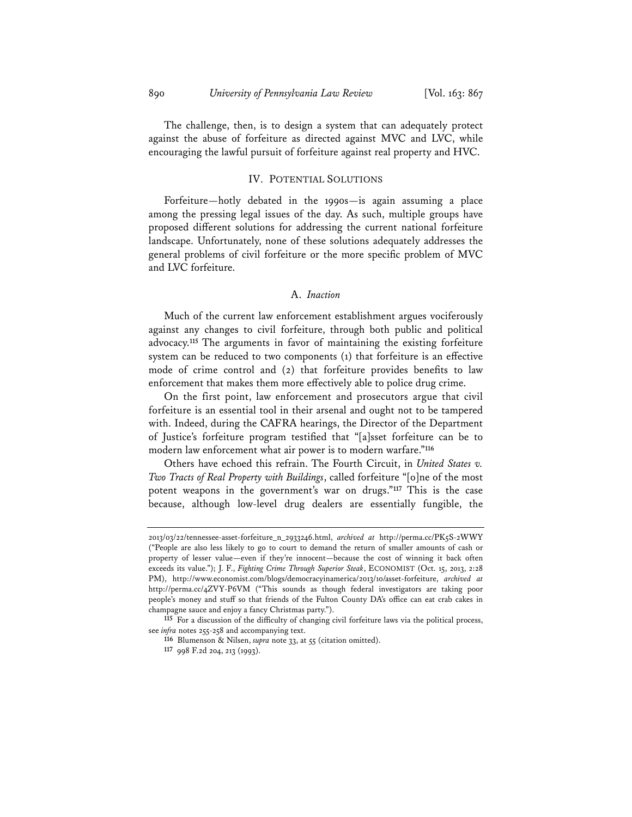The challenge, then, is to design a system that can adequately protect against the abuse of forfeiture as directed against MVC and LVC, while encouraging the lawful pursuit of forfeiture against real property and HVC.

#### IV. POTENTIAL SOLUTIONS

Forfeiture—hotly debated in the 1990s—is again assuming a place among the pressing legal issues of the day. As such, multiple groups have proposed different solutions for addressing the current national forfeiture landscape. Unfortunately, none of these solutions adequately addresses the general problems of civil forfeiture or the more specific problem of MVC and LVC forfeiture.

### A. *Inaction*

Much of the current law enforcement establishment argues vociferously against any changes to civil forfeiture, through both public and political advocacy.**<sup>115</sup>** The arguments in favor of maintaining the existing forfeiture system can be reduced to two components (1) that forfeiture is an effective mode of crime control and (2) that forfeiture provides benefits to law enforcement that makes them more effectively able to police drug crime.

On the first point, law enforcement and prosecutors argue that civil forfeiture is an essential tool in their arsenal and ought not to be tampered with. Indeed, during the CAFRA hearings, the Director of the Department of Justice's forfeiture program testified that "[a]sset forfeiture can be to modern law enforcement what air power is to modern warfare."**<sup>116</sup>**

Others have echoed this refrain. The Fourth Circuit, in *United States v. Two Tracts of Real Property with Buildings*, called forfeiture "[o]ne of the most potent weapons in the government's war on drugs."**<sup>117</sup>** This is the case because, although low-level drug dealers are essentially fungible, the

<sup>2013/03/22/</sup>tennessee-asset-forfeiture\_n\_2933246.html, *archived at* http://perma.cc/PK5S-2WWY ("People are also less likely to go to court to demand the return of smaller amounts of cash or property of lesser value—even if they're innocent—because the cost of winning it back often exceeds its value."); J. F., *Fighting Crime Through Superior Steak*, ECONOMIST (Oct. 15, 2013, 2:28 PM), http://www.economist.com/blogs/democracyinamerica/2013/10/asset-forfeiture, *archived at* http://perma.cc/4ZVY-P6VM ("This sounds as though federal investigators are taking poor people's money and stuff so that friends of the Fulton County DA's office can eat crab cakes in champagne sauce and enjoy a fancy Christmas party.").

**<sup>115</sup>** For a discussion of the difficulty of changing civil forfeiture laws via the political process, see *infra* notes 255-258 and accompanying text.

**<sup>116</sup>** Blumenson & Nilsen, *supra* note 33, at 55 (citation omitted).

**<sup>117</sup>** 998 F.2d 204, 213 (1993).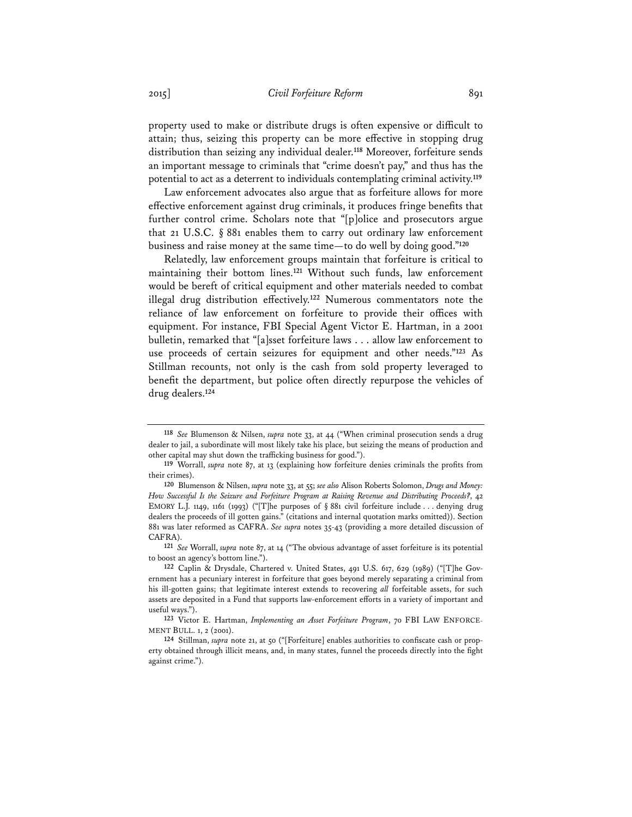property used to make or distribute drugs is often expensive or difficult to attain; thus, seizing this property can be more effective in stopping drug distribution than seizing any individual dealer.**<sup>118</sup>** Moreover, forfeiture sends an important message to criminals that "crime doesn't pay," and thus has the potential to act as a deterrent to individuals contemplating criminal activity.**<sup>119</sup>**

Law enforcement advocates also argue that as forfeiture allows for more effective enforcement against drug criminals, it produces fringe benefits that further control crime. Scholars note that "[p]olice and prosecutors argue that 21 U.S.C. § 881 enables them to carry out ordinary law enforcement business and raise money at the same time—to do well by doing good."**<sup>120</sup>**

Relatedly, law enforcement groups maintain that forfeiture is critical to maintaining their bottom lines.**<sup>121</sup>** Without such funds, law enforcement would be bereft of critical equipment and other materials needed to combat illegal drug distribution effectively.**<sup>122</sup>** Numerous commentators note the reliance of law enforcement on forfeiture to provide their offices with equipment. For instance, FBI Special Agent Victor E. Hartman, in a 2001 bulletin, remarked that "[a]sset forfeiture laws . . . allow law enforcement to use proceeds of certain seizures for equipment and other needs."**<sup>123</sup>** As Stillman recounts, not only is the cash from sold property leveraged to benefit the department, but police often directly repurpose the vehicles of drug dealers.**<sup>124</sup>**

**<sup>118</sup>** *See* Blumenson & Nilsen, *supra* note 33, at 44 ("When criminal prosecution sends a drug dealer to jail, a subordinate will most likely take his place, but seizing the means of production and other capital may shut down the trafficking business for good.").

**<sup>119</sup>** Worrall, *supra* note 87, at 13 (explaining how forfeiture denies criminals the profits from their crimes).

**<sup>120</sup>** Blumenson & Nilsen, *supra* note 33, at 55; *see also* Alison Roberts Solomon, *Drugs and Money: How Successful Is the Seizure and Forfeiture Program at Raising Revenue and Distributing Proceeds?*, 42 EMORY L.J. 1149, 1161 (1993) ("[T]he purposes of § 881 civil forfeiture include . . . denying drug dealers the proceeds of ill gotten gains." (citations and internal quotation marks omitted)). Section 881 was later reformed as CAFRA. *See supra* notes 35-43 (providing a more detailed discussion of CAFRA).

**<sup>121</sup>** *See* Worrall, *supra* note 87, at 14 ("The obvious advantage of asset forfeiture is its potential to boost an agency's bottom line.").

**<sup>122</sup>** Caplin & Drysdale, Chartered v. United States, 491 U.S. 617, 629 (1989) ("[T]he Government has a pecuniary interest in forfeiture that goes beyond merely separating a criminal from his ill-gotten gains; that legitimate interest extends to recovering *all* forfeitable assets, for such assets are deposited in a Fund that supports law-enforcement efforts in a variety of important and useful ways.").

**<sup>123</sup>** Victor E. Hartman, *Implementing an Asset Forfeiture Program*, 70 FBI LAW ENFORCE-MENT BULL. 1, 2 (2001).

**<sup>124</sup>** Stillman, *supra* note 21, at 50 ("[Forfeiture] enables authorities to confiscate cash or property obtained through illicit means, and, in many states, funnel the proceeds directly into the fight against crime.").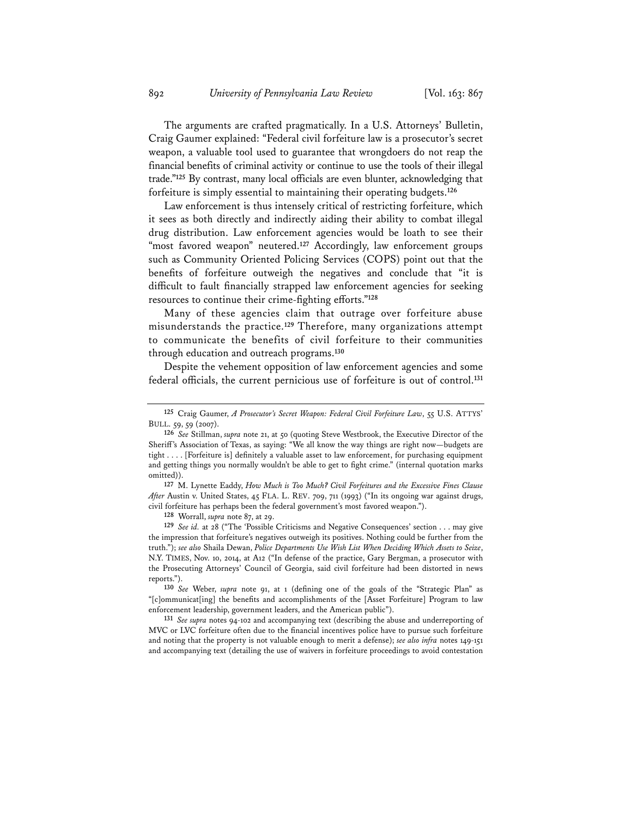The arguments are crafted pragmatically. In a U.S. Attorneys' Bulletin, Craig Gaumer explained: "Federal civil forfeiture law is a prosecutor's secret weapon, a valuable tool used to guarantee that wrongdoers do not reap the financial benefits of criminal activity or continue to use the tools of their illegal trade."**<sup>125</sup>** By contrast, many local officials are even blunter, acknowledging that forfeiture is simply essential to maintaining their operating budgets.**<sup>126</sup>**

Law enforcement is thus intensely critical of restricting forfeiture, which it sees as both directly and indirectly aiding their ability to combat illegal drug distribution. Law enforcement agencies would be loath to see their "most favored weapon" neutered.<sup>127</sup> Accordingly, law enforcement groups such as Community Oriented Policing Services (COPS) point out that the benefits of forfeiture outweigh the negatives and conclude that "it is difficult to fault financially strapped law enforcement agencies for seeking resources to continue their crime-fighting efforts."**<sup>128</sup>**

Many of these agencies claim that outrage over forfeiture abuse misunderstands the practice.**<sup>129</sup>** Therefore, many organizations attempt to communicate the benefits of civil forfeiture to their communities through education and outreach programs.**<sup>130</sup>**

Despite the vehement opposition of law enforcement agencies and some federal officials, the current pernicious use of forfeiture is out of control.**<sup>131</sup>**

**<sup>127</sup>** M. Lynette Eaddy, *How Much is Too Much? Civil Forfeitures and the Excessive Fines Clause After* Austin v. United States, 45 FLA. L. REV. 709, 711 (1993) ("In its ongoing war against drugs, civil forfeiture has perhaps been the federal government's most favored weapon.").

**<sup>128</sup>** Worrall, *supra* note 87, at 29.

**<sup>129</sup>** *See id.* at 28 ("The 'Possible Criticisms and Negative Consequences' section . . . may give the impression that forfeiture's negatives outweigh its positives. Nothing could be further from the truth."); *see also* Shaila Dewan, *Police Departments Use Wish List When Deciding Which Assets to Seize*, N.Y. TIMES, Nov. 10, 2014, at A12 ("In defense of the practice, Gary Bergman, a prosecutor with the Prosecuting Attorneys' Council of Georgia, said civil forfeiture had been distorted in news reports.").

**<sup>130</sup>** *See* Weber, *supra* note 91, at 1 (defining one of the goals of the "Strategic Plan" as "[c]ommunicat[ing] the benefits and accomplishments of the [Asset Forfeiture] Program to law enforcement leadership, government leaders, and the American public").

**<sup>131</sup>** *See supra* notes 94-102 and accompanying text (describing the abuse and underreporting of MVC or LVC forfeiture often due to the financial incentives police have to pursue such forfeiture and noting that the property is not valuable enough to merit a defense); *see also infra* notes 149-151 and accompanying text (detailing the use of waivers in forfeiture proceedings to avoid contestation

**<sup>125</sup>** Craig Gaumer, *A Prosecutor's Secret Weapon: Federal Civil Forfeiture Law*, 55 U.S. ATTYS' BULL. 59, 59 (2007).

**<sup>126</sup>** *See* Stillman, *supra* note 21, at 50 (quoting Steve Westbrook, the Executive Director of the Sheriff's Association of Texas, as saying: "We all know the way things are right now—budgets are tight . . . . [Forfeiture is] definitely a valuable asset to law enforcement, for purchasing equipment and getting things you normally wouldn't be able to get to fight crime." (internal quotation marks omitted)).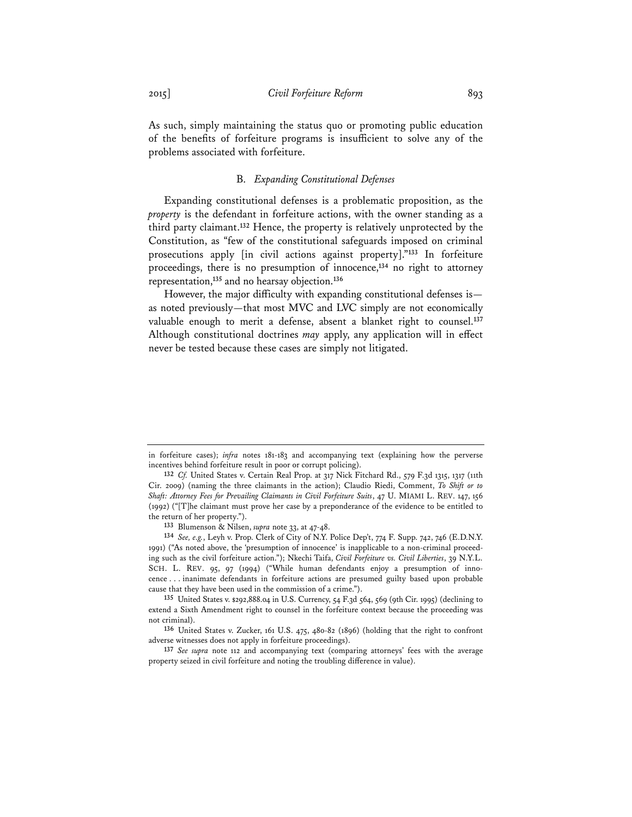As such, simply maintaining the status quo or promoting public education of the benefits of forfeiture programs is insufficient to solve any of the problems associated with forfeiture.

#### B. *Expanding Constitutional Defenses*

Expanding constitutional defenses is a problematic proposition, as the *property* is the defendant in forfeiture actions, with the owner standing as a third party claimant.**<sup>132</sup>** Hence, the property is relatively unprotected by the Constitution, as "few of the constitutional safeguards imposed on criminal prosecutions apply [in civil actions against property]."**<sup>133</sup>** In forfeiture proceedings, there is no presumption of innocence,**<sup>134</sup>** no right to attorney representation,**<sup>135</sup>** and no hearsay objection.**<sup>136</sup>**

However, the major difficulty with expanding constitutional defenses is as noted previously—that most MVC and LVC simply are not economically valuable enough to merit a defense, absent a blanket right to counsel.**<sup>137</sup>** Although constitutional doctrines *may* apply, any application will in effect never be tested because these cases are simply not litigated.

in forfeiture cases); *infra* notes 181-183 and accompanying text (explaining how the perverse incentives behind forfeiture result in poor or corrupt policing).

**<sup>132</sup>** *Cf.* United States v. Certain Real Prop. at 317 Nick Fitchard Rd., 579 F.3d 1315, 1317 (11th Cir. 2009) (naming the three claimants in the action); Claudio Riedi, Comment, *To Shift or to Shaft: Attorney Fees for Prevailing Claimants in Civil Forfeiture Suits*, 47 U. MIAMI L. REV. 147, 156 (1992) ("[T]he claimant must prove her case by a preponderance of the evidence to be entitled to the return of her property.").

**<sup>133</sup>** Blumenson & Nilsen, *supra* note 33, at 47-48.

**<sup>134</sup>** *See, e.g.*, Leyh v. Prop. Clerk of City of N.Y. Police Dep't, 774 F. Supp. 742, 746 (E.D.N.Y. 1991) ("As noted above, the 'presumption of innocence' is inapplicable to a non-criminal proceeding such as the civil forfeiture action."); Nkechi Taifa, *Civil Forfeiture vs. Civil Liberties*, 39 N.Y.L. SCH. L. REV. 95, 97 (1994) ("While human defendants enjoy a presumption of innocence . . . inanimate defendants in forfeiture actions are presumed guilty based upon probable cause that they have been used in the commission of a crime.").

**<sup>135</sup>** United States v. \$292,888.04 in U.S. Currency, 54 F.3d 564, 569 (9th Cir. 1995) (declining to extend a Sixth Amendment right to counsel in the forfeiture context because the proceeding was not criminal).

**<sup>136</sup>** United States v. Zucker, 161 U.S. 475, 480-82 (1896) (holding that the right to confront adverse witnesses does not apply in forfeiture proceedings).

**<sup>137</sup>** *See supra* note 112 and accompanying text (comparing attorneys' fees with the average property seized in civil forfeiture and noting the troubling difference in value).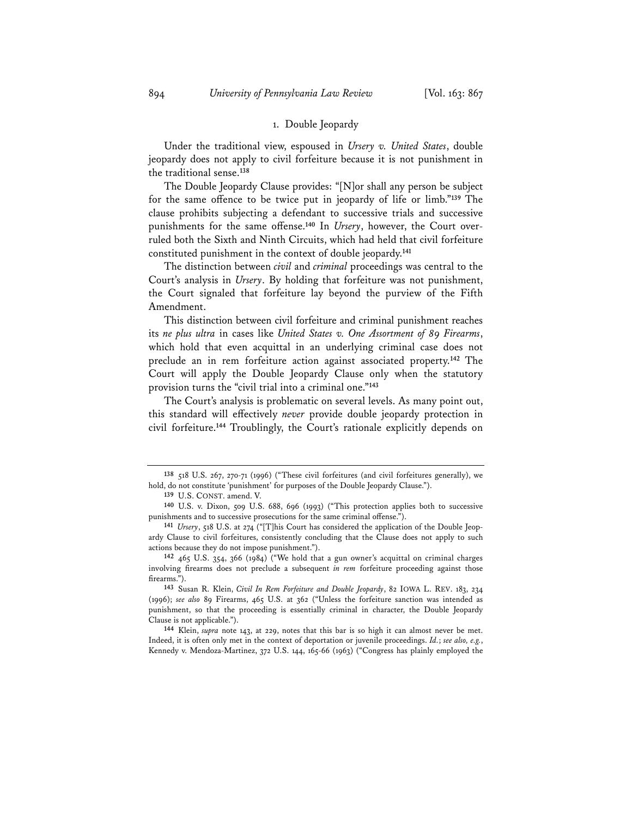#### 1. Double Jeopardy

Under the traditional view, espoused in *Ursery v. United States*, double jeopardy does not apply to civil forfeiture because it is not punishment in the traditional sense.**<sup>138</sup>**

The Double Jeopardy Clause provides: "[N]or shall any person be subject for the same offence to be twice put in jeopardy of life or limb."**<sup>139</sup>** The clause prohibits subjecting a defendant to successive trials and successive punishments for the same offense.**<sup>140</sup>** In *Ursery*, however, the Court overruled both the Sixth and Ninth Circuits, which had held that civil forfeiture constituted punishment in the context of double jeopardy.**<sup>141</sup>**

The distinction between *civil* and *criminal* proceedings was central to the Court's analysis in *Ursery*. By holding that forfeiture was not punishment, the Court signaled that forfeiture lay beyond the purview of the Fifth Amendment.

This distinction between civil forfeiture and criminal punishment reaches its *ne plus ultra* in cases like *United States v. One Assortment of 89 Firearms*, which hold that even acquittal in an underlying criminal case does not preclude an in rem forfeiture action against associated property.**<sup>142</sup>** The Court will apply the Double Jeopardy Clause only when the statutory provision turns the "civil trial into a criminal one."**<sup>143</sup>**

The Court's analysis is problematic on several levels. As many point out, this standard will effectively *never* provide double jeopardy protection in civil forfeiture.**<sup>144</sup>** Troublingly, the Court's rationale explicitly depends on

**<sup>138</sup>** 518 U.S. 267, 270-71 (1996) ("These civil forfeitures (and civil forfeitures generally), we hold, do not constitute 'punishment' for purposes of the Double Jeopardy Clause.").

**<sup>139</sup>** U.S. CONST. amend. V.

**<sup>140</sup>** U.S. v. Dixon, 509 U.S. 688, 696 (1993) ("This protection applies both to successive punishments and to successive prosecutions for the same criminal offense."). **<sup>141</sup>** *Ursery*, 518 U.S. at 274 ("[T]his Court has considered the application of the Double Jeop-

ardy Clause to civil forfeitures, consistently concluding that the Clause does not apply to such actions because they do not impose punishment.").

**<sup>142</sup>** 465 U.S. 354, 366 (1984) ("We hold that a gun owner's acquittal on criminal charges involving firearms does not preclude a subsequent *in rem* forfeiture proceeding against those firearms.").

**<sup>143</sup>** Susan R. Klein, *Civil In Rem Forfeiture and Double Jeopardy*, 82 IOWA L. REV. 183, 234 (1996); *see also* 89 Firearms, 465 U.S. at 362 ("Unless the forfeiture sanction was intended as punishment, so that the proceeding is essentially criminal in character, the Double Jeopardy Clause is not applicable."). **144** Klein, *supra* note 143, at 229, notes that this bar is so high it can almost never be met.

Indeed, it is often only met in the context of deportation or juvenile proceedings. *Id.*; *see also, e.g.*, Kennedy v. Mendoza-Martinez, 372 U.S. 144, 165-66 (1963) ("Congress has plainly employed the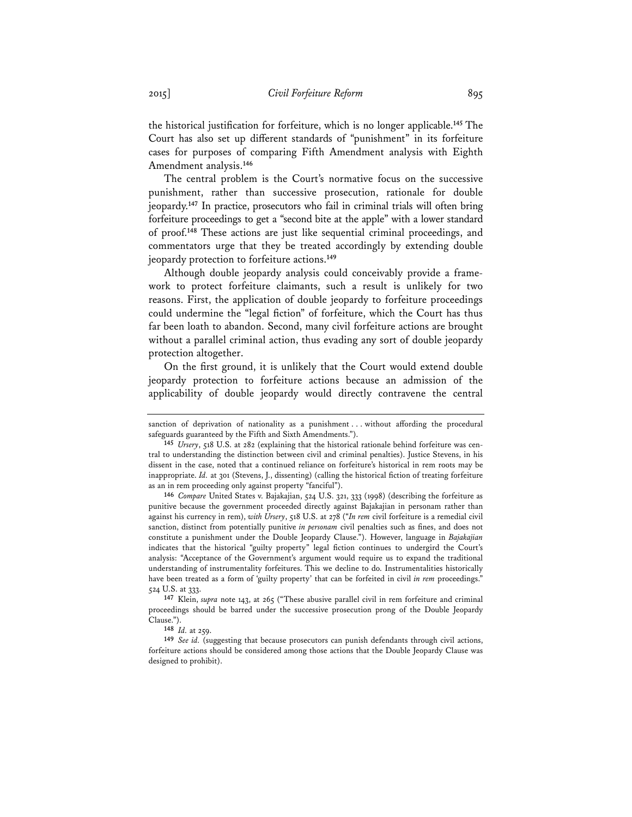the historical justification for forfeiture, which is no longer applicable.**<sup>145</sup>** The Court has also set up different standards of "punishment" in its forfeiture cases for purposes of comparing Fifth Amendment analysis with Eighth Amendment analysis.**<sup>146</sup>**

The central problem is the Court's normative focus on the successive punishment, rather than successive prosecution, rationale for double jeopardy.**<sup>147</sup>** In practice, prosecutors who fail in criminal trials will often bring forfeiture proceedings to get a "second bite at the apple" with a lower standard of proof.**<sup>148</sup>** These actions are just like sequential criminal proceedings, and commentators urge that they be treated accordingly by extending double jeopardy protection to forfeiture actions.**<sup>149</sup>**

Although double jeopardy analysis could conceivably provide a framework to protect forfeiture claimants, such a result is unlikely for two reasons. First, the application of double jeopardy to forfeiture proceedings could undermine the "legal fiction" of forfeiture, which the Court has thus far been loath to abandon. Second, many civil forfeiture actions are brought without a parallel criminal action, thus evading any sort of double jeopardy protection altogether.

On the first ground, it is unlikely that the Court would extend double jeopardy protection to forfeiture actions because an admission of the applicability of double jeopardy would directly contravene the central

**<sup>146</sup>** *Compare* United States v. Bajakajian, 524 U.S. 321, 333 (1998) (describing the forfeiture as punitive because the government proceeded directly against Bajakajian in personam rather than against his currency in rem), *with Ursery*, 518 U.S. at 278 ("*In rem* civil forfeiture is a remedial civil sanction, distinct from potentially punitive *in personam* civil penalties such as fines, and does not constitute a punishment under the Double Jeopardy Clause."). However, language in *Bajakajian* indicates that the historical "guilty property" legal fiction continues to undergird the Court's analysis: "Acceptance of the Government's argument would require us to expand the traditional understanding of instrumentality forfeitures. This we decline to do. Instrumentalities historically have been treated as a form of 'guilty property' that can be forfeited in civil *in rem* proceedings." 524 U.S. at 333.

**<sup>147</sup>** Klein, *supra* note 143, at 265 ("These abusive parallel civil in rem forfeiture and criminal proceedings should be barred under the successive prosecution prong of the Double Jeopardy Clause.").

**<sup>148</sup>** *Id.* at 259.

**<sup>149</sup>** *See id.* (suggesting that because prosecutors can punish defendants through civil actions, forfeiture actions should be considered among those actions that the Double Jeopardy Clause was designed to prohibit).

sanction of deprivation of nationality as a punishment . . . without affording the procedural safeguards guaranteed by the Fifth and Sixth Amendments.").

**<sup>145</sup>** *Ursery*, 518 U.S. at 282 (explaining that the historical rationale behind forfeiture was central to understanding the distinction between civil and criminal penalties). Justice Stevens, in his dissent in the case, noted that a continued reliance on forfeiture's historical in rem roots may be inappropriate. *Id.* at 301 (Stevens, J., dissenting) (calling the historical fiction of treating forfeiture as an in rem proceeding only against property "fanciful").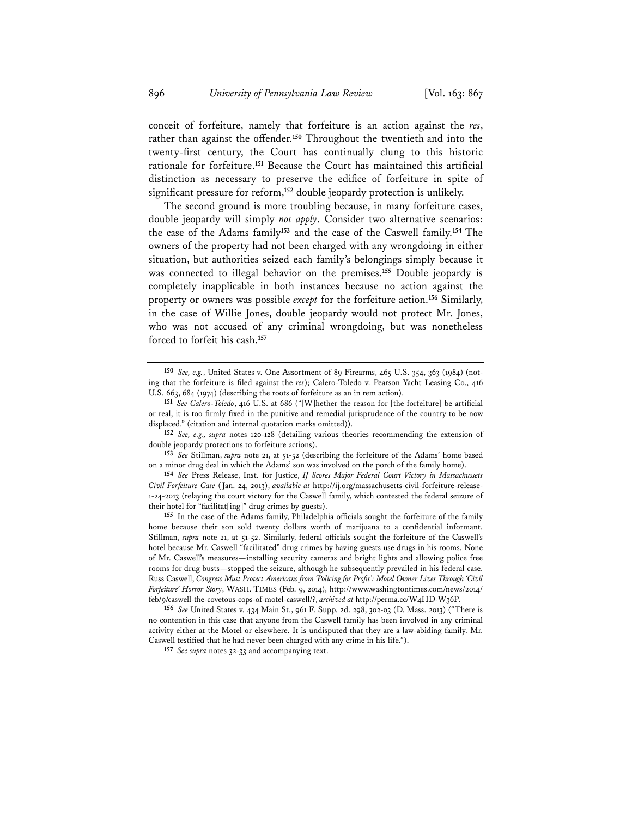conceit of forfeiture, namely that forfeiture is an action against the *res*, rather than against the offender.**<sup>150</sup>** Throughout the twentieth and into the twenty-first century, the Court has continually clung to this historic rationale for forfeiture.**<sup>151</sup>** Because the Court has maintained this artificial distinction as necessary to preserve the edifice of forfeiture in spite of significant pressure for reform,**<sup>152</sup>** double jeopardy protection is unlikely.

The second ground is more troubling because, in many forfeiture cases, double jeopardy will simply *not apply*. Consider two alternative scenarios: the case of the Adams family**<sup>153</sup>** and the case of the Caswell family.**<sup>154</sup>** The owners of the property had not been charged with any wrongdoing in either situation, but authorities seized each family's belongings simply because it was connected to illegal behavior on the premises.**<sup>155</sup>** Double jeopardy is completely inapplicable in both instances because no action against the property or owners was possible *except* for the forfeiture action.**<sup>156</sup>** Similarly, in the case of Willie Jones, double jeopardy would not protect Mr. Jones, who was not accused of any criminal wrongdoing, but was nonetheless forced to forfeit his cash.**<sup>157</sup>**

**<sup>153</sup>** *See* Stillman, *supra* note 21, at 51-52 (describing the forfeiture of the Adams' home based on a minor drug deal in which the Adams' son was involved on the porch of the family home).

**<sup>154</sup>** *See* Press Release, Inst. for Justice, *IJ Scores Major Federal Court Victory in Massachussets Civil Forfeiture Case* (Jan. 24, 2013), *available at* http://ij.org/massachusetts-civil-forfeiture-release-1-24-2013 (relaying the court victory for the Caswell family, which contested the federal seizure of their hotel for "facilitat[ing]" drug crimes by guests).

**<sup>155</sup>** In the case of the Adams family, Philadelphia officials sought the forfeiture of the family home because their son sold twenty dollars worth of marijuana to a confidential informant. Stillman, *supra* note 21, at 51-52. Similarly, federal officials sought the forfeiture of the Caswell's hotel because Mr. Caswell "facilitated" drug crimes by having guests use drugs in his rooms. None of Mr. Caswell's measures—installing security cameras and bright lights and allowing police free rooms for drug busts—stopped the seizure, although he subsequently prevailed in his federal case. Russ Caswell, *Congress Must Protect Americans from 'Policing for Profit': Motel Owner Lives Through 'Civil Forfeiture' Horror Story*, WASH. TIMES (Feb. 9, 2014), http://www.washingtontimes.com/news/2014/ feb/9/caswell-the-covetous-cops-of-motel-caswell/?, *archived at* http://perma.cc/W4HD-W36P.

**<sup>156</sup>** *See* United States v. 434 Main St., 961 F. Supp. 2d. 298, 302-03 (D. Mass. 2013) ("There is no contention in this case that anyone from the Caswell family has been involved in any criminal activity either at the Motel or elsewhere. It is undisputed that they are a law-abiding family. Mr. Caswell testified that he had never been charged with any crime in his life.").

**<sup>157</sup>** *See supra* notes 32-33 and accompanying text.

**<sup>150</sup>** *See, e.g.*, United States v. One Assortment of 89 Firearms, 465 U.S. 354, 363 (1984) (noting that the forfeiture is filed against the *res*); Calero-Toledo v. Pearson Yacht Leasing Co., 416 U.S. 663, 684 (1974) (describing the roots of forfeiture as an in rem action).

**<sup>151</sup>** *See Calero-Toledo*, 416 U.S. at 686 ("[W]hether the reason for [the forfeiture] be artificial or real, it is too firmly fixed in the punitive and remedial jurisprudence of the country to be now displaced." (citation and internal quotation marks omitted)).

**<sup>152</sup>** *See, e.g., supra* notes 120-128 (detailing various theories recommending the extension of double jeopardy protections to forfeiture actions).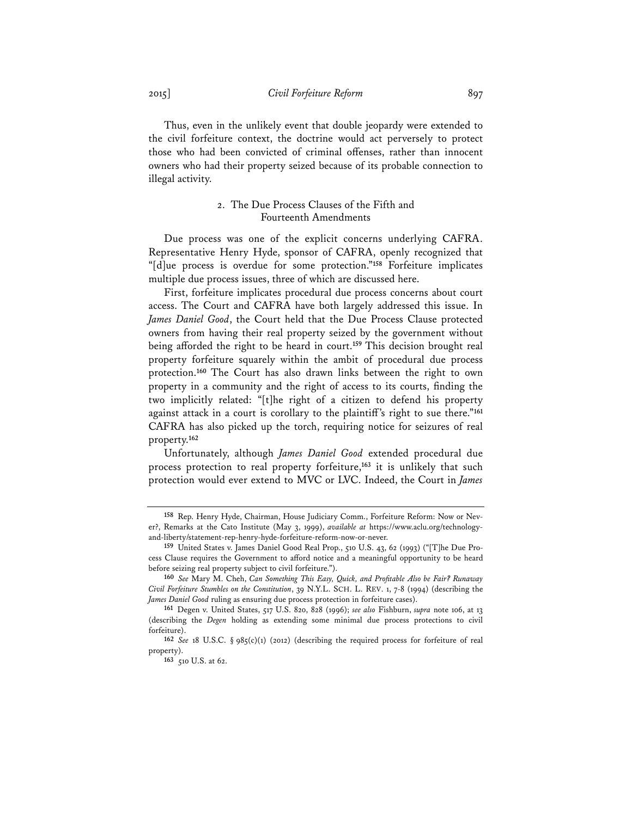Thus, even in the unlikely event that double jeopardy were extended to the civil forfeiture context, the doctrine would act perversely to protect those who had been convicted of criminal offenses, rather than innocent owners who had their property seized because of its probable connection to illegal activity.

# 2. The Due Process Clauses of the Fifth and Fourteenth Amendments

Due process was one of the explicit concerns underlying CAFRA. Representative Henry Hyde, sponsor of CAFRA, openly recognized that "[d]ue process is overdue for some protection."**<sup>158</sup>** Forfeiture implicates multiple due process issues, three of which are discussed here.

First, forfeiture implicates procedural due process concerns about court access. The Court and CAFRA have both largely addressed this issue. In *James Daniel Good*, the Court held that the Due Process Clause protected owners from having their real property seized by the government without being afforded the right to be heard in court.**<sup>159</sup>** This decision brought real property forfeiture squarely within the ambit of procedural due process protection.**<sup>160</sup>** The Court has also drawn links between the right to own property in a community and the right of access to its courts, finding the two implicitly related: "[t]he right of a citizen to defend his property against attack in a court is corollary to the plaintiff's right to sue there."**<sup>161</sup>** CAFRA has also picked up the torch, requiring notice for seizures of real property.**<sup>162</sup>**

Unfortunately, although *James Daniel Good* extended procedural due process protection to real property forfeiture,**<sup>163</sup>** it is unlikely that such protection would ever extend to MVC or LVC. Indeed, the Court in *James* 

**<sup>158</sup>** Rep. Henry Hyde, Chairman, House Judiciary Comm., Forfeiture Reform: Now or Never?, Remarks at the Cato Institute (May 3, 1999), *available at* https://www.aclu.org/technologyand-liberty/statement-rep-henry-hyde-forfeiture-reform-now-or-never.

**<sup>159</sup>** United States v. James Daniel Good Real Prop., 510 U.S. 43, 62 (1993) ("[T]he Due Process Clause requires the Government to afford notice and a meaningful opportunity to be heard before seizing real property subject to civil forfeiture.").

**<sup>160</sup>** *See* Mary M. Cheh, *Can Something This Easy, Quick, and Profitable Also be Fair? Runaway Civil Forfeiture Stumbles on the Constitution*, 39 N.Y.L. SCH. L. REV. 1, 7-8 (1994) (describing the *James Daniel Good* ruling as ensuring due process protection in forfeiture cases).

**<sup>161</sup>** Degen v. United States, 517 U.S. 820, 828 (1996); *see also* Fishburn, *supra* note 106, at 13 (describing the *Degen* holding as extending some minimal due process protections to civil forfeiture).

**<sup>162</sup>** *See* 18 U.S.C. § 985(c)(1) (2012) (describing the required process for forfeiture of real property).

**<sup>163</sup>** 510 U.S. at 62.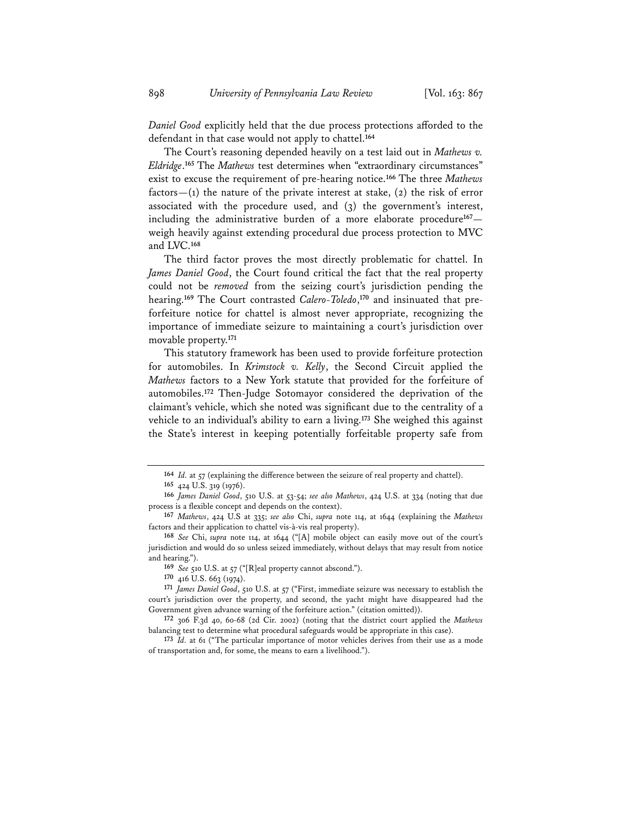*Daniel Good* explicitly held that the due process protections afforded to the defendant in that case would not apply to chattel.**<sup>164</sup>**

The Court's reasoning depended heavily on a test laid out in *Mathews v. Eldridge*. **<sup>165</sup>** The *Mathews* test determines when "extraordinary circumstances" exist to excuse the requirement of pre-hearing notice.**<sup>166</sup>** The three *Mathews* factors—(1) the nature of the private interest at stake,  $(2)$  the risk of error associated with the procedure used, and (3) the government's interest, including the administrative burden of a more elaborate procedure**<sup>167</sup>** weigh heavily against extending procedural due process protection to MVC and LVC.**<sup>168</sup>**

The third factor proves the most directly problematic for chattel. In *James Daniel Good*, the Court found critical the fact that the real property could not be *removed* from the seizing court's jurisdiction pending the hearing.**<sup>169</sup>** The Court contrasted *Calero-Toledo*, **<sup>170</sup>** and insinuated that preforfeiture notice for chattel is almost never appropriate, recognizing the importance of immediate seizure to maintaining a court's jurisdiction over movable property.**<sup>171</sup>**

This statutory framework has been used to provide forfeiture protection for automobiles. In *Krimstock v. Kelly*, the Second Circuit applied the *Mathews* factors to a New York statute that provided for the forfeiture of automobiles.**<sup>172</sup>** Then-Judge Sotomayor considered the deprivation of the claimant's vehicle, which she noted was significant due to the centrality of a vehicle to an individual's ability to earn a living.**<sup>173</sup>** She weighed this against the State's interest in keeping potentially forfeitable property safe from

**<sup>164</sup>** *Id.* at 57 (explaining the difference between the seizure of real property and chattel).

**<sup>165</sup>** 424 U.S. 319 (1976).

**<sup>166</sup>** *James Daniel Good*, 510 U.S. at 53-54; *see also Mathews*, 424 U.S. at 334 (noting that due process is a flexible concept and depends on the context).

**<sup>167</sup>** *Mathews*, 424 U.S at 335; *see also* Chi, *supra* note 114, at 1644 (explaining the *Mathews* factors and their application to chattel vis-à-vis real property).

**<sup>168</sup>** *See* Chi, *supra* note 114, at 1644 ("[A] mobile object can easily move out of the court's jurisdiction and would do so unless seized immediately, without delays that may result from notice and hearing.").

**<sup>169</sup>** *See* 510 U.S. at 57 ("[R]eal property cannot abscond.").

<sup>170 416</sup> U.S. 663 (1974).

**<sup>171</sup>** *James Daniel Good*, 510 U.S. at 57 ("First, immediate seizure was necessary to establish the court's jurisdiction over the property, and second, the yacht might have disappeared had the Government given advance warning of the forfeiture action." (citation omitted)).

**<sup>172</sup>** 306 F.3d 40, 60-68 (2d Cir. 2002) (noting that the district court applied the *Mathews* balancing test to determine what procedural safeguards would be appropriate in this case).

**<sup>173</sup>** *Id.* at 61 ("The particular importance of motor vehicles derives from their use as a mode of transportation and, for some, the means to earn a livelihood.").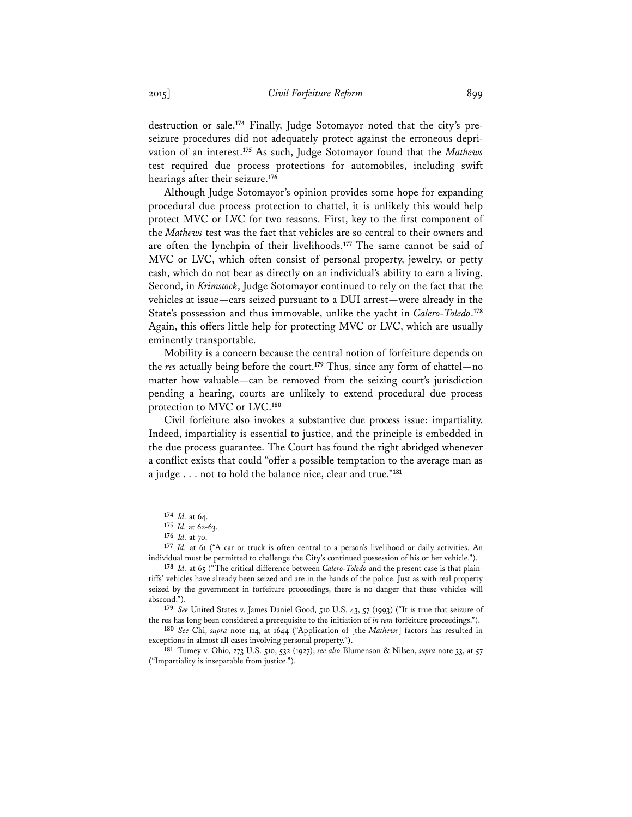destruction or sale.**<sup>174</sup>** Finally, Judge Sotomayor noted that the city's preseizure procedures did not adequately protect against the erroneous deprivation of an interest.**<sup>175</sup>** As such, Judge Sotomayor found that the *Mathews* test required due process protections for automobiles, including swift hearings after their seizure.**<sup>176</sup>**

Although Judge Sotomayor's opinion provides some hope for expanding procedural due process protection to chattel, it is unlikely this would help protect MVC or LVC for two reasons. First, key to the first component of the *Mathews* test was the fact that vehicles are so central to their owners and are often the lynchpin of their livelihoods.**<sup>177</sup>** The same cannot be said of MVC or LVC, which often consist of personal property, jewelry, or petty cash, which do not bear as directly on an individual's ability to earn a living. Second, in *Krimstock*, Judge Sotomayor continued to rely on the fact that the vehicles at issue—cars seized pursuant to a DUI arrest—were already in the State's possession and thus immovable, unlike the yacht in *Calero-Toledo*. **178** Again, this offers little help for protecting MVC or LVC, which are usually eminently transportable.

Mobility is a concern because the central notion of forfeiture depends on the *res* actually being before the court.**<sup>179</sup>** Thus, since any form of chattel—no matter how valuable—can be removed from the seizing court's jurisdiction pending a hearing, courts are unlikely to extend procedural due process protection to MVC or LVC.**<sup>180</sup>**

Civil forfeiture also invokes a substantive due process issue: impartiality. Indeed, impartiality is essential to justice, and the principle is embedded in the due process guarantee. The Court has found the right abridged whenever a conflict exists that could "offer a possible temptation to the average man as a judge . . . not to hold the balance nice, clear and true."**<sup>181</sup>**

**<sup>174</sup>** *Id.* at 64.

**<sup>175</sup>** *Id.* at 62-63.

**<sup>176</sup>** *Id.* at 70.

**<sup>177</sup>** *Id.* at 61 ("A car or truck is often central to a person's livelihood or daily activities. An individual must be permitted to challenge the City's continued possession of his or her vehicle.").

**<sup>178</sup>** *Id.* at 65 ("The critical difference between *Calero-Toledo* and the present case is that plaintiffs' vehicles have already been seized and are in the hands of the police. Just as with real property seized by the government in forfeiture proceedings, there is no danger that these vehicles will abscond.").

**<sup>179</sup>** *See* United States v. James Daniel Good, 510 U.S. 43, 57 (1993) ("It is true that seizure of the res has long been considered a prerequisite to the initiation of *in rem* forfeiture proceedings.").

**<sup>180</sup>** *See* Chi, *supra* note 114, at 1644 ("Application of [the *Mathews*] factors has resulted in exceptions in almost all cases involving personal property.").

**<sup>181</sup>** Tumey v. Ohio, 273 U.S. 510, 532 (1927); *see also* Blumenson & Nilsen, *supra* note 33, at 57 ("Impartiality is inseparable from justice.").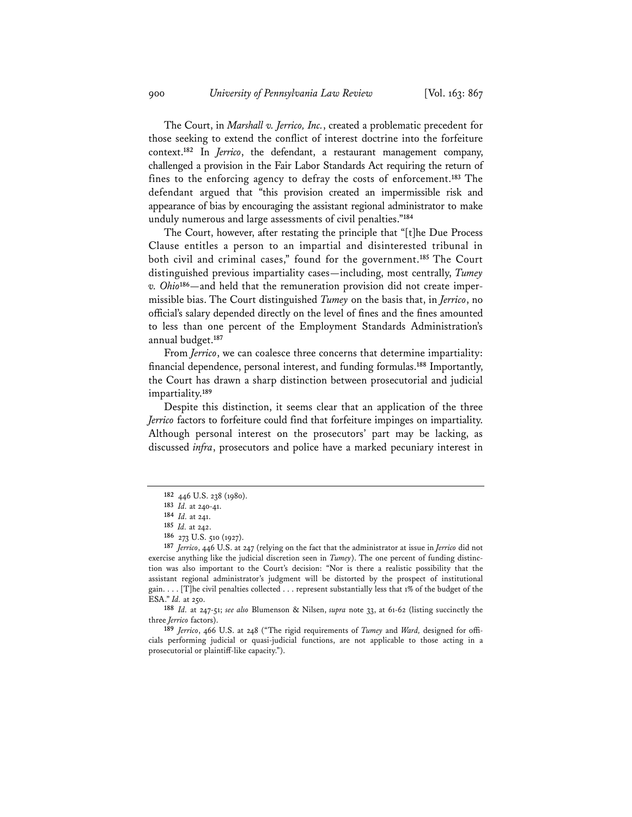The Court, in *Marshall v. Jerrico, Inc.*, created a problematic precedent for those seeking to extend the conflict of interest doctrine into the forfeiture context.**<sup>182</sup>** In *Jerrico*, the defendant, a restaurant management company, challenged a provision in the Fair Labor Standards Act requiring the return of fines to the enforcing agency to defray the costs of enforcement.**<sup>183</sup>** The defendant argued that "this provision created an impermissible risk and appearance of bias by encouraging the assistant regional administrator to make unduly numerous and large assessments of civil penalties."**<sup>184</sup>**

The Court, however, after restating the principle that "[t]he Due Process Clause entitles a person to an impartial and disinterested tribunal in both civil and criminal cases," found for the government.**<sup>185</sup>** The Court distinguished previous impartiality cases—including, most centrally, *Tumey v. Ohio***<sup>186</sup>**—and held that the remuneration provision did not create impermissible bias. The Court distinguished *Tumey* on the basis that, in *Jerrico*, no official's salary depended directly on the level of fines and the fines amounted to less than one percent of the Employment Standards Administration's annual budget.**<sup>187</sup>**

From *Jerrico*, we can coalesce three concerns that determine impartiality: financial dependence, personal interest, and funding formulas.**<sup>188</sup>** Importantly, the Court has drawn a sharp distinction between prosecutorial and judicial impartiality.**<sup>189</sup>**

Despite this distinction, it seems clear that an application of the three *Jerrico* factors to forfeiture could find that forfeiture impinges on impartiality. Although personal interest on the prosecutors' part may be lacking, as discussed *infra*, prosecutors and police have a marked pecuniary interest in

**<sup>182</sup>** 446 U.S. 238 (1980).

**<sup>183</sup>** *Id.* at 240-41.

**<sup>184</sup>** *Id.* at 241.

**<sup>185</sup>** *Id.* at 242.

**<sup>186</sup>** 273 U.S. 510 (1927).

**<sup>187</sup>** *Jerrico*, 446 U.S. at 247 (relying on the fact that the administrator at issue in *Jerrico* did not exercise anything like the judicial discretion seen in *Tumey*). The one percent of funding distinction was also important to the Court's decision: "Nor is there a realistic possibility that the assistant regional administrator's judgment will be distorted by the prospect of institutional gain. . . . [T]he civil penalties collected . . . represent substantially less that 1% of the budget of the ESA." *Id.* at 250.

**<sup>188</sup>** *Id.* at 247-51; *see also* Blumenson & Nilsen, *supra* note 33, at 61-62 (listing succinctly the three *Jerrico* factors).

**<sup>189</sup>** *Jerrico*, 466 U.S. at 248 ("The rigid requirements of *Tumey* and *Ward,* designed for officials performing judicial or quasi-judicial functions, are not applicable to those acting in a prosecutorial or plaintiff-like capacity.").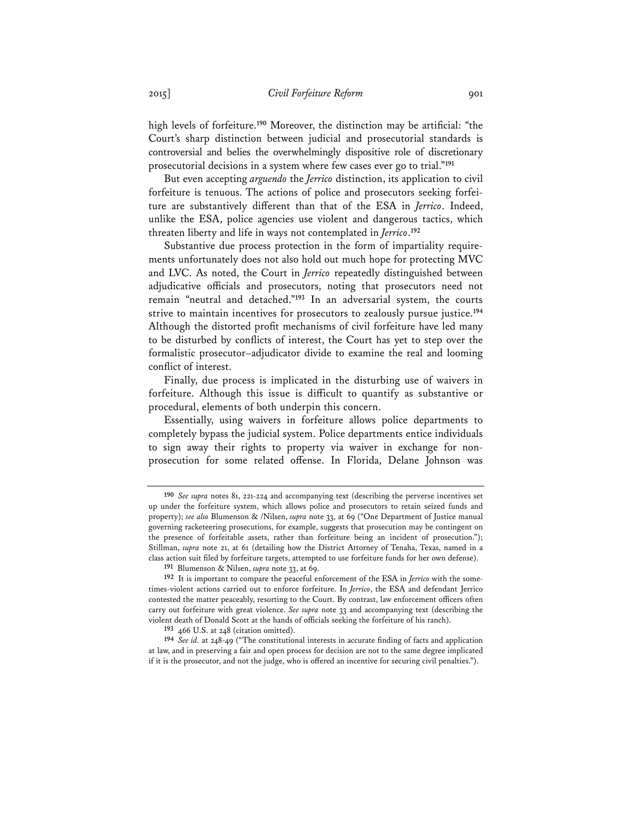high levels of forfeiture.**<sup>190</sup>** Moreover, the distinction may be artificial: "the Court's sharp distinction between judicial and prosecutorial standards is controversial and belies the overwhelmingly dispositive role of discretionary prosecutorial decisions in a system where few cases ever go to trial."**<sup>191</sup>**

But even accepting *arguendo* the *Jerrico* distinction, its application to civil forfeiture is tenuous. The actions of police and prosecutors seeking forfeiture are substantively different than that of the ESA in *Jerrico*. Indeed, unlike the ESA, police agencies use violent and dangerous tactics, which threaten liberty and life in ways not contemplated in *Jerrico*. **192**

Substantive due process protection in the form of impartiality requirements unfortunately does not also hold out much hope for protecting MVC and LVC. As noted, the Court in *Jerrico* repeatedly distinguished between adjudicative officials and prosecutors, noting that prosecutors need not remain "neutral and detached."**<sup>193</sup>** In an adversarial system, the courts strive to maintain incentives for prosecutors to zealously pursue justice.**<sup>194</sup>** Although the distorted profit mechanisms of civil forfeiture have led many to be disturbed by conflicts of interest, the Court has yet to step over the formalistic prosecutor–adjudicator divide to examine the real and looming conflict of interest.

Finally, due process is implicated in the disturbing use of waivers in forfeiture. Although this issue is difficult to quantify as substantive or procedural, elements of both underpin this concern.

Essentially, using waivers in forfeiture allows police departments to completely bypass the judicial system. Police departments entice individuals to sign away their rights to property via waiver in exchange for nonprosecution for some related offense. In Florida, Delane Johnson was

**<sup>190</sup>** *See supra* notes 81, 221-224 and accompanying text (describing the perverse incentives set up under the forfeiture system, which allows police and prosecutors to retain seized funds and property); *see also* Blumenson & /Nilsen, *supra* note 33, at 69 ("One Department of Justice manual governing racketeering prosecutions, for example, suggests that prosecution may be contingent on the presence of forfeitable assets, rather than forfeiture being an incident of prosecution."); Stillman, *supra* note 21, at 61 (detailing how the District Attorney of Tenaha, Texas, named in a class action suit filed by forfeiture targets, attempted to use forfeiture funds for her own defense).

**<sup>191</sup>** Blumenson & Nilsen, *supra* note 33, at 69.

**<sup>192</sup>** It is important to compare the peaceful enforcement of the ESA in *Jerrico* with the sometimes-violent actions carried out to enforce forfeiture. In *Jerrico*, the ESA and defendant Jerrico contested the matter peaceably, resorting to the Court. By contrast, law enforcement officers often carry out forfeiture with great violence. *See supra* note 33 and accompanying text (describing the violent death of Donald Scott at the hands of officials seeking the forfeiture of his ranch).

**<sup>193</sup>** 466 U.S. at 248 (citation omitted).

**<sup>194</sup>** *See id.* at 248-49 ("The constitutional interests in accurate finding of facts and application at law, and in preserving a fair and open process for decision are not to the same degree implicated if it is the prosecutor, and not the judge, who is offered an incentive for securing civil penalties.").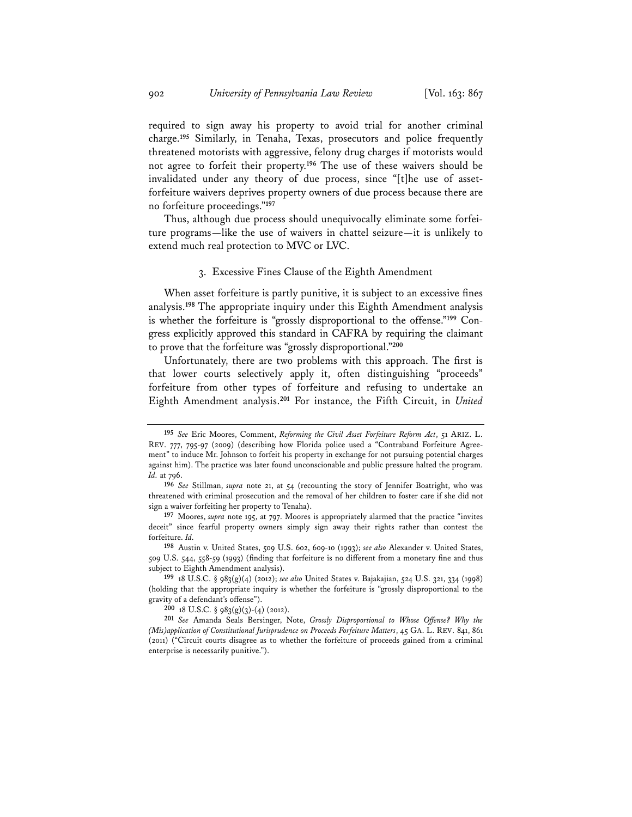required to sign away his property to avoid trial for another criminal charge.**<sup>195</sup>** Similarly, in Tenaha, Texas, prosecutors and police frequently threatened motorists with aggressive, felony drug charges if motorists would not agree to forfeit their property.**<sup>196</sup>** The use of these waivers should be invalidated under any theory of due process, since "[t]he use of assetforfeiture waivers deprives property owners of due process because there are no forfeiture proceedings."**<sup>197</sup>**

Thus, although due process should unequivocally eliminate some forfeiture programs—like the use of waivers in chattel seizure—it is unlikely to extend much real protection to MVC or LVC.

### 3. Excessive Fines Clause of the Eighth Amendment

When asset forfeiture is partly punitive, it is subject to an excessive fines analysis.**<sup>198</sup>** The appropriate inquiry under this Eighth Amendment analysis is whether the forfeiture is "grossly disproportional to the offense."**<sup>199</sup>** Congress explicitly approved this standard in CAFRA by requiring the claimant to prove that the forfeiture was "grossly disproportional."**<sup>200</sup>**

Unfortunately, there are two problems with this approach. The first is that lower courts selectively apply it, often distinguishing "proceeds" forfeiture from other types of forfeiture and refusing to undertake an Eighth Amendment analysis.**<sup>201</sup>** For instance, the Fifth Circuit, in *United* 

**<sup>195</sup>** *See* Eric Moores, Comment, *Reforming the Civil Asset Forfeiture Reform Act*, 51 ARIZ. L. REV. 777, 795-97 (2009) (describing how Florida police used a "Contraband Forfeiture Agreement" to induce Mr. Johnson to forfeit his property in exchange for not pursuing potential charges against him). The practice was later found unconscionable and public pressure halted the program. *Id.* at 796.

**<sup>196</sup>** *See* Stillman, *supra* note 21, at 54 (recounting the story of Jennifer Boatright, who was threatened with criminal prosecution and the removal of her children to foster care if she did not sign a waiver forfeiting her property to Tenaha).

**<sup>197</sup>** Moores, *supra* note 195, at 797. Moores is appropriately alarmed that the practice "invites deceit" since fearful property owners simply sign away their rights rather than contest the forfeiture. *Id.*

**<sup>198</sup>** Austin v. United States, 509 U.S. 602, 609-10 (1993); *see also* Alexander v. United States, 509 U.S. 544, 558-59 (1993) (finding that forfeiture is no different from a monetary fine and thus subject to Eighth Amendment analysis).

**<sup>199</sup>** 18 U.S.C. § 983(g)(4) (2012); *see also* United States v. Bajakajian, 524 U.S. 321, 334 (1998) (holding that the appropriate inquiry is whether the forfeiture is "grossly disproportional to the gravity of a defendant's offense").

**<sup>200</sup>** 18 U.S.C. § 983(g)(3)-(4) (2012).

**<sup>201</sup>** *See* Amanda Seals Bersinger, Note, *Grossly Disproportional to Whose Offense? Why the (Mis)application of Constitutional Jurisprudence on Proceeds Forfeiture Matters*, 45 GA. L. REV. 841, 861 (2011) ("Circuit courts disagree as to whether the forfeiture of proceeds gained from a criminal enterprise is necessarily punitive.").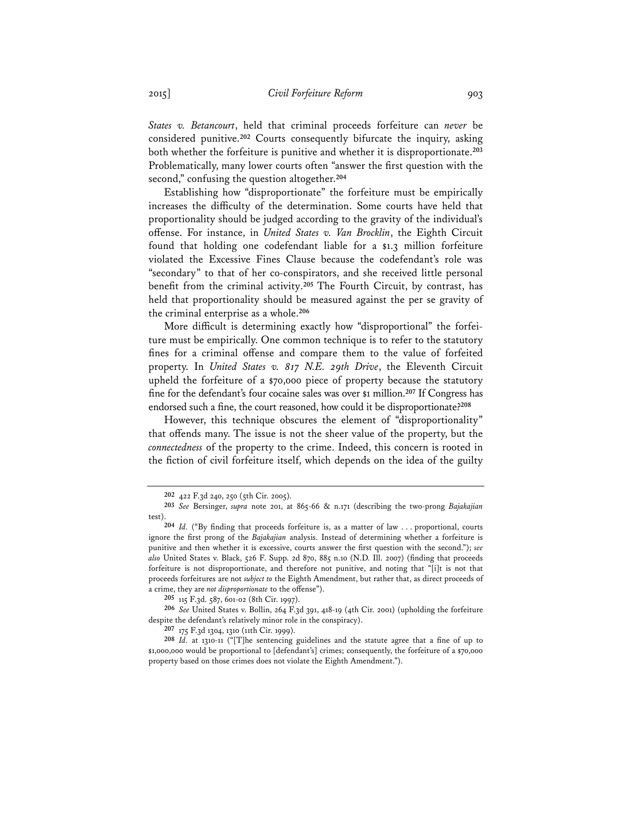*States v. Betancourt*, held that criminal proceeds forfeiture can *never* be considered punitive.**<sup>202</sup>** Courts consequently bifurcate the inquiry, asking both whether the forfeiture is punitive and whether it is disproportionate.**<sup>203</sup>** Problematically, many lower courts often "answer the first question with the second," confusing the question altogether.**<sup>204</sup>**

Establishing how "disproportionate" the forfeiture must be empirically increases the difficulty of the determination. Some courts have held that proportionality should be judged according to the gravity of the individual's offense. For instance, in *United States v. Van Brocklin*, the Eighth Circuit found that holding one codefendant liable for a \$1.3 million forfeiture violated the Excessive Fines Clause because the codefendant's role was "secondary" to that of her co-conspirators, and she received little personal benefit from the criminal activity.**<sup>205</sup>** The Fourth Circuit, by contrast, has held that proportionality should be measured against the per se gravity of the criminal enterprise as a whole.**<sup>206</sup>**

More difficult is determining exactly how "disproportional" the forfeiture must be empirically. One common technique is to refer to the statutory fines for a criminal offense and compare them to the value of forfeited property. In *United States v. 817 N.E. 29th Drive*, the Eleventh Circuit upheld the forfeiture of a \$70,000 piece of property because the statutory fine for the defendant's four cocaine sales was over \$1 million.**<sup>207</sup>** If Congress has endorsed such a fine, the court reasoned, how could it be disproportionate?**<sup>208</sup>**

However, this technique obscures the element of "disproportionality" that offends many. The issue is not the sheer value of the property, but the *connectedness* of the property to the crime. Indeed, this concern is rooted in the fiction of civil forfeiture itself, which depends on the idea of the guilty

**<sup>202</sup>** 422 F.3d 240, 250 (5th Cir. 2005).

**<sup>203</sup>** *See* Bersinger, *supra* note 201, at 865-66 & n.171 (describing the two-prong *Bajakajian* test).

**<sup>204</sup>** *Id.* ("By finding that proceeds forfeiture is, as a matter of law . . . proportional, courts ignore the first prong of the *Bajakajian* analysis. Instead of determining whether a forfeiture is punitive and then whether it is excessive, courts answer the first question with the second."); *see also* United States v. Black, 526 F. Supp. 2d 870, 885 n.10 (N.D. Ill. 2007) (finding that proceeds forfeiture is not disproportionate, and therefore not punitive, and noting that "[i]t is not that proceeds forfeitures are not *subject to* the Eighth Amendment, but rather that, as direct proceeds of a crime, they are *not disproportionate* to the offense").

**<sup>205</sup>** 115 F.3d. 587, 601-02 (8th Cir. 1997).

**<sup>206</sup>** *See* United States v. Bollin, 264 F.3d 391, 418-19 (4th Cir. 2001) (upholding the forfeiture despite the defendant's relatively minor role in the conspiracy).

**<sup>207</sup>** 175 F.3d 1304, 1310 (11th Cir. 1999).

**<sup>208</sup>** *Id.* at 1310-11 ("[T]he sentencing guidelines and the statute agree that a fine of up to \$1,000,000 would be proportional to [defendant's] crimes; consequently, the forfeiture of a \$70,000 property based on those crimes does not violate the Eighth Amendment.").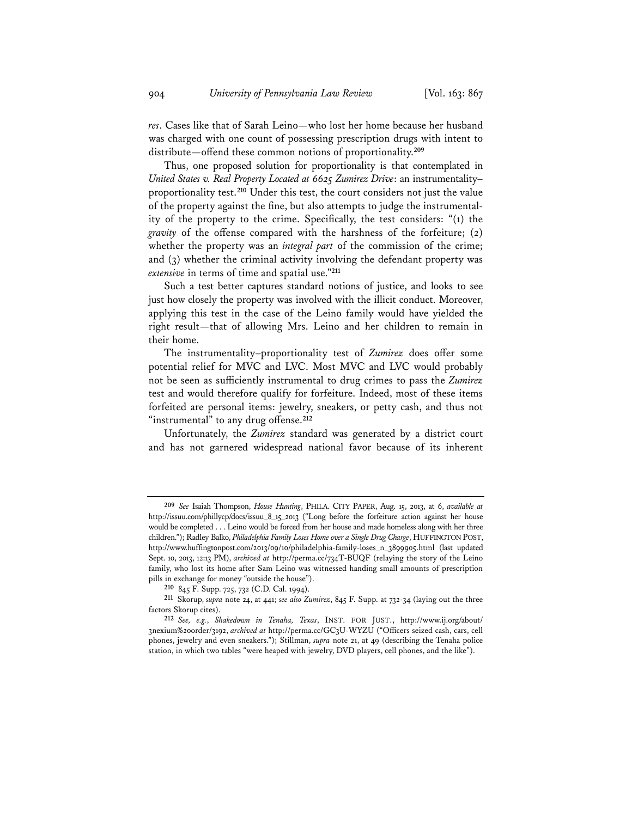*res*. Cases like that of Sarah Leino—who lost her home because her husband was charged with one count of possessing prescription drugs with intent to distribute—offend these common notions of proportionality.**<sup>209</sup>**

Thus, one proposed solution for proportionality is that contemplated in *United States v. Real Property Located at 6625 Zumirez Drive*: an instrumentality– proportionality test.**<sup>210</sup>** Under this test, the court considers not just the value of the property against the fine, but also attempts to judge the instrumentality of the property to the crime. Specifically, the test considers: "(1) the *gravity* of the offense compared with the harshness of the forfeiture; (2) whether the property was an *integral part* of the commission of the crime; and (3) whether the criminal activity involving the defendant property was *extensive* in terms of time and spatial use."**<sup>211</sup>**

Such a test better captures standard notions of justice, and looks to see just how closely the property was involved with the illicit conduct. Moreover, applying this test in the case of the Leino family would have yielded the right result—that of allowing Mrs. Leino and her children to remain in their home.

The instrumentality–proportionality test of *Zumirez* does offer some potential relief for MVC and LVC. Most MVC and LVC would probably not be seen as sufficiently instrumental to drug crimes to pass the *Zumirez* test and would therefore qualify for forfeiture. Indeed, most of these items forfeited are personal items: jewelry, sneakers, or petty cash, and thus not "instrumental" to any drug offense.**<sup>212</sup>**

Unfortunately, the *Zumirez* standard was generated by a district court and has not garnered widespread national favor because of its inherent

**<sup>209</sup>** *See* Isaiah Thompson, *House Hunting*, PHILA. CITY PAPER, Aug. 15, 2013, at 6, *available at* http://issuu.com/phillycp/docs/issuu\_8\_15\_2013 ("Long before the forfeiture action against her house would be completed . . . Leino would be forced from her house and made homeless along with her three children."); Radley Balko, *Philadelphia Family Loses Home over a Single Drug Charge*, HUFFINGTON POST, http://www.huffingtonpost.com/2013/09/10/philadelphia-family-loses\_n\_3899905.html (last updated Sept. 10, 2013, 12:13 PM), *archived at* http://perma.cc/734T-BUQF (relaying the story of the Leino family, who lost its home after Sam Leino was witnessed handing small amounts of prescription pills in exchange for money "outside the house").

**<sup>210</sup>** 845 F. Supp. 725, 732 (C.D. Cal. 1994).

**<sup>211</sup>** Skorup, *supra* note 24, at 441; *see also Zumirez*, 845 F. Supp. at 732-34 (laying out the three factors Skorup cites).

**<sup>212</sup>** *See, e.g.*, *Shakedown in Tenaha, Texas*, INST. FOR JUST., http://www.ij.org/about/ 3nexium%20order/3192, *archived at* http://perma.cc/GC3U-WYZU ("Officers seized cash, cars, cell phones, jewelry and even sneakers."); Stillman, *supra* note 21, at 49 (describing the Tenaha police station, in which two tables "were heaped with jewelry, DVD players, cell phones, and the like").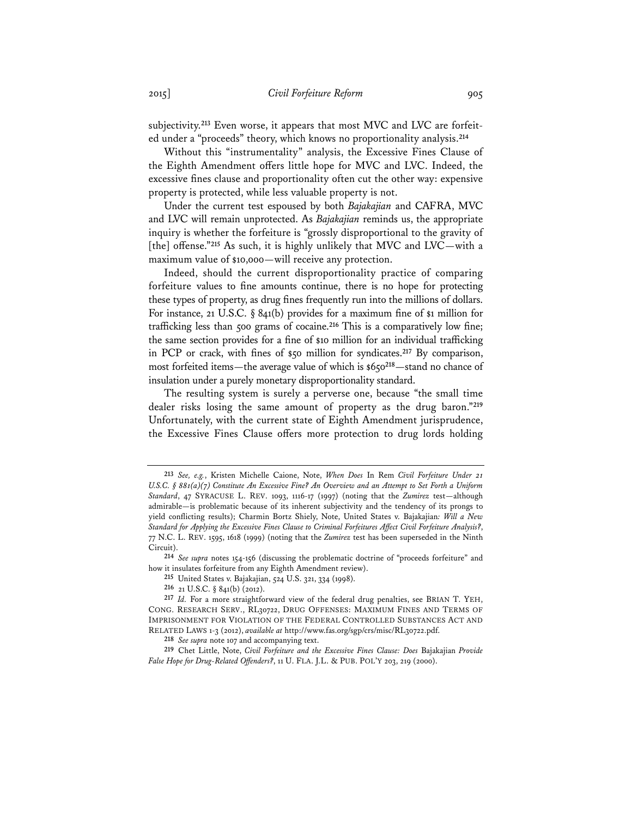subjectivity.**<sup>213</sup>** Even worse, it appears that most MVC and LVC are forfeited under a "proceeds" theory, which knows no proportionality analysis.**<sup>214</sup>**

Without this "instrumentality" analysis, the Excessive Fines Clause of the Eighth Amendment offers little hope for MVC and LVC. Indeed, the excessive fines clause and proportionality often cut the other way: expensive property is protected, while less valuable property is not.

Under the current test espoused by both *Bajakajian* and CAFRA, MVC and LVC will remain unprotected. As *Bajakajian* reminds us, the appropriate inquiry is whether the forfeiture is "grossly disproportional to the gravity of [the] offense."<sup>215</sup> As such, it is highly unlikely that MVC and LVC—with a maximum value of \$10,000—will receive any protection.

Indeed, should the current disproportionality practice of comparing forfeiture values to fine amounts continue, there is no hope for protecting these types of property, as drug fines frequently run into the millions of dollars. For instance, 21 U.S.C.  $\S 841(b)$  provides for a maximum fine of \$1 million for trafficking less than 500 grams of cocaine.**<sup>216</sup>** This is a comparatively low fine; the same section provides for a fine of \$10 million for an individual trafficking in PCP or crack, with fines of \$50 million for syndicates.**<sup>217</sup>** By comparison, most forfeited items—the average value of which is \$650**<sup>218</sup>**—stand no chance of insulation under a purely monetary disproportionality standard.

The resulting system is surely a perverse one, because "the small time dealer risks losing the same amount of property as the drug baron."**<sup>219</sup>** Unfortunately, with the current state of Eighth Amendment jurisprudence, the Excessive Fines Clause offers more protection to drug lords holding

**<sup>214</sup>** *See supra* notes 154-156 (discussing the problematic doctrine of "proceeds forfeiture" and how it insulates forfeiture from any Eighth Amendment review).

**<sup>215</sup>** United States v. Bajakajian, 524 U.S. 321, 334 (1998).

**<sup>216</sup>** 21 U.S.C. § 841(b) (2012).

**<sup>213</sup>** *See, e.g.*, Kristen Michelle Caione, Note, *When Does* In Rem *Civil Forfeiture Under 21 U.S.C. § 881(a)(7) Constitute An Excessive Fine? An Overview and an Attempt to Set Forth a Uniform Standard*, 47 SYRACUSE L. REV. 1093, 1116-17 (1997) (noting that the *Zumirez* test—although admirable—is problematic because of its inherent subjectivity and the tendency of its prongs to yield conflicting results); Charmin Bortz Shiely, Note, United States v. Bajakajian*: Will a New Standard for Applying the Excessive Fines Clause to Criminal Forfeitures Affect Civil Forfeiture Analysis?*, 77 N.C. L. REV. 1595, 1618 (1999) (noting that the *Zumirez* test has been superseded in the Ninth Circuit).

**<sup>217</sup>** *Id.* For a more straightforward view of the federal drug penalties, see BRIAN T. YEH, CONG. RESEARCH SERV., RL30722, DRUG OFFENSES: MAXIMUM FINES AND TERMS OF IMPRISONMENT FOR VIOLATION OF THE FEDERAL CONTROLLED SUBSTANCES ACT AND RELATED LAWS 1-3 (2012), *available at* http://www.fas.org/sgp/crs/misc/RL30722.pdf.

**<sup>218</sup>** *See supra* note 107 and accompanying text.

**<sup>219</sup>** Chet Little, Note, *Civil Forfeiture and the Excessive Fines Clause: Does* Bajakajian *Provide False Hope for Drug-Related Offenders?*, 11 U. FLA. J.L. & PUB. POL'Y 203, 219 (2000).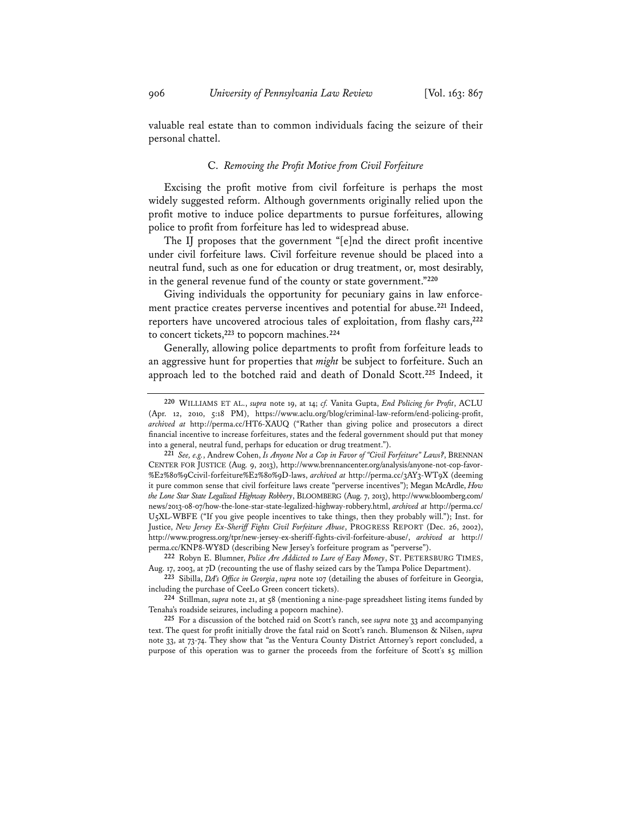valuable real estate than to common individuals facing the seizure of their personal chattel.

#### C. *Removing the Profit Motive from Civil Forfeiture*

Excising the profit motive from civil forfeiture is perhaps the most widely suggested reform. Although governments originally relied upon the profit motive to induce police departments to pursue forfeitures, allowing police to profit from forfeiture has led to widespread abuse.

The IJ proposes that the government "[e]nd the direct profit incentive under civil forfeiture laws. Civil forfeiture revenue should be placed into a neutral fund, such as one for education or drug treatment, or, most desirably, in the general revenue fund of the county or state government."**<sup>220</sup>**

Giving individuals the opportunity for pecuniary gains in law enforcement practice creates perverse incentives and potential for abuse.**<sup>221</sup>** Indeed, reporters have uncovered atrocious tales of exploitation, from flashy cars,**<sup>222</sup>** to concert tickets,**<sup>223</sup>** to popcorn machines.**<sup>224</sup>**

Generally, allowing police departments to profit from forfeiture leads to an aggressive hunt for properties that *might* be subject to forfeiture. Such an approach led to the botched raid and death of Donald Scott.**<sup>225</sup>** Indeed, it

**<sup>222</sup>** Robyn E. Blumner, *Police Are Addicted to Lure of Easy Money*, ST. PETERSBURG TIMES, Aug. 17, 2003, at 7D (recounting the use of flashy seized cars by the Tampa Police Department).

**<sup>220</sup>** WILLIAMS ET AL., *supra* note 19, at 14; *cf.* Vanita Gupta, *End Policing for Profit*, ACLU (Apr. 12, 2010, 5:18 PM), https://www.aclu.org/blog/criminal-law-reform/end-policing-profit, *archived at* http://perma.cc/HT6-XAUQ ("Rather than giving police and prosecutors a direct financial incentive to increase forfeitures, states and the federal government should put that money into a general, neutral fund, perhaps for education or drug treatment.").

**<sup>221</sup>** *See, e.g.*, Andrew Cohen, *Is Anyone Not a Cop in Favor of "Civil Forfeiture" Laws?*, BRENNAN CENTER FOR JUSTICE (Aug. 9, 2013), http://www.brennancenter.org/analysis/anyone-not-cop-favor- %E2%80%9Ccivil-forfeiture%E2%80%9D-laws, *archived at* http://perma.cc/3AY3-WT9X (deeming it pure common sense that civil forfeiture laws create "perverse incentives"); Megan McArdle, *How the Lone Star State Legalized Highway Robbery*, BLOOMBERG (Aug. 7, 2013), http://www.bloomberg.com/ news/2013-08-07/how-the-lone-star-state-legalized-highway-robbery.html, *archived at* http://perma.cc/ U5XL-WBFE ("If you give people incentives to take things, then they probably will."); Inst. for Justice, *New Jersey Ex-Sheriff Fights Civil Forfeiture Abuse*, PROGRESS REPORT (Dec. 26, 2002), http://www.progress.org/tpr/new-jersey-ex-sheriff-fights-civil-forfeiture-abuse/, *archived at* http:// perma.cc/KNP8-WY8D (describing New Jersey's forfeiture program as "perverse").

**<sup>223</sup>** Sibilla, *DA's Office in Georgia*, *supra* note 107 (detailing the abuses of forfeiture in Georgia, including the purchase of CeeLo Green concert tickets).

**<sup>224</sup>** Stillman, *supra* note 21, at 58 (mentioning a nine-page spreadsheet listing items funded by Tenaha's roadside seizures, including a popcorn machine).

**<sup>225</sup>** For a discussion of the botched raid on Scott's ranch, see *supra* note 33 and accompanying text. The quest for profit initially drove the fatal raid on Scott's ranch. Blumenson & Nilsen, *supra* note 33, at 73-74. They show that "as the Ventura County District Attorney's report concluded, a purpose of this operation was to garner the proceeds from the forfeiture of Scott's \$5 million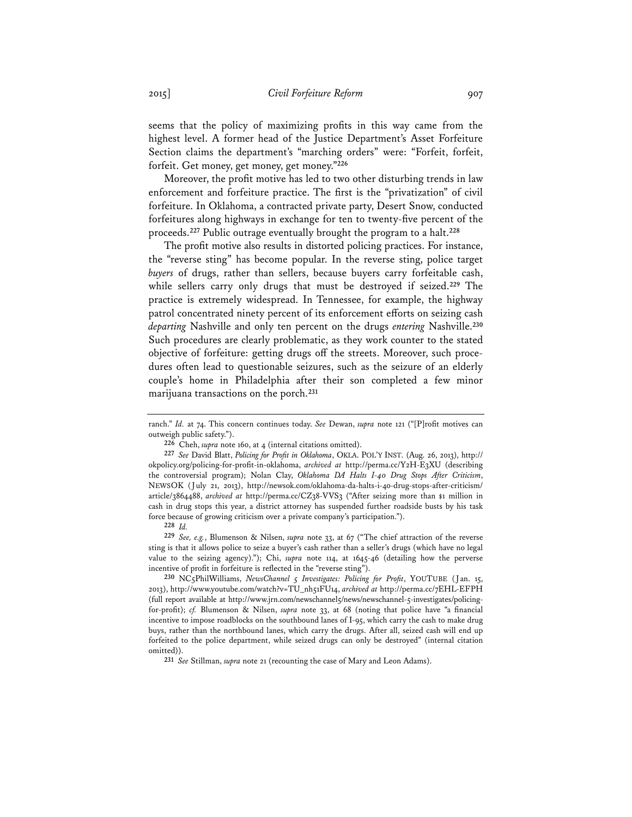seems that the policy of maximizing profits in this way came from the highest level. A former head of the Justice Department's Asset Forfeiture Section claims the department's "marching orders" were: "Forfeit, forfeit, forfeit. Get money, get money, get money."**<sup>226</sup>**

Moreover, the profit motive has led to two other disturbing trends in law enforcement and forfeiture practice. The first is the "privatization" of civil forfeiture. In Oklahoma, a contracted private party, Desert Snow, conducted forfeitures along highways in exchange for ten to twenty-five percent of the proceeds.**<sup>227</sup>** Public outrage eventually brought the program to a halt.**<sup>228</sup>**

The profit motive also results in distorted policing practices. For instance, the "reverse sting" has become popular. In the reverse sting, police target *buyers* of drugs, rather than sellers, because buyers carry forfeitable cash, while sellers carry only drugs that must be destroyed if seized.**<sup>229</sup>** The practice is extremely widespread. In Tennessee, for example, the highway patrol concentrated ninety percent of its enforcement efforts on seizing cash *departing* Nashville and only ten percent on the drugs *entering* Nashville.**<sup>230</sup>** Such procedures are clearly problematic, as they work counter to the stated objective of forfeiture: getting drugs off the streets. Moreover, such procedures often lead to questionable seizures, such as the seizure of an elderly couple's home in Philadelphia after their son completed a few minor marijuana transactions on the porch.**<sup>231</sup>**

**<sup>228</sup>** *Id.*

**<sup>229</sup>** *See, e.g.*, Blumenson & Nilsen, *supra* note 33, at 67 ("The chief attraction of the reverse sting is that it allows police to seize a buyer's cash rather than a seller's drugs (which have no legal value to the seizing agency)."); Chi, *supra* note 114, at 1645-46 (detailing how the perverse incentive of profit in forfeiture is reflected in the "reverse sting").

**<sup>230</sup>** NC5PhilWilliams, *NewsChannel 5 Investigates: Policing for Profit*, YOUTUBE (Jan. 15, 2013), http://www.youtube.com/watch?v=TU\_nh51FU14, *archived at* http://perma.cc/7EHL-EFPH (full report available at http://www.jrn.com/newschannel5/news/newschannel-5-investigates/policingfor-profit); *cf.* Blumenson & Nilsen, *supra* note 33, at 68 (noting that police have "a financial incentive to impose roadblocks on the southbound lanes of I-95, which carry the cash to make drug buys, rather than the northbound lanes, which carry the drugs. After all, seized cash will end up forfeited to the police department, while seized drugs can only be destroyed" (internal citation omitted)).

**<sup>231</sup>** *See* Stillman, *supra* note 21 (recounting the case of Mary and Leon Adams).

ranch." *Id.* at 74. This concern continues today. *See* Dewan, *supra* note 121 ("[P]rofit motives can outweigh public safety.").

**<sup>226</sup>** Cheh, *supra* note 160, at 4 (internal citations omitted).

**<sup>227</sup>** *See* David Blatt, *Policing for Profit in Oklahoma*, OKLA. POL'Y INST. (Aug. 26, 2013), http:// okpolicy.org/policing-for-profit-in-oklahoma, *archived at* http://perma.cc/Y2H-E3XU (describing the controversial program); Nolan Clay, *Oklahoma DA Halts I-40 Drug Stops After Criticism*, NEWSOK (July 21, 2013), http://newsok.com/oklahoma-da-halts-i-40-drug-stops-after-criticism/ article/3864488, *archived at* http://perma.cc/CZ38-VVS3 ("After seizing more than \$1 million in cash in drug stops this year, a district attorney has suspended further roadside busts by his task force because of growing criticism over a private company's participation.").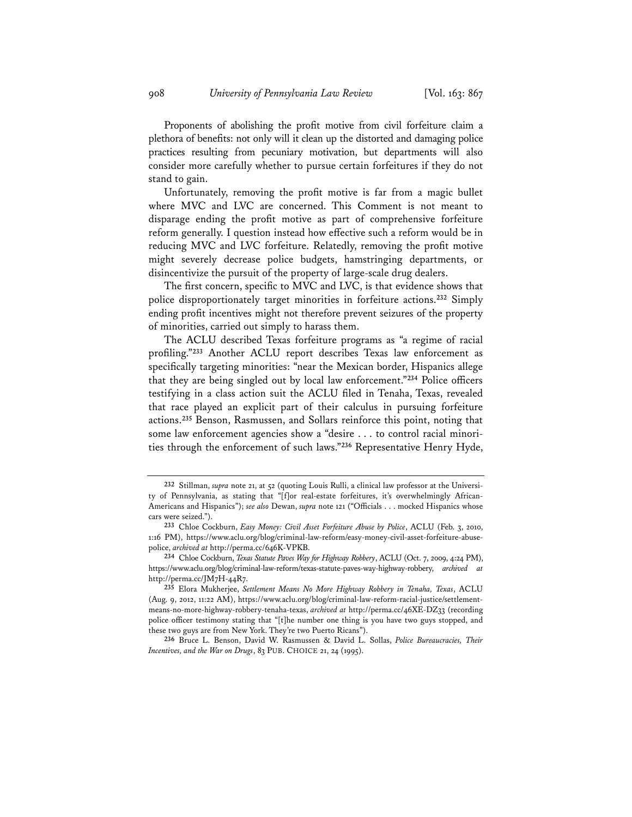Proponents of abolishing the profit motive from civil forfeiture claim a plethora of benefits: not only will it clean up the distorted and damaging police practices resulting from pecuniary motivation, but departments will also consider more carefully whether to pursue certain forfeitures if they do not stand to gain.

Unfortunately, removing the profit motive is far from a magic bullet where MVC and LVC are concerned. This Comment is not meant to disparage ending the profit motive as part of comprehensive forfeiture reform generally. I question instead how effective such a reform would be in reducing MVC and LVC forfeiture. Relatedly, removing the profit motive might severely decrease police budgets, hamstringing departments, or disincentivize the pursuit of the property of large-scale drug dealers.

The first concern, specific to MVC and LVC, is that evidence shows that police disproportionately target minorities in forfeiture actions.**<sup>232</sup>** Simply ending profit incentives might not therefore prevent seizures of the property of minorities, carried out simply to harass them.

The ACLU described Texas forfeiture programs as "a regime of racial profiling."**<sup>233</sup>** Another ACLU report describes Texas law enforcement as specifically targeting minorities: "near the Mexican border, Hispanics allege that they are being singled out by local law enforcement."**<sup>234</sup>** Police officers testifying in a class action suit the ACLU filed in Tenaha, Texas, revealed that race played an explicit part of their calculus in pursuing forfeiture actions.**<sup>235</sup>** Benson, Rasmussen, and Sollars reinforce this point, noting that some law enforcement agencies show a "desire . . . to control racial minorities through the enforcement of such laws."**<sup>236</sup>** Representative Henry Hyde,

**<sup>232</sup>** Stillman, *supra* note 21, at 52 (quoting Louis Rulli, a clinical law professor at the University of Pennsylvania, as stating that "[f]or real-estate forfeitures, it's overwhelmingly African-Americans and Hispanics"); *see also* Dewan, *supra* note 121 ("Officials . . . mocked Hispanics whose cars were seized.").

**<sup>233</sup>** Chloe Cockburn, *Easy Money: Civil Asset Forfeiture Abuse by Police*, ACLU (Feb. 3, 2010, 1:16 PM), https://www.aclu.org/blog/criminal-law-reform/easy-money-civil-asset-forfeiture-abusepolice, *archived at* http://perma.cc/646K-VPKB.

**<sup>234</sup>** Chloe Cockburn, *Texas Statute Paves Way for Highway Robbery*, ACLU (Oct. 7, 2009, 4:24 PM), https://www.aclu.org/blog/criminal-law-reform/texas-statute-paves-way-highway-robbery, *archived at* http://perma.cc/JM7H-44R7.

**<sup>235</sup>** Elora Mukherjee, *Settlement Means No More Highway Robbery in Tenaha, Texas*, ACLU (Aug. 9, 2012, 11:22 AM), https://www.aclu.org/blog/criminal-law-reform-racial-justice/settlementmeans-no-more-highway-robbery-tenaha-texas, *archived at* http://perma.cc/46XE-DZ33 (recording police officer testimony stating that "[t]he number one thing is you have two guys stopped, and these two guys are from New York. They're two Puerto Ricans").

**<sup>236</sup>** Bruce L. Benson, David W. Rasmussen & David L. Sollas, *Police Bureaucracies, Their Incentives, and the War on Drugs*, 83 PUB. CHOICE 21, 24 (1995).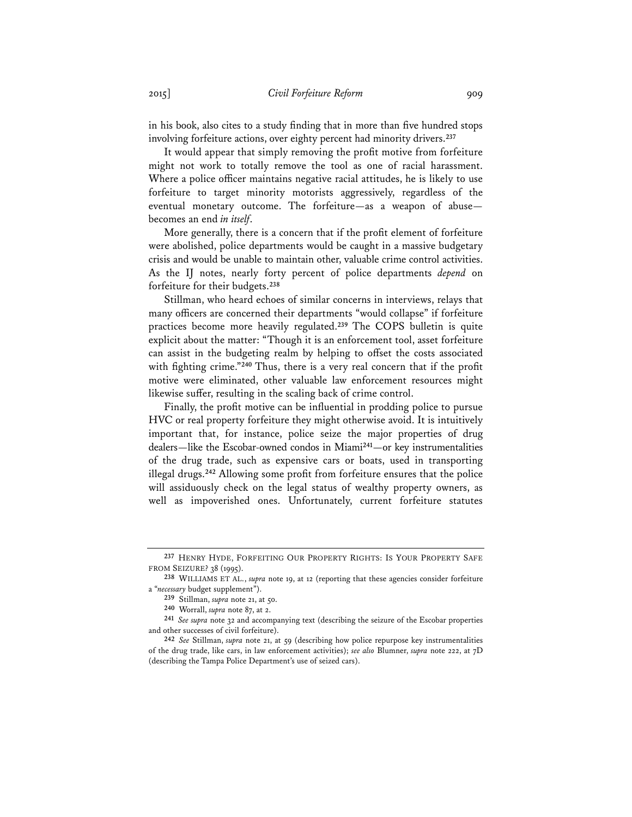in his book, also cites to a study finding that in more than five hundred stops involving forfeiture actions, over eighty percent had minority drivers.**<sup>237</sup>**

It would appear that simply removing the profit motive from forfeiture might not work to totally remove the tool as one of racial harassment. Where a police officer maintains negative racial attitudes, he is likely to use forfeiture to target minority motorists aggressively, regardless of the eventual monetary outcome. The forfeiture—as a weapon of abuse becomes an end *in itself*.

More generally, there is a concern that if the profit element of forfeiture were abolished, police departments would be caught in a massive budgetary crisis and would be unable to maintain other, valuable crime control activities. As the IJ notes, nearly forty percent of police departments *depend* on forfeiture for their budgets.**<sup>238</sup>**

Stillman, who heard echoes of similar concerns in interviews, relays that many officers are concerned their departments "would collapse" if forfeiture practices become more heavily regulated.**<sup>239</sup>** The COPS bulletin is quite explicit about the matter: "Though it is an enforcement tool, asset forfeiture can assist in the budgeting realm by helping to offset the costs associated with fighting crime."**<sup>240</sup>** Thus, there is a very real concern that if the profit motive were eliminated, other valuable law enforcement resources might likewise suffer, resulting in the scaling back of crime control.

Finally, the profit motive can be influential in prodding police to pursue HVC or real property forfeiture they might otherwise avoid. It is intuitively important that, for instance, police seize the major properties of drug dealers—like the Escobar-owned condos in Miami**<sup>241</sup>**—or key instrumentalities of the drug trade, such as expensive cars or boats, used in transporting illegal drugs.**<sup>242</sup>** Allowing some profit from forfeiture ensures that the police will assiduously check on the legal status of wealthy property owners, as well as impoverished ones. Unfortunately, current forfeiture statutes

**<sup>237</sup>** HENRY HYDE, FORFEITING OUR PROPERTY RIGHTS: IS YOUR PROPERTY SAFE FROM SEIZURE? 38 (1995).

**<sup>238</sup>** WILLIAMS ET AL., *supra* note 19, at 12 (reporting that these agencies consider forfeiture a "*necessary* budget supplement").

**<sup>239</sup>** Stillman, *supra* note 21, at 50.

**<sup>240</sup>** Worrall, *supra* note 87, at 2.

**<sup>241</sup>** *See supra* note 32 and accompanying text (describing the seizure of the Escobar properties and other successes of civil forfeiture).

**<sup>242</sup>** *See* Stillman, *supra* note 21, at 59 (describing how police repurpose key instrumentalities of the drug trade, like cars, in law enforcement activities); *see also* Blumner, *supra* note 222, at 7D (describing the Tampa Police Department's use of seized cars).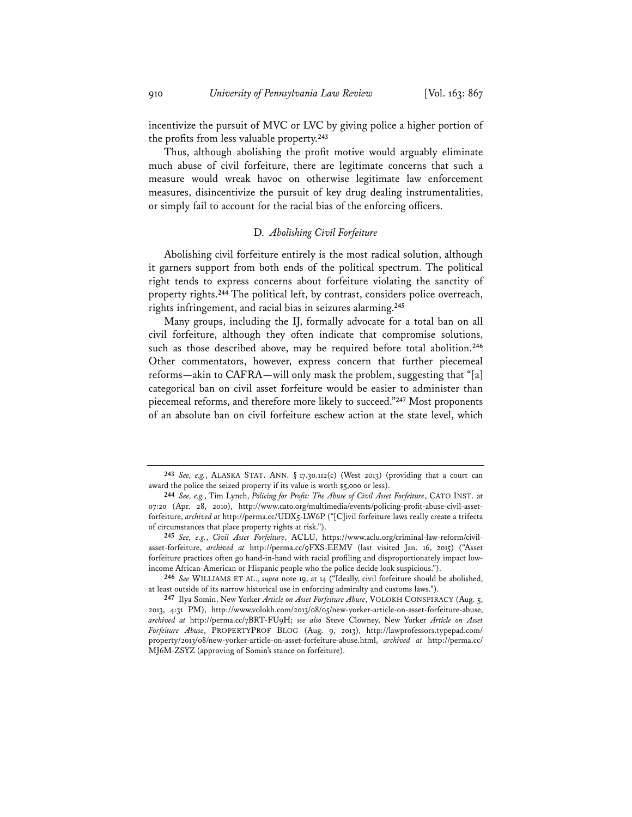incentivize the pursuit of MVC or LVC by giving police a higher portion of the profits from less valuable property.**<sup>243</sup>**

Thus, although abolishing the profit motive would arguably eliminate much abuse of civil forfeiture, there are legitimate concerns that such a measure would wreak havoc on otherwise legitimate law enforcement measures, disincentivize the pursuit of key drug dealing instrumentalities, or simply fail to account for the racial bias of the enforcing officers.

### D. *Abolishing Civil Forfeiture*

Abolishing civil forfeiture entirely is the most radical solution, although it garners support from both ends of the political spectrum. The political right tends to express concerns about forfeiture violating the sanctity of property rights.**<sup>244</sup>** The political left, by contrast, considers police overreach, rights infringement, and racial bias in seizures alarming.**<sup>245</sup>**

Many groups, including the IJ, formally advocate for a total ban on all civil forfeiture, although they often indicate that compromise solutions, such as those described above, may be required before total abolition.**<sup>246</sup>** Other commentators, however, express concern that further piecemeal reforms—akin to CAFRA—will only mask the problem, suggesting that "[a] categorical ban on civil asset forfeiture would be easier to administer than piecemeal reforms, and therefore more likely to succeed."**<sup>247</sup>** Most proponents of an absolute ban on civil forfeiture eschew action at the state level, which

**<sup>243</sup>** *See, e.g.*, ALASKA STAT. ANN. § 17.30.112(c) (West 2013) (providing that a court can award the police the seized property if its value is worth \$5,000 or less).

**<sup>244</sup>** *See, e.g.*, Tim Lynch, *Policing for Profit: The Abuse of Civil Asset Forfeiture*, CATO INST. at 07:20 (Apr. 28, 2010), http://www.cato.org/multimedia/events/policing-profit-abuse-civil-assetforfeiture, *archived at* http://perma.cc/UDX5-LW6P ("[C]ivil forfeiture laws really create a trifecta of circumstances that place property rights at risk.").

**<sup>245</sup>** *See, e.g.*, *Civil Asset Forfeiture*, ACLU, https://www.aclu.org/criminal-law-reform/civilasset-forfeiture, *archived at* http://perma.cc/9FXS-EEMV (last visited Jan. 16, 2015) ("Asset forfeiture practices often go hand-in-hand with racial profiling and disproportionately impact lowincome African-American or Hispanic people who the police decide look suspicious.").

**<sup>246</sup>** *See* WILLIAMS ET AL., *supra* note 19, at 14 ("Ideally, civil forfeiture should be abolished, at least outside of its narrow historical use in enforcing admiralty and customs laws.").

**<sup>247</sup>** Ilya Somin, New Yorker *Article on Asset Forfeiture Abuse*, VOLOKH CONSPIRACY (Aug. 5, 2013, 4:31 PM), http://www.volokh.com/2013/08/05/new-yorker-article-on-asset-forfeiture-abuse, *archived at* http://perma.cc/7BRT-FU9H; *see also* Steve Clowney, New Yorker *Article on Asset Forfeiture Abuse*, PROPERTYPROF BLOG (Aug. 9, 2013), http://lawprofessors.typepad.com/ property/2013/08/new-yorker-article-on-asset-forfeiture-abuse.html, *archived at* http://perma.cc/ MJ6M-ZSYZ (approving of Somin's stance on forfeiture).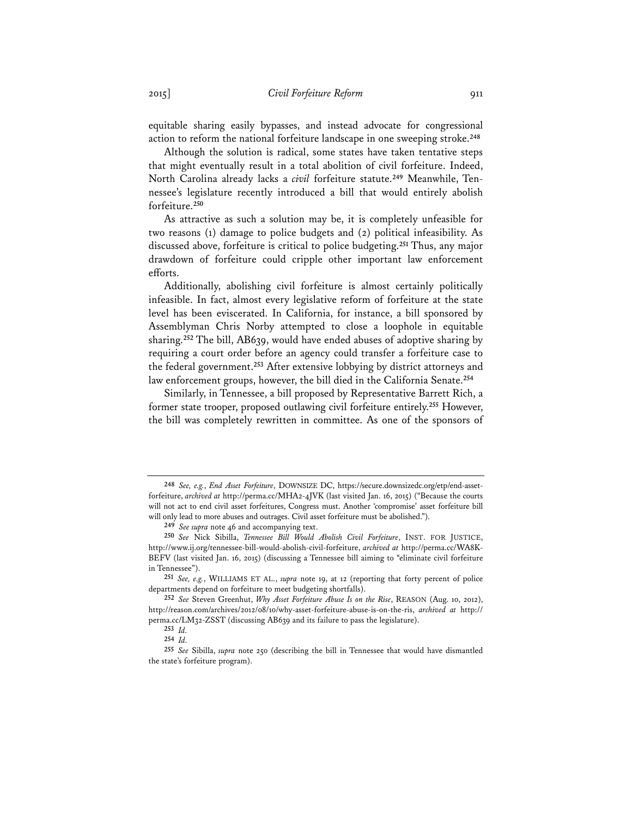equitable sharing easily bypasses, and instead advocate for congressional action to reform the national forfeiture landscape in one sweeping stroke.**<sup>248</sup>**

Although the solution is radical, some states have taken tentative steps that might eventually result in a total abolition of civil forfeiture. Indeed, North Carolina already lacks a *civil* forfeiture statute.**<sup>249</sup>** Meanwhile, Tennessee's legislature recently introduced a bill that would entirely abolish forfeiture.**<sup>250</sup>**

As attractive as such a solution may be, it is completely unfeasible for two reasons (1) damage to police budgets and (2) political infeasibility. As discussed above, forfeiture is critical to police budgeting.**<sup>251</sup>** Thus, any major drawdown of forfeiture could cripple other important law enforcement efforts.

Additionally, abolishing civil forfeiture is almost certainly politically infeasible. In fact, almost every legislative reform of forfeiture at the state level has been eviscerated. In California, for instance, a bill sponsored by Assemblyman Chris Norby attempted to close a loophole in equitable sharing.**<sup>252</sup>** The bill, AB639, would have ended abuses of adoptive sharing by requiring a court order before an agency could transfer a forfeiture case to the federal government.**<sup>253</sup>** After extensive lobbying by district attorneys and law enforcement groups, however, the bill died in the California Senate.**<sup>254</sup>**

Similarly, in Tennessee, a bill proposed by Representative Barrett Rich, a former state trooper, proposed outlawing civil forfeiture entirely.**<sup>255</sup>** However, the bill was completely rewritten in committee. As one of the sponsors of

**<sup>248</sup>** *See, e.g.*, *End Asset Forfeiture*, DOWNSIZE DC, https://secure.downsizedc.org/etp/end-assetforfeiture, *archived at* http://perma.cc/MHA2-4JVK (last visited Jan. 16, 2015) ("Because the courts will not act to end civil asset forfeitures, Congress must. Another 'compromise' asset forfeiture bill will only lead to more abuses and outrages. Civil asset forfeiture must be abolished.").

**<sup>249</sup>** *See supra* note 46 and accompanying text.

**<sup>250</sup>** *See* Nick Sibilla, *Tennessee Bill Would Abolish Civil Forfeiture*, INST. FOR JUSTICE, http://www.ij.org/tennessee-bill-would-abolish-civil-forfeiture, *archived at* http://perma.cc/WA8K-BEFV (last visited Jan. 16, 2015) (discussing a Tennessee bill aiming to "eliminate civil forfeiture in Tennessee").

**<sup>251</sup>** *See, e.g.*, WILLIAMS ET AL., *supra* note 19, at 12 (reporting that forty percent of police departments depend on forfeiture to meet budgeting shortfalls).

**<sup>252</sup>** *See* Steven Greenhut, *Why Asset Forfeiture Abuse Is on the Rise*, REASON (Aug. 10, 2012), http://reason.com/archives/2012/08/10/why-asset-forfeiture-abuse-is-on-the-ris, *archived at* http:// perma.cc/LM32-ZSST (discussing AB639 and its failure to pass the legislature).

**<sup>253</sup>** *Id.* **<sup>254</sup>** *Id.*

**<sup>255</sup>** *See* Sibilla, *supra* note 250 (describing the bill in Tennessee that would have dismantled the state's forfeiture program).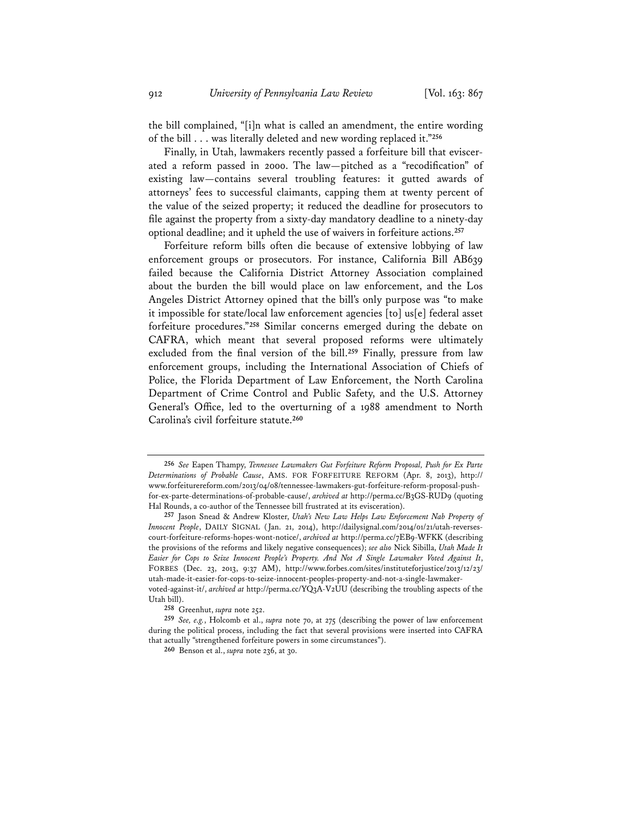the bill complained, "[i]n what is called an amendment, the entire wording of the bill . . . was literally deleted and new wording replaced it."**<sup>256</sup>**

Finally, in Utah, lawmakers recently passed a forfeiture bill that eviscerated a reform passed in 2000. The law—pitched as a "recodification" of existing law—contains several troubling features: it gutted awards of attorneys' fees to successful claimants, capping them at twenty percent of the value of the seized property; it reduced the deadline for prosecutors to file against the property from a sixty-day mandatory deadline to a ninety-day optional deadline; and it upheld the use of waivers in forfeiture actions.**<sup>257</sup>**

Forfeiture reform bills often die because of extensive lobbying of law enforcement groups or prosecutors. For instance, California Bill AB639 failed because the California District Attorney Association complained about the burden the bill would place on law enforcement, and the Los Angeles District Attorney opined that the bill's only purpose was "to make it impossible for state/local law enforcement agencies [to] us[e] federal asset forfeiture procedures."**<sup>258</sup>** Similar concerns emerged during the debate on CAFRA, which meant that several proposed reforms were ultimately excluded from the final version of the bill.**<sup>259</sup>** Finally, pressure from law enforcement groups, including the International Association of Chiefs of Police, the Florida Department of Law Enforcement, the North Carolina Department of Crime Control and Public Safety, and the U.S. Attorney General's Office, led to the overturning of a 1988 amendment to North Carolina's civil forfeiture statute.**<sup>260</sup>**

**<sup>256</sup>** *See* Eapen Thampy, *Tennessee Lawmakers Gut Forfeiture Reform Proposal, Push for Ex Parte Determinations of Probable Cause*, AMS. FOR FORFEITURE REFORM (Apr. 8, 2013), http:// www.forfeiturereform.com/2013/04/08/tennessee-lawmakers-gut-forfeiture-reform-proposal-pushfor-ex-parte-determinations-of-probable-cause/, *archived at* http://perma.cc/B3GS-RUD9 (quoting Hal Rounds, a co-author of the Tennessee bill frustrated at its evisceration).

**<sup>257</sup>** Jason Snead & Andrew Kloster, *Utah's New Law Helps Law Enforcement Nab Property of Innocent People*, DAILY SIGNAL (Jan. 21, 2014), http://dailysignal.com/2014/01/21/utah-reversescourt-forfeiture-reforms-hopes-wont-notice/, *archived at* http://perma.cc/7EB9-WFKK (describing the provisions of the reforms and likely negative consequences); *see also* Nick Sibilla, *Utah Made It Easier for Cops to Seize Innocent People's Property. And Not A Single Lawmaker Voted Against It*, FORBES (Dec. 23, 2013, 9:37 AM), http://www.forbes.com/sites/instituteforjustice/2013/12/23/ utah-made-it-easier-for-cops-to-seize-innocent-peoples-property-and-not-a-single-lawmakervoted-against-it/, *archived at* http://perma.cc/YQ3A-V2UU (describing the troubling aspects of the Utah bill).

**<sup>258</sup>** Greenhut, *supra* note 252.

**<sup>259</sup>** *See, e.g.*, Holcomb et al., *supra* note 70, at 275 (describing the power of law enforcement during the political process, including the fact that several provisions were inserted into CAFRA that actually "strengthened forfeiture powers in some circumstances").

**<sup>260</sup>** Benson et al., *supra* note 236, at 30.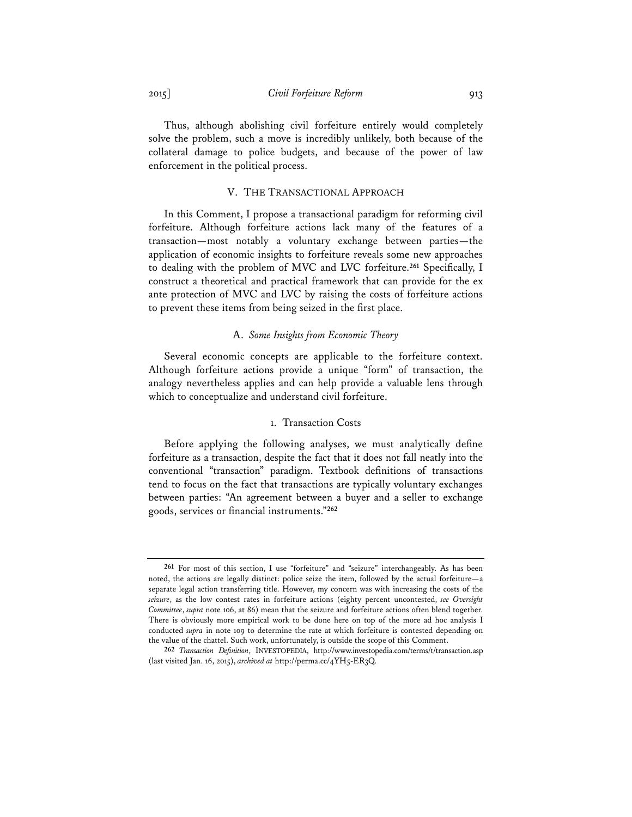Thus, although abolishing civil forfeiture entirely would completely solve the problem, such a move is incredibly unlikely, both because of the collateral damage to police budgets, and because of the power of law enforcement in the political process.

### V. THE TRANSACTIONAL APPROACH

In this Comment, I propose a transactional paradigm for reforming civil forfeiture. Although forfeiture actions lack many of the features of a transaction—most notably a voluntary exchange between parties—the application of economic insights to forfeiture reveals some new approaches to dealing with the problem of MVC and LVC forfeiture.**<sup>261</sup>** Specifically, I construct a theoretical and practical framework that can provide for the ex ante protection of MVC and LVC by raising the costs of forfeiture actions to prevent these items from being seized in the first place.

#### A. *Some Insights from Economic Theory*

Several economic concepts are applicable to the forfeiture context. Although forfeiture actions provide a unique "form" of transaction, the analogy nevertheless applies and can help provide a valuable lens through which to conceptualize and understand civil forfeiture.

### 1. Transaction Costs

Before applying the following analyses, we must analytically define forfeiture as a transaction, despite the fact that it does not fall neatly into the conventional "transaction" paradigm. Textbook definitions of transactions tend to focus on the fact that transactions are typically voluntary exchanges between parties: "An agreement between a buyer and a seller to exchange goods, services or financial instruments."**<sup>262</sup>**

**<sup>261</sup>** For most of this section, I use "forfeiture" and "seizure" interchangeably. As has been noted, the actions are legally distinct: police seize the item, followed by the actual forfeiture—a separate legal action transferring title. However, my concern was with increasing the costs of the *seizure*, as the low contest rates in forfeiture actions (eighty percent uncontested, *see Oversight Committee*, *supra* note 106, at 86) mean that the seizure and forfeiture actions often blend together. There is obviously more empirical work to be done here on top of the more ad hoc analysis I conducted *supra* in note 109 to determine the rate at which forfeiture is contested depending on the value of the chattel. Such work, unfortunately, is outside the scope of this Comment.

**<sup>262</sup>** *Transaction Definition*, INVESTOPEDIA, http://www.investopedia.com/terms/t/transaction.asp (last visited Jan. 16, 2015), *archived at* http://perma.cc/4YH5-ER3Q.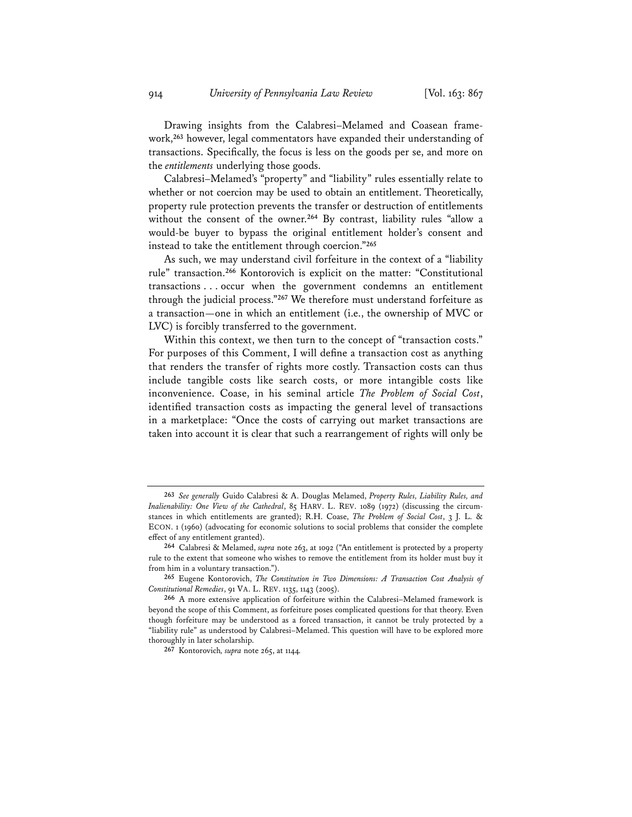Drawing insights from the Calabresi–Melamed and Coasean framework,**<sup>263</sup>** however, legal commentators have expanded their understanding of transactions. Specifically, the focus is less on the goods per se, and more on the *entitlements* underlying those goods.

Calabresi–Melamed's "property" and "liability" rules essentially relate to whether or not coercion may be used to obtain an entitlement. Theoretically, property rule protection prevents the transfer or destruction of entitlements without the consent of the owner.**<sup>264</sup>** By contrast, liability rules "allow a would-be buyer to bypass the original entitlement holder's consent and instead to take the entitlement through coercion."**<sup>265</sup>**

As such, we may understand civil forfeiture in the context of a "liability rule" transaction.**<sup>266</sup>** Kontorovich is explicit on the matter: "Constitutional transactions . . . occur when the government condemns an entitlement through the judicial process."**<sup>267</sup>** We therefore must understand forfeiture as a transaction—one in which an entitlement (i.e., the ownership of MVC or LVC) is forcibly transferred to the government.

Within this context, we then turn to the concept of "transaction costs." For purposes of this Comment, I will define a transaction cost as anything that renders the transfer of rights more costly. Transaction costs can thus include tangible costs like search costs, or more intangible costs like inconvenience. Coase, in his seminal article *The Problem of Social Cost*, identified transaction costs as impacting the general level of transactions in a marketplace: "Once the costs of carrying out market transactions are taken into account it is clear that such a rearrangement of rights will only be

**<sup>267</sup>** Kontorovich*, supra* note 265, at 1144*.*

**<sup>263</sup>** *See generally* Guido Calabresi & A. Douglas Melamed, *Property Rules, Liability Rules, and Inalienability: One View of the Cathedral*, 85 HARV. L. REV. 1089 (1972) (discussing the circumstances in which entitlements are granted); R.H. Coase, *The Problem of Social Cost*, 3 J. L. & ECON. 1 (1960) (advocating for economic solutions to social problems that consider the complete effect of any entitlement granted).

**<sup>264</sup>** Calabresi & Melamed, *supra* note 263, at 1092 ("An entitlement is protected by a property rule to the extent that someone who wishes to remove the entitlement from its holder must buy it from him in a voluntary transaction.").

**<sup>265</sup>** Eugene Kontorovich, *The Constitution in Two Dimensions: A Transaction Cost Analysis of Constitutional Remedies*, 91 VA. L. REV. 1135, 1143 (2005).

**<sup>266</sup>** A more extensive application of forfeiture within the Calabresi–Melamed framework is beyond the scope of this Comment, as forfeiture poses complicated questions for that theory. Even though forfeiture may be understood as a forced transaction, it cannot be truly protected by a "liability rule" as understood by Calabresi–Melamed. This question will have to be explored more thoroughly in later scholarship.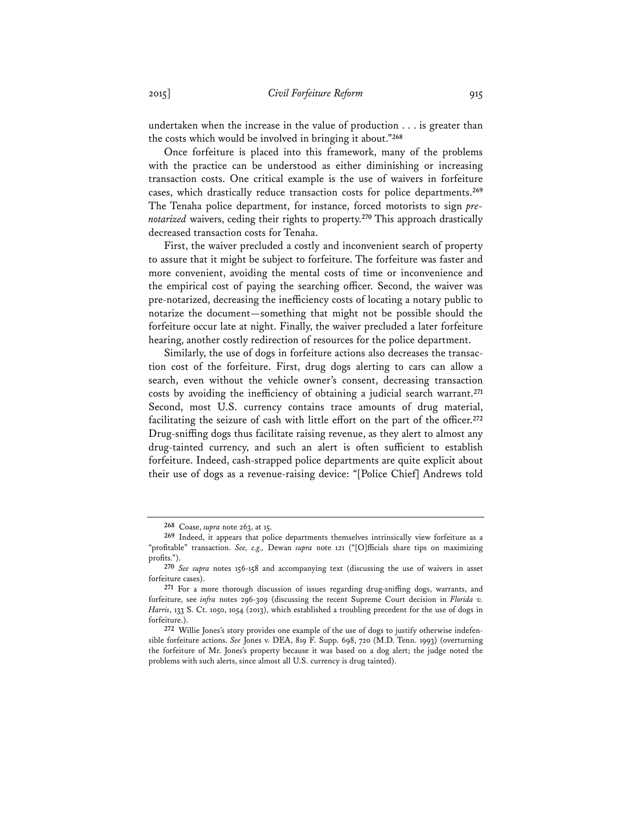undertaken when the increase in the value of production . . . is greater than the costs which would be involved in bringing it about."**<sup>268</sup>**

Once forfeiture is placed into this framework, many of the problems with the practice can be understood as either diminishing or increasing transaction costs. One critical example is the use of waivers in forfeiture cases, which drastically reduce transaction costs for police departments.**<sup>269</sup>** The Tenaha police department, for instance, forced motorists to sign *prenotarized* waivers, ceding their rights to property.**<sup>270</sup>** This approach drastically decreased transaction costs for Tenaha.

First, the waiver precluded a costly and inconvenient search of property to assure that it might be subject to forfeiture. The forfeiture was faster and more convenient, avoiding the mental costs of time or inconvenience and the empirical cost of paying the searching officer. Second, the waiver was pre-notarized, decreasing the inefficiency costs of locating a notary public to notarize the document—something that might not be possible should the forfeiture occur late at night. Finally, the waiver precluded a later forfeiture hearing, another costly redirection of resources for the police department.

Similarly, the use of dogs in forfeiture actions also decreases the transaction cost of the forfeiture. First, drug dogs alerting to cars can allow a search, even without the vehicle owner's consent, decreasing transaction costs by avoiding the inefficiency of obtaining a judicial search warrant.**<sup>271</sup>** Second, most U.S. currency contains trace amounts of drug material, facilitating the seizure of cash with little effort on the part of the officer.**<sup>272</sup>** Drug-sniffing dogs thus facilitate raising revenue, as they alert to almost any drug-tainted currency, and such an alert is often sufficient to establish forfeiture. Indeed, cash-strapped police departments are quite explicit about their use of dogs as a revenue-raising device: "[Police Chief] Andrews told

**<sup>268</sup>** Coase, *supra* note 263, at 15.

**<sup>269</sup>** Indeed, it appears that police departments themselves intrinsically view forfeiture as a "profitable" transaction. *See, e.g.,* Dewan *supra* note 121 ("[O]fficials share tips on maximizing profits.").

**<sup>270</sup>** *See supra* notes 156-158 and accompanying text (discussing the use of waivers in asset forfeiture cases).

**<sup>271</sup>** For a more thorough discussion of issues regarding drug-sniffing dogs, warrants, and forfeiture, see *infra* notes 296-309 (discussing the recent Supreme Court decision in *Florida v. Harris*, 133 S. Ct. 1050, 1054 (2013), which established a troubling precedent for the use of dogs in forfeiture.).

**<sup>272</sup>** Willie Jones's story provides one example of the use of dogs to justify otherwise indefensible forfeiture actions. *See* Jones v. DEA, 819 F. Supp. 698, 720 (M.D. Tenn. 1993) (overturning the forfeiture of Mr. Jones's property because it was based on a dog alert; the judge noted the problems with such alerts, since almost all U.S. currency is drug tainted).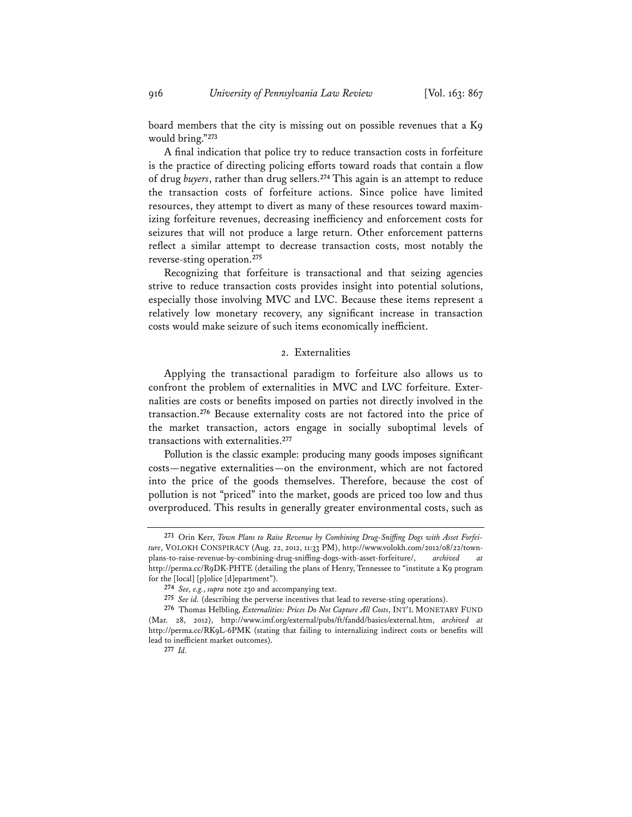board members that the city is missing out on possible revenues that a K9 would bring."**<sup>273</sup>**

A final indication that police try to reduce transaction costs in forfeiture is the practice of directing policing efforts toward roads that contain a flow of drug *buyers*, rather than drug sellers.**<sup>274</sup>** This again is an attempt to reduce the transaction costs of forfeiture actions. Since police have limited resources, they attempt to divert as many of these resources toward maximizing forfeiture revenues, decreasing inefficiency and enforcement costs for seizures that will not produce a large return. Other enforcement patterns reflect a similar attempt to decrease transaction costs, most notably the reverse-sting operation.**<sup>275</sup>**

Recognizing that forfeiture is transactional and that seizing agencies strive to reduce transaction costs provides insight into potential solutions, especially those involving MVC and LVC. Because these items represent a relatively low monetary recovery, any significant increase in transaction costs would make seizure of such items economically inefficient.

### 2. Externalities

Applying the transactional paradigm to forfeiture also allows us to confront the problem of externalities in MVC and LVC forfeiture. Externalities are costs or benefits imposed on parties not directly involved in the transaction.**<sup>276</sup>** Because externality costs are not factored into the price of the market transaction, actors engage in socially suboptimal levels of transactions with externalities.**<sup>277</sup>**

Pollution is the classic example: producing many goods imposes significant costs—negative externalities—on the environment, which are not factored into the price of the goods themselves. Therefore, because the cost of pollution is not "priced" into the market, goods are priced too low and thus overproduced. This results in generally greater environmental costs, such as

**<sup>273</sup>** Orin Kerr, *Town Plans to Raise Revenue by Combining Drug-Sniffing Dogs with Asset Forfeiture*, VOLOKH CONSPIRACY (Aug. 22, 2012, 11:33 PM), http://www.volokh.com/2012/08/22/townplans-to-raise-revenue-by-combining-drug-sniffing-dogs-with-asset-forfeiture/, *archived at* http://perma.cc/R9DK-PHTE (detailing the plans of Henry, Tennessee to "institute a K9 program for the [local] [p]olice [d]epartment").

**<sup>274</sup>** *See, e.g.*, *supra* note 230 and accompanying text.

**<sup>275</sup>** *See id.* (describing the perverse incentives that lead to reverse-sting operations).

**<sup>276</sup>** Thomas Helbling, *Externalities: Prices Do Not Capture All Costs*, INT'L MONETARY FUND (Mar. 28, 2012), http://www.imf.org/external/pubs/ft/fandd/basics/external.htm, *archived at* http://perma.cc/RK9L-6PMK (stating that failing to internalizing indirect costs or benefits will lead to inefficient market outcomes).

**<sup>277</sup>** *Id.*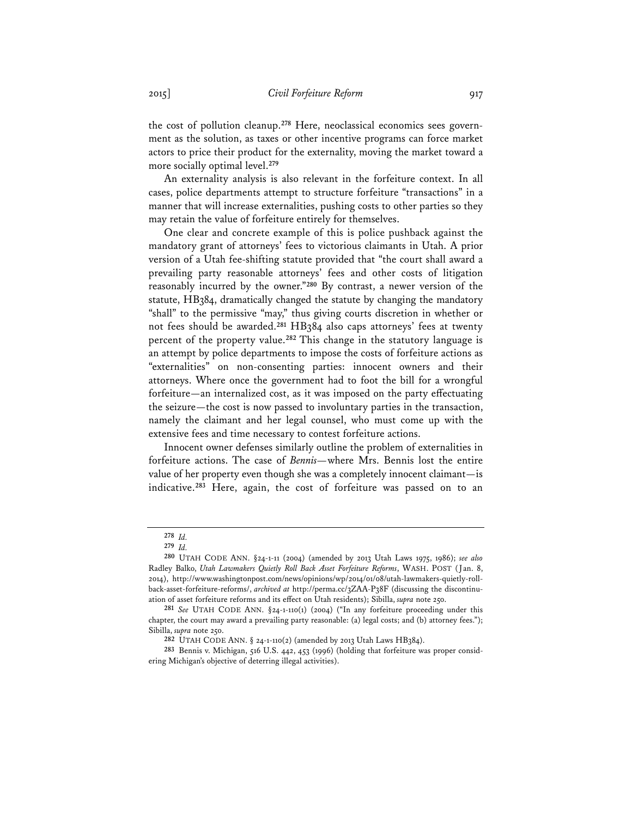the cost of pollution cleanup.**<sup>278</sup>** Here, neoclassical economics sees government as the solution, as taxes or other incentive programs can force market actors to price their product for the externality, moving the market toward a more socially optimal level.**<sup>279</sup>**

An externality analysis is also relevant in the forfeiture context. In all cases, police departments attempt to structure forfeiture "transactions" in a manner that will increase externalities, pushing costs to other parties so they may retain the value of forfeiture entirely for themselves.

One clear and concrete example of this is police pushback against the mandatory grant of attorneys' fees to victorious claimants in Utah. A prior version of a Utah fee-shifting statute provided that "the court shall award a prevailing party reasonable attorneys' fees and other costs of litigation reasonably incurred by the owner."**<sup>280</sup>** By contrast, a newer version of the statute, HB384, dramatically changed the statute by changing the mandatory "shall" to the permissive "may," thus giving courts discretion in whether or not fees should be awarded.**<sup>281</sup>** HB384 also caps attorneys' fees at twenty percent of the property value.**<sup>282</sup>** This change in the statutory language is an attempt by police departments to impose the costs of forfeiture actions as "externalities" on non-consenting parties: innocent owners and their attorneys. Where once the government had to foot the bill for a wrongful forfeiture—an internalized cost, as it was imposed on the party effectuating the seizure—the cost is now passed to involuntary parties in the transaction, namely the claimant and her legal counsel, who must come up with the extensive fees and time necessary to contest forfeiture actions.

Innocent owner defenses similarly outline the problem of externalities in forfeiture actions. The case of *Bennis—*where Mrs. Bennis lost the entire value of her property even though she was a completely innocent claimant—is indicative.**<sup>283</sup>** Here, again, the cost of forfeiture was passed on to an

**<sup>278</sup>** *Id.* **<sup>279</sup>** *Id.* **<sup>280</sup>** UTAH CODE ANN. §24-1-11 (2004) (amended by 2013 Utah Laws 1975, 1986); *see also* Radley Balko, *Utah Lawmakers Quietly Roll Back Asset Forfeiture Reforms*, WASH. POST (Jan. 8, 2014), http://www.washingtonpost.com/news/opinions/wp/2014/01/08/utah-lawmakers-quietly-rollback-asset-forfeiture-reforms/, *archived at* http://perma.cc/3ZAA-P38F (discussing the discontinuation of asset forfeiture reforms and its effect on Utah residents); Sibilla, *supra* note 250.

**<sup>281</sup>** *See* UTAH CODE ANN. §24-1-110(1) (2004) ("In any forfeiture proceeding under this chapter, the court may award a prevailing party reasonable: (a) legal costs; and (b) attorney fees."); Sibilla, *supra* note 250.

**<sup>282</sup>** UTAH CODE ANN. § 24-1-110(2) (amended by 2013 Utah Laws HB384).

**<sup>283</sup>** Bennis v. Michigan, 516 U.S. 442, 453 (1996) (holding that forfeiture was proper considering Michigan's objective of deterring illegal activities).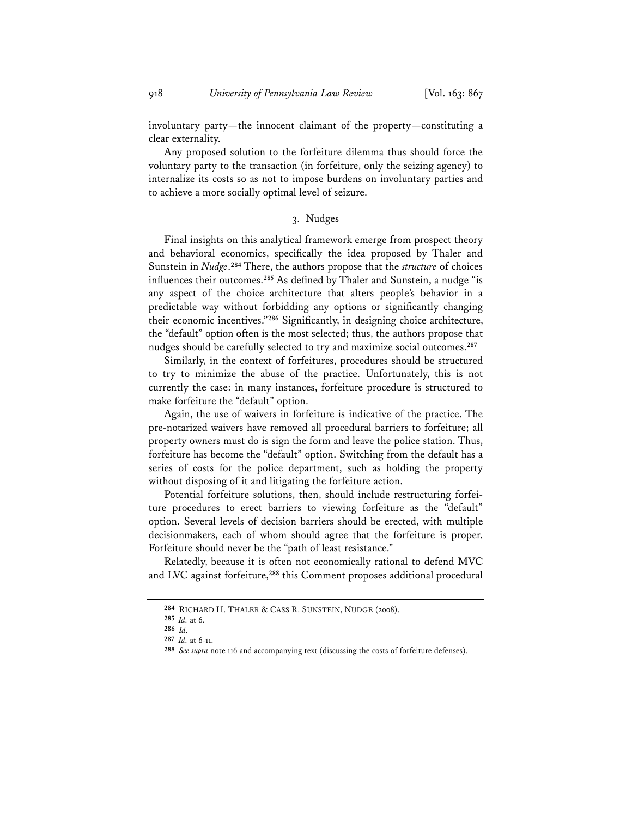involuntary party—the innocent claimant of the property—constituting a clear externality.

Any proposed solution to the forfeiture dilemma thus should force the voluntary party to the transaction (in forfeiture, only the seizing agency) to internalize its costs so as not to impose burdens on involuntary parties and to achieve a more socially optimal level of seizure.

### 3. Nudges

Final insights on this analytical framework emerge from prospect theory and behavioral economics, specifically the idea proposed by Thaler and Sunstein in *Nudge*. **<sup>284</sup>** There, the authors propose that the *structure* of choices influences their outcomes.**<sup>285</sup>** As defined by Thaler and Sunstein, a nudge "is any aspect of the choice architecture that alters people's behavior in a predictable way without forbidding any options or significantly changing their economic incentives."**<sup>286</sup>** Significantly, in designing choice architecture, the "default" option often is the most selected; thus, the authors propose that nudges should be carefully selected to try and maximize social outcomes.**<sup>287</sup>**

Similarly, in the context of forfeitures, procedures should be structured to try to minimize the abuse of the practice. Unfortunately, this is not currently the case: in many instances, forfeiture procedure is structured to make forfeiture the "default" option.

Again, the use of waivers in forfeiture is indicative of the practice. The pre-notarized waivers have removed all procedural barriers to forfeiture; all property owners must do is sign the form and leave the police station. Thus, forfeiture has become the "default" option. Switching from the default has a series of costs for the police department, such as holding the property without disposing of it and litigating the forfeiture action.

Potential forfeiture solutions, then, should include restructuring forfeiture procedures to erect barriers to viewing forfeiture as the "default" option. Several levels of decision barriers should be erected, with multiple decisionmakers, each of whom should agree that the forfeiture is proper. Forfeiture should never be the "path of least resistance."

Relatedly, because it is often not economically rational to defend MVC and LVC against forfeiture,**<sup>288</sup>** this Comment proposes additional procedural

**<sup>284</sup>** RICHARD H. THALER & CASS R. SUNSTEIN, NUDGE (2008).

**<sup>285</sup>** *Id.* at 6.

**<sup>286</sup>** *Id.* **<sup>287</sup>** *Id.* at 6-11.

**<sup>288</sup>** *See supra* note 116 and accompanying text (discussing the costs of forfeiture defenses).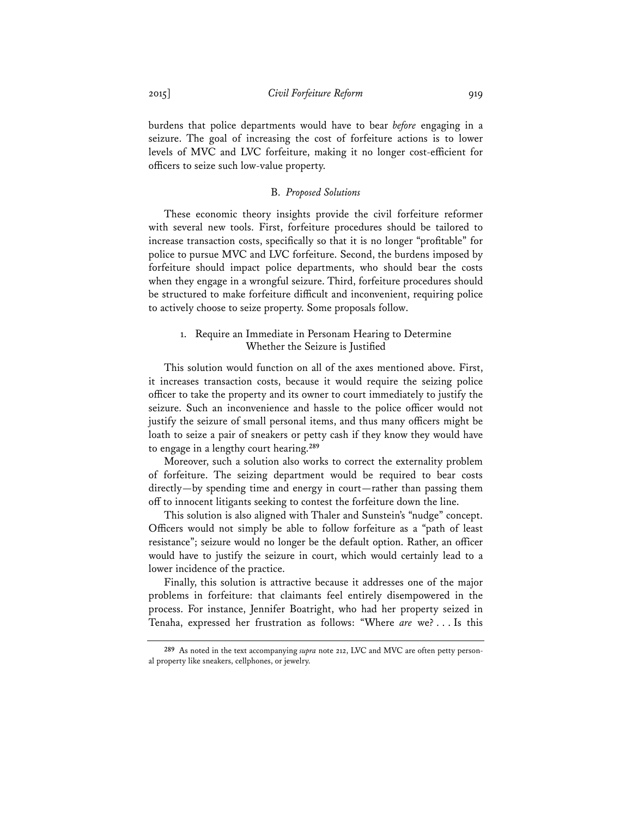burdens that police departments would have to bear *before* engaging in a seizure. The goal of increasing the cost of forfeiture actions is to lower levels of MVC and LVC forfeiture, making it no longer cost-efficient for officers to seize such low-value property.

### B. *Proposed Solutions*

These economic theory insights provide the civil forfeiture reformer with several new tools. First, forfeiture procedures should be tailored to increase transaction costs, specifically so that it is no longer "profitable" for police to pursue MVC and LVC forfeiture. Second, the burdens imposed by forfeiture should impact police departments, who should bear the costs when they engage in a wrongful seizure. Third, forfeiture procedures should be structured to make forfeiture difficult and inconvenient, requiring police to actively choose to seize property. Some proposals follow.

# 1. Require an Immediate in Personam Hearing to Determine Whether the Seizure is Justified

This solution would function on all of the axes mentioned above. First, it increases transaction costs, because it would require the seizing police officer to take the property and its owner to court immediately to justify the seizure. Such an inconvenience and hassle to the police officer would not justify the seizure of small personal items, and thus many officers might be loath to seize a pair of sneakers or petty cash if they know they would have to engage in a lengthy court hearing.**<sup>289</sup>**

Moreover, such a solution also works to correct the externality problem of forfeiture. The seizing department would be required to bear costs directly—by spending time and energy in court—rather than passing them off to innocent litigants seeking to contest the forfeiture down the line.

This solution is also aligned with Thaler and Sunstein's "nudge" concept. Officers would not simply be able to follow forfeiture as a "path of least resistance"; seizure would no longer be the default option. Rather, an officer would have to justify the seizure in court, which would certainly lead to a lower incidence of the practice.

Finally, this solution is attractive because it addresses one of the major problems in forfeiture: that claimants feel entirely disempowered in the process. For instance, Jennifer Boatright, who had her property seized in Tenaha, expressed her frustration as follows: "Where *are* we? . . . Is this

**<sup>289</sup>** As noted in the text accompanying *supra* note 212, LVC and MVC are often petty personal property like sneakers, cellphones, or jewelry.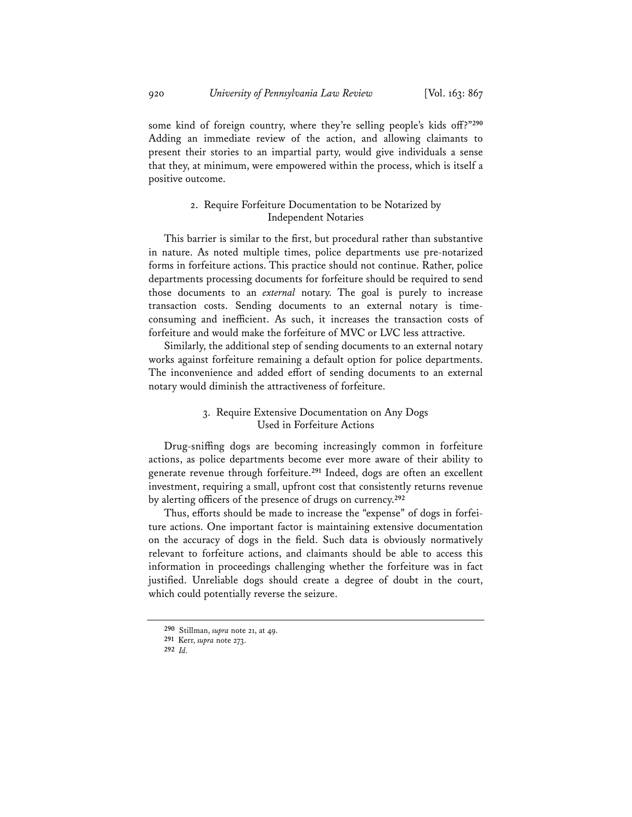some kind of foreign country, where they're selling people's kids off?"**<sup>290</sup>** Adding an immediate review of the action, and allowing claimants to present their stories to an impartial party, would give individuals a sense that they, at minimum, were empowered within the process, which is itself a positive outcome.

### 2. Require Forfeiture Documentation to be Notarized by Independent Notaries

This barrier is similar to the first, but procedural rather than substantive in nature. As noted multiple times, police departments use pre-notarized forms in forfeiture actions. This practice should not continue. Rather, police departments processing documents for forfeiture should be required to send those documents to an *external* notary. The goal is purely to increase transaction costs. Sending documents to an external notary is timeconsuming and inefficient. As such, it increases the transaction costs of forfeiture and would make the forfeiture of MVC or LVC less attractive.

Similarly, the additional step of sending documents to an external notary works against forfeiture remaining a default option for police departments. The inconvenience and added effort of sending documents to an external notary would diminish the attractiveness of forfeiture.

# 3. Require Extensive Documentation on Any Dogs Used in Forfeiture Actions

Drug-sniffing dogs are becoming increasingly common in forfeiture actions, as police departments become ever more aware of their ability to generate revenue through forfeiture.**<sup>291</sup>** Indeed, dogs are often an excellent investment, requiring a small, upfront cost that consistently returns revenue by alerting officers of the presence of drugs on currency.**<sup>292</sup>**

Thus, efforts should be made to increase the "expense" of dogs in forfeiture actions. One important factor is maintaining extensive documentation on the accuracy of dogs in the field. Such data is obviously normatively relevant to forfeiture actions, and claimants should be able to access this information in proceedings challenging whether the forfeiture was in fact justified. Unreliable dogs should create a degree of doubt in the court, which could potentially reverse the seizure.

**<sup>290</sup>** Stillman, *supra* note 21, at 49.

**<sup>291</sup>** Kerr, *supra* note 273.

**<sup>292</sup>** *Id.*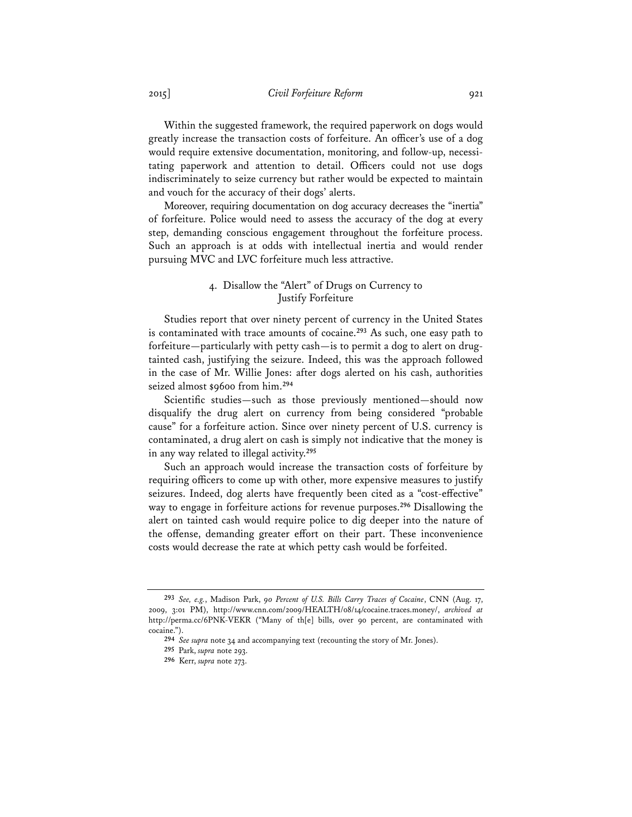Within the suggested framework, the required paperwork on dogs would greatly increase the transaction costs of forfeiture. An officer's use of a dog would require extensive documentation, monitoring, and follow-up, necessitating paperwork and attention to detail. Officers could not use dogs indiscriminately to seize currency but rather would be expected to maintain and vouch for the accuracy of their dogs' alerts.

Moreover, requiring documentation on dog accuracy decreases the "inertia" of forfeiture. Police would need to assess the accuracy of the dog at every step, demanding conscious engagement throughout the forfeiture process. Such an approach is at odds with intellectual inertia and would render pursuing MVC and LVC forfeiture much less attractive.

# 4. Disallow the "Alert" of Drugs on Currency to Justify Forfeiture

Studies report that over ninety percent of currency in the United States is contaminated with trace amounts of cocaine.**<sup>293</sup>** As such, one easy path to forfeiture—particularly with petty cash—is to permit a dog to alert on drugtainted cash, justifying the seizure. Indeed, this was the approach followed in the case of Mr. Willie Jones: after dogs alerted on his cash, authorities seized almost \$9600 from him.**<sup>294</sup>**

Scientific studies—such as those previously mentioned—should now disqualify the drug alert on currency from being considered "probable cause" for a forfeiture action. Since over ninety percent of U.S. currency is contaminated, a drug alert on cash is simply not indicative that the money is in any way related to illegal activity.**<sup>295</sup>**

Such an approach would increase the transaction costs of forfeiture by requiring officers to come up with other, more expensive measures to justify seizures. Indeed, dog alerts have frequently been cited as a "cost-effective" way to engage in forfeiture actions for revenue purposes.**<sup>296</sup>** Disallowing the alert on tainted cash would require police to dig deeper into the nature of the offense, demanding greater effort on their part. These inconvenience costs would decrease the rate at which petty cash would be forfeited.

**<sup>293</sup>** *See, e.g.*, Madison Park, *90 Percent of U.S. Bills Carry Traces of Cocaine*, CNN (Aug. 17, 2009, 3:01 PM), http://www.cnn.com/2009/HEALTH/08/14/cocaine.traces.money/, *archived at* http://perma.cc/6PNK-VEKR ("Many of th[e] bills, over 90 percent, are contaminated with cocaine.").

**<sup>294</sup>** *See supra* note 34 and accompanying text (recounting the story of Mr. Jones).

**<sup>295</sup>** Park, *supra* note 293.

**<sup>296</sup>** Kerr, *supra* note 273.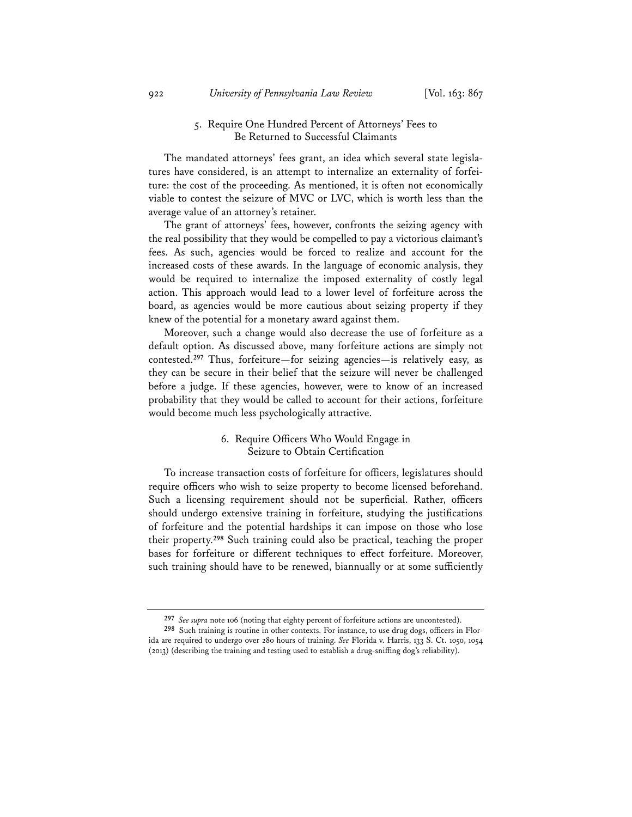### 5. Require One Hundred Percent of Attorneys' Fees to Be Returned to Successful Claimants

The mandated attorneys' fees grant, an idea which several state legislatures have considered, is an attempt to internalize an externality of forfeiture: the cost of the proceeding. As mentioned, it is often not economically viable to contest the seizure of MVC or LVC, which is worth less than the average value of an attorney's retainer.

The grant of attorneys' fees, however, confronts the seizing agency with the real possibility that they would be compelled to pay a victorious claimant's fees. As such, agencies would be forced to realize and account for the increased costs of these awards. In the language of economic analysis, they would be required to internalize the imposed externality of costly legal action. This approach would lead to a lower level of forfeiture across the board, as agencies would be more cautious about seizing property if they knew of the potential for a monetary award against them.

Moreover, such a change would also decrease the use of forfeiture as a default option. As discussed above, many forfeiture actions are simply not contested.**<sup>297</sup>** Thus, forfeiture—for seizing agencies—is relatively easy, as they can be secure in their belief that the seizure will never be challenged before a judge. If these agencies, however, were to know of an increased probability that they would be called to account for their actions, forfeiture would become much less psychologically attractive.

### 6. Require Officers Who Would Engage in Seizure to Obtain Certification

To increase transaction costs of forfeiture for officers, legislatures should require officers who wish to seize property to become licensed beforehand. Such a licensing requirement should not be superficial. Rather, officers should undergo extensive training in forfeiture, studying the justifications of forfeiture and the potential hardships it can impose on those who lose their property.**<sup>298</sup>** Such training could also be practical, teaching the proper bases for forfeiture or different techniques to effect forfeiture. Moreover, such training should have to be renewed, biannually or at some sufficiently

**<sup>297</sup>** *See supra* note 106 (noting that eighty percent of forfeiture actions are uncontested). **<sup>298</sup>** Such training is routine in other contexts. For instance, to use drug dogs, officers in Florida are required to undergo over 280 hours of training. *See* Florida v. Harris, 133 S. Ct. 1050, 1054 (2013) (describing the training and testing used to establish a drug-sniffing dog's reliability).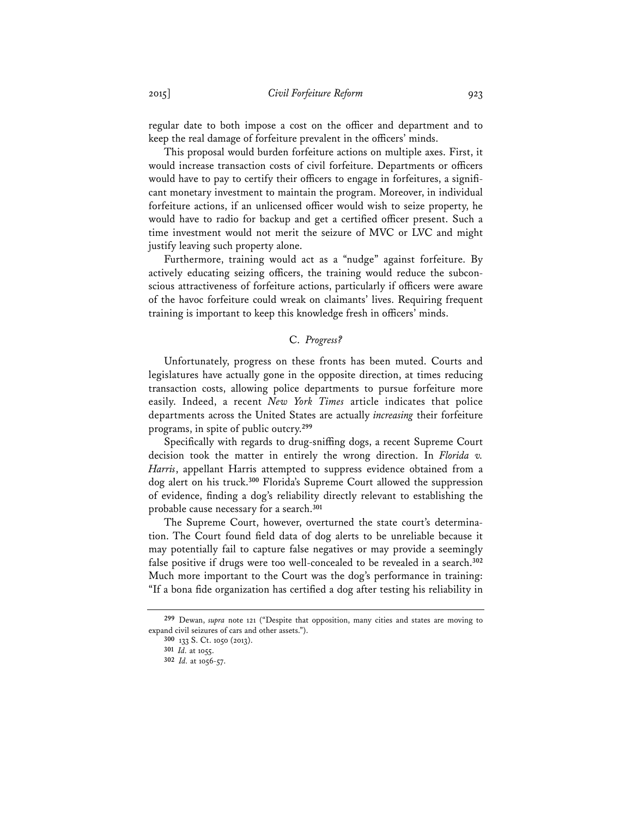regular date to both impose a cost on the officer and department and to keep the real damage of forfeiture prevalent in the officers' minds.

This proposal would burden forfeiture actions on multiple axes. First, it would increase transaction costs of civil forfeiture. Departments or officers would have to pay to certify their officers to engage in forfeitures, a significant monetary investment to maintain the program. Moreover, in individual forfeiture actions, if an unlicensed officer would wish to seize property, he would have to radio for backup and get a certified officer present. Such a time investment would not merit the seizure of MVC or LVC and might justify leaving such property alone.

Furthermore, training would act as a "nudge" against forfeiture. By actively educating seizing officers, the training would reduce the subconscious attractiveness of forfeiture actions, particularly if officers were aware of the havoc forfeiture could wreak on claimants' lives. Requiring frequent training is important to keep this knowledge fresh in officers' minds.

# C. *Progress?*

Unfortunately, progress on these fronts has been muted. Courts and legislatures have actually gone in the opposite direction, at times reducing transaction costs, allowing police departments to pursue forfeiture more easily. Indeed, a recent *New York Times* article indicates that police departments across the United States are actually *increasing* their forfeiture programs, in spite of public outcry.**<sup>299</sup>**

Specifically with regards to drug-sniffing dogs, a recent Supreme Court decision took the matter in entirely the wrong direction. In *Florida v. Harris*, appellant Harris attempted to suppress evidence obtained from a dog alert on his truck.**<sup>300</sup>** Florida's Supreme Court allowed the suppression of evidence, finding a dog's reliability directly relevant to establishing the probable cause necessary for a search.**<sup>301</sup>**

The Supreme Court, however, overturned the state court's determination. The Court found field data of dog alerts to be unreliable because it may potentially fail to capture false negatives or may provide a seemingly false positive if drugs were too well-concealed to be revealed in a search.**<sup>302</sup>** Much more important to the Court was the dog's performance in training: "If a bona fide organization has certified a dog after testing his reliability in

**<sup>299</sup>** Dewan, *supra* note 121 ("Despite that opposition, many cities and states are moving to expand civil seizures of cars and other assets.").

**<sup>300</sup>** 133 S. Ct. 1050 (2013).

**<sup>301</sup>** *Id.* at 1055.

**<sup>302</sup>** *Id.* at 1056-57.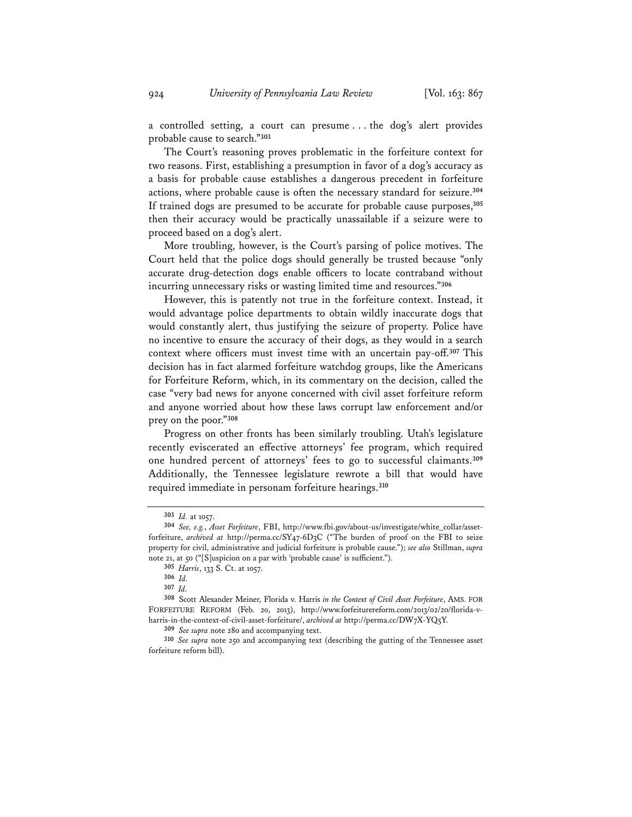a controlled setting, a court can presume . . . the dog's alert provides probable cause to search."**<sup>303</sup>**

The Court's reasoning proves problematic in the forfeiture context for two reasons. First, establishing a presumption in favor of a dog's accuracy as a basis for probable cause establishes a dangerous precedent in forfeiture actions, where probable cause is often the necessary standard for seizure.**<sup>304</sup>** If trained dogs are presumed to be accurate for probable cause purposes,**<sup>305</sup>** then their accuracy would be practically unassailable if a seizure were to proceed based on a dog's alert.

More troubling, however, is the Court's parsing of police motives. The Court held that the police dogs should generally be trusted because "only accurate drug-detection dogs enable officers to locate contraband without incurring unnecessary risks or wasting limited time and resources."**<sup>306</sup>**

However, this is patently not true in the forfeiture context. Instead, it would advantage police departments to obtain wildly inaccurate dogs that would constantly alert, thus justifying the seizure of property. Police have no incentive to ensure the accuracy of their dogs, as they would in a search context where officers must invest time with an uncertain pay-off.**<sup>307</sup>** This decision has in fact alarmed forfeiture watchdog groups, like the Americans for Forfeiture Reform, which, in its commentary on the decision, called the case "very bad news for anyone concerned with civil asset forfeiture reform and anyone worried about how these laws corrupt law enforcement and/or prey on the poor."**<sup>308</sup>**

Progress on other fronts has been similarly troubling. Utah's legislature recently eviscerated an effective attorneys' fee program, which required one hundred percent of attorneys' fees to go to successful claimants.**<sup>309</sup>** Additionally, the Tennessee legislature rewrote a bill that would have required immediate in personam forfeiture hearings.**<sup>310</sup>**

**<sup>303</sup>** *Id.* at 1057.

**<sup>304</sup>** *See, e.g.*, *Asset Forfeiture*, FBI, http://www.fbi.gov/about-us/investigate/white\_collar/assetforfeiture, *archived at* http://perma.cc/SY47-6D3C ("The burden of proof on the FBI to seize property for civil, administrative and judicial forfeiture is probable cause."); *see also* Stillman, *supra*  note 21, at 50 ("[S]uspicion on a par with 'probable cause' is sufficient.").

**<sup>305</sup>** *Harris*, 133 S. Ct. at 1057.

**<sup>306</sup>** *Id.* **<sup>307</sup>** *Id.* **<sup>308</sup>** Scott Alexander Meiner, Florida v. Harris *in the Context of Civil Asset Forfeiture*, AMS. FOR FORFEITURE REFORM (Feb. 20, 2013), http://www.forfeiturereform.com/2013/02/20/florida-vharris-in-the-context-of-civil-asset-forfeiture/, *archived at* http://perma.cc/DW7X-YQ5Y.

**<sup>309</sup>** *See supra* note 280 and accompanying text.

**<sup>310</sup>** *See supra* note 250 and accompanying text (describing the gutting of the Tennessee asset forfeiture reform bill).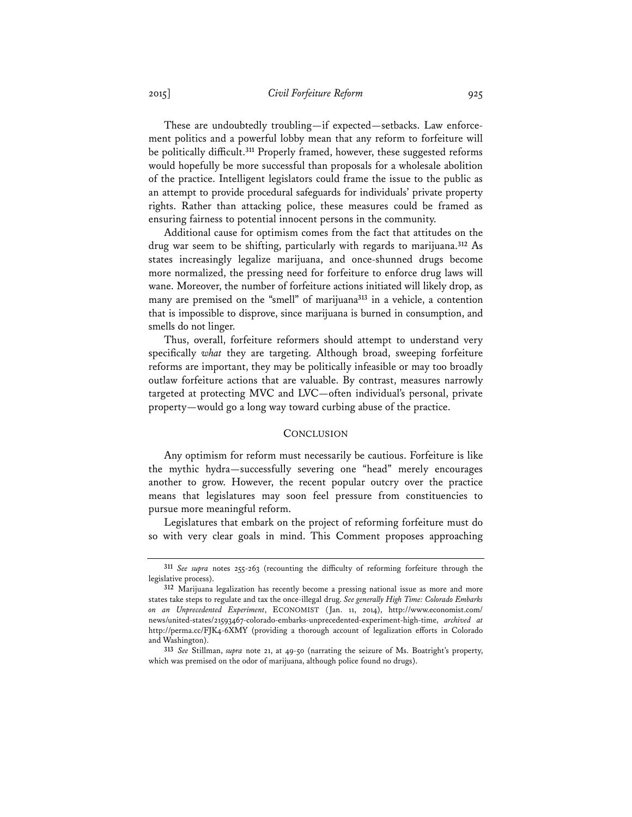2015] *Civil Forfeiture Reform* 925

These are undoubtedly troubling—if expected—setbacks. Law enforcement politics and a powerful lobby mean that any reform to forfeiture will be politically difficult.**<sup>311</sup>** Properly framed, however, these suggested reforms would hopefully be more successful than proposals for a wholesale abolition of the practice. Intelligent legislators could frame the issue to the public as an attempt to provide procedural safeguards for individuals' private property rights. Rather than attacking police, these measures could be framed as ensuring fairness to potential innocent persons in the community.

Additional cause for optimism comes from the fact that attitudes on the drug war seem to be shifting, particularly with regards to marijuana.**<sup>312</sup>** As states increasingly legalize marijuana, and once-shunned drugs become more normalized, the pressing need for forfeiture to enforce drug laws will wane. Moreover, the number of forfeiture actions initiated will likely drop, as many are premised on the "smell" of marijuana**<sup>313</sup>** in a vehicle, a contention that is impossible to disprove, since marijuana is burned in consumption, and smells do not linger.

Thus, overall, forfeiture reformers should attempt to understand very specifically *what* they are targeting. Although broad, sweeping forfeiture reforms are important, they may be politically infeasible or may too broadly outlaw forfeiture actions that are valuable. By contrast, measures narrowly targeted at protecting MVC and LVC—often individual's personal, private property—would go a long way toward curbing abuse of the practice.

#### **CONCLUSION**

Any optimism for reform must necessarily be cautious. Forfeiture is like the mythic hydra—successfully severing one "head" merely encourages another to grow. However, the recent popular outcry over the practice means that legislatures may soon feel pressure from constituencies to pursue more meaningful reform.

Legislatures that embark on the project of reforming forfeiture must do so with very clear goals in mind. This Comment proposes approaching

**<sup>311</sup>** *See supra* notes 255-263 (recounting the difficulty of reforming forfeiture through the legislative process).

**<sup>312</sup>** Marijuana legalization has recently become a pressing national issue as more and more states take steps to regulate and tax the once-illegal drug. *See generally High Time: Colorado Embarks on an Unprecedented Experiment*, ECONOMIST (Jan. 11, 2014), http://www.economist.com/ news/united-states/21593467-colorado-embarks-unprecedented-experiment-high-time, *archived at* http://perma.cc/FJK4-6XMY (providing a thorough account of legalization efforts in Colorado and Washington).

**<sup>313</sup>** *See* Stillman, *supra* note 21, at 49-50 (narrating the seizure of Ms. Boatright's property, which was premised on the odor of marijuana, although police found no drugs).